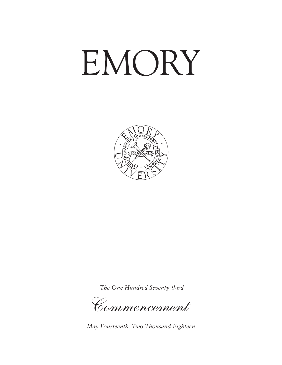# EMORY



*The One Hundred Seventy-third*

*Commencement* 

*May Fourteenth, Two Thousand Eighteen*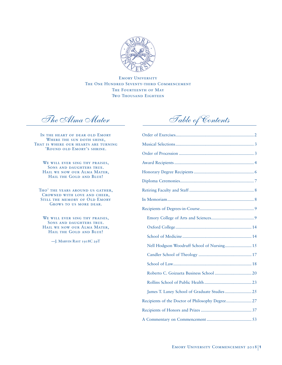

Emory University THE ONE HUNDRED SEVENTY-THIRD COMMENCEMENT THE FOURTEENTH OF MAY **TWO THOUSAND EIGHTEEN** 

*The Alma Mater*

IN THE HEART OF DEAR OLD EMORY WHERE THE SUN DOTH SHINE, THAT IS WHERE OUR HEARTS ARE TURNING 'Round old Emory's shrine.

WE WILL EVER SING THY PRAISES, SONS AND DAUGHTERS TRUE. HAIL WE NOW OUR ALMA MATER, HAIL THE GOLD AND BLUE!

Tho' the years around us gather, Crowned with love and cheer, STILL THE MEMORY OF OLD EMORY GROWS TO US MORE DEAR.

WE WILL EVER SING THY PRAISES, SONS AND DAUGHTERS TRUE. HAIL WE NOW OUR ALMA MATER, HAIL THE GOLD AND BLUE!

—J. Marvin Rast 1918C 29T

*Table of Contents*

| Nell Hodgson Woodruff School of Nursing 15 |  |
|--------------------------------------------|--|
|                                            |  |
|                                            |  |
|                                            |  |
|                                            |  |
|                                            |  |
|                                            |  |
|                                            |  |
|                                            |  |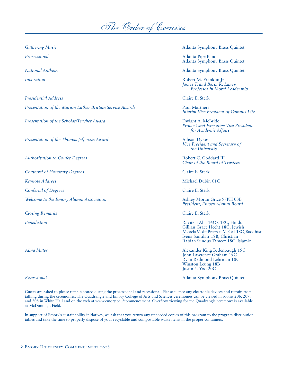

*Presidential Address* Claire E. Sterk

*Presentation of the Marion Luther Brittain Service Awards* Paul Marthers **Paul Marthers** 

*Presentation of the Scholar/Teacher Award* Dwight A. McBride

*Presentation of the Thomas Jefferson Award* Allison Dykes

*Authorization to Confer Degrees* and the context of the Robert C. Goddard III

*Conferral of Honorary Degrees* Claire E. Sterk

*Conferral of Degrees* Claire E. Sterk

Welcome to the Emory Alumni Association **Ashley Moran Grice 97PH** 03B

*Closing Remarks* Claire E. Sterk

*Gathering Music* Atlanta Symphony Brass Quintet

*Processional* Atlanta Pipe Band Atlanta Symphony Brass Quintet

*National Anthem* Atlanta Symphony Brass Quintet

*Invocation* Robert M. Franklin Jr. *James T. and Berta R. Laney Professor in Moral Leadership*

*Interim Vice President of Campus Life*

*Provost and Executive Vice President for Academic Affairs*

*Vice President and Secretary of the University*

*Chair of the Board of Trustees*

*Keynote Address* Michael Dubin 01C

*President, Emory Alumni Board*

*Benediction* Raviteja Alla 16Ox 18C, Hindu Gillian Grace Hecht 18C, Jewish Micaela Violet Petersen McCall 18C, Buddhist Ivena Santilair 18B, Christian Rabiah Sundus Tameez 18C, Islamic

*Alma Mater* Alexander King Bedenbaugh 19C John Lawrence Graham 19C Ryan Redmond Lehrman 18C Winston Leung 18B Justin Y. Yoo 20C

*Recessional* Atlanta Symphony Brass Quintet

Guests are asked to please remain seated during the processional and recessional. Please silence any electronic devices and refrain from talking during the ceremonies. The Quadrangle and Emory College of Arts and Sciences ceremonies can be viewed in rooms 206, 207, and 208 in White Hall and on the web at www.emory.edu/commencement. Overflow viewing for the Quadrangle ceremony is available at McDonough Field.

In support of Emory's sustainability initiatives, we ask that you return any unneeded copies of this program to the program distribution tables and take the time to properly dispose of your recyclable and compostable waste items in the proper containers.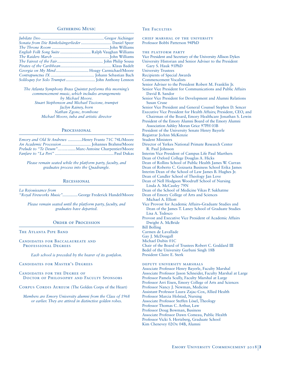#### GATHERING MUSIC

| Sonata from Die Bänkelsängerlieder  Daniel Speer |  |
|--------------------------------------------------|--|
|                                                  |  |
| English Folk Song Suite  Ralph Vaughan Williams  |  |
|                                                  |  |
|                                                  |  |
|                                                  |  |
|                                                  |  |
|                                                  |  |
|                                                  |  |

*The Atlanta Symphony Brass Quintet performs this morning's commencement music, which includes arrangements by Michael Moore. Stuart Stephenson and Michael Tiscione, trumpet Jaclyn Rainey, horn Nathan Zgonc, trombone Michael Moore, tuba and artistic director*

#### PROCESSIONAL

*Emory and Old St Andrews .............*Henry Frantz 71C 74L/Moore *An Academic Procession ...........................* Johannes Brahms/Moore *Prelude to "Te Deum"…….........*Marc-Antoine Charpentier/Moore *Fanfare to "La Peri"* ...................................................... Paul Dukas

*Please remain seated while the platform party, faculty, and graduates process into the Quadrangle.*

#### **RECESSIONAL**

*La Rejouissance from "Royal Fireworks Music"..............*George Frederick Handel/Moore

*Please remain seated until the platform party, faculty, and graduates have departed.* 

#### ORDER OF PROCESSION

THE ATLANTA PIPE BAND

#### Candidates for Baccalaureate and PROFESSIONAL DEGREES

*Each school is preceded by the bearer of its gonfalon.*

#### Candidates for Master's Degrees

Candidates for the Degree of Doctor of Philosophy and Faculty Sponsors

CORPUS CORDIS AUREUM (The Golden Corps of the Heart)

*Members are Emory University alumni from the Class of 1968 or earlier. They are attired in distinctive golden robes.*

#### THE FACULTIES

chief marshal of the university Professor Bobbi Patterson 94PhD

the platform party

- Vice President and Secretary of the University Allison Dykes
- University Historian and Senior Adviser to the President Gary S. Hauk 91PhD

University Trustees

- Recipients of Special Awards
	- Commencement Vocalists
	- Senior Adviser to the President Robert M. Franklin Jr.
- Senior Vice President for Communications and Public Affairs
- David B. Sandor Senior Vice President for Development and Alumni Relations Susan Cruse
- Senior Vice President and General Counsel Stephen D. Sencer
- Executive Vice President for Health Affairs; President, CEO, and
- Chairman of the Board, Emory Healthcare Jonathan S. Lewin President of the Emory Alumni Board of the Emory Alumni
- Association Ashley Moran Grice 97PH 03B
- President of the University Senate Henry Bayerle
- Registrar JoAnn McKenzie
- Student Ministers
- Director of Yerkes National Primate Research Center R. Paul Johnson
- Interim Vice President of Campus Life Paul Marthers
- Dean of Oxford College Douglas A. Hicks
- Dean of Rollins School of Public Health James W. Curran
- Dean of Roberto C. Goizueta Business School Erika James
- Interim Dean of the School of Law James B. Hughes Jr.
- Dean of Candler School of Theology Jan Love
- Dean of Nell Hodgson Woodruff School of Nursing Linda A. McCauley 79N
- Dean of the School of Medicine Vikas P. Sukhatme
- Dean of Emory College of Arts and Sciences

Michael A. Elliott

- Vice Provost for Academic Affairs–Graduate Studies and Dean of the James T. Laney School of Graduate Studies Lisa A. Tedesco
- Provost and Executive Vice President of Academic Affairs Dwight A. McBride

Bill Bolling

- Carmen de Lavallade
- Gay J. McDougall Michael Dubin 01C
- 
- Chair of the Board of Trustees Robert C. Goddard III Bedel of the University Gurbani Singh 18B

President Claire E. Sterk

deputy university marshals

Associate Professor Henry Bayerle, Faculty Marshal Associate Professor Jason Schneider, Faculty Marshal at Large Professor Pamela Scully, Faculty Marshal at Large Professor Arri Eisen, Emory College of Arts and Sciences Professor Nancy J. Newman, Medicine Assistant Professor Laura Zajac-Cox, Allied Health Professor Marcia Holstad, Nursing Associate Professor Steffen Lösel, Theology Professor Thomas C. Arthur, Law Professor Doug Bowman, Business Associate Professor Dawn Comeau, Public Health Professor Vicki S. Hertzberg, Graduate School Kim Chenevey 02Ox 04B, Alumni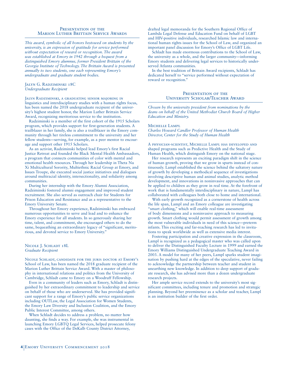#### PRESENTATION OF THE **MARION LUTHER BRITTAIN SERVICE AWARDS**

*This award, symbolic of all honors bestowed on students by the university, is an expression of gratitude for service performed without expectation of reward or recognition. The award was established at Emory in 1942 through a bequest from a distinguished Emory alumnus, former President Brittain of the Georgia Institute of Technology. The Brittain Award is presented annually to two students, one each representing Emory's undergraduate and graduate student bodies.*

Jalyn G. Radziminski 18C *Undergraduate Recipient*

Jalyn Radziminski, a graduating senior majoring in linguistics and interdisciplinary studies with a human rights focus, has been named the 2018 undergraduate recipient of the university's highest student honor, the Marion Luther Brittain Service Award, recognizing meritorious service to the institution.

Radziminski is a member of the first cohort of the 1915 Scholars program, which provides support for first-generation students. A trailblazer in her family, she is also a trailblazer in the Emory community through her tireless commitment to the university and her fellow students—serving, for example, as a peer mentor to encourage and support other 1915 Scholars.

As an activist, Radziminski helped lead Emory's first Racial Justice Retreat and founded the Black Mental Health Ambassadors, a program that connects communities of color with mental and emotional health resources. Through her leadership in Theta Nu Xi Multicultural Sorority, Multiethnic Racial Group at Emory, and Issues Troupe, she executed social justice initiatives and dialogues around multiracial identity, intersectionality, and solidarity among communities.

During her internship with the Emory Alumni Association, Radziminski fostered alumni engagement and improved student recruitment. She also served as outreach chair for Students for Prison Education and Resistance and as a representative to the Emory University Senate.

Throughout her Emory experience, Radziminski has embraced numerous opportunities to serve and lead and to enhance the Emory experience for all students. In so generously sharing her time, talent, and commitment, she encouraged others to do the same, bequeathing an extraordinary legacy of "significant, meritorious, and devoted service to Emory University."

NICOLE J. SCHLADT 18L *Graduate Recipient*

Nicole Schladt, candidate for the juris doctor at Emory's School of Law, has been named the 2018 graduate recipient of the Marion Luther Brittain Service Award. With a master of philosophy in international relations and politics from the University of Cambridge, Schladt came to Emory on a Woodruff Fellowship.

Even in a community of leaders such as Emory, Schladt is distinguished by her extraordinary commitment to leadership and service on behalf of those who are underserved. She has provided significant support for a range of Emory's public service organizations including OUTLaw, the Legal Association for Women Students, the Emory Law Diversity and Inclusion Coalition, and the Emory Public Interest Committee, among others.

When Schladt decides to address a problem, no matter how daunting, she finds a way. For example, she was instrumental in launching Emory LGBTQ Legal Services, helped prosecute felony cases with the Office of the DeKalb County District Attorney,

drafted legal memoranda for the Southern Regional Office of Lambda Legal Defense and Education Fund on behalf of LGBT and HIV-positive individuals, researched Islamic law and international human rights issues for the School of Law, and organized an important panel discussion for Emory's Office of LGBT Life.

Schladt has made enormous contributions to the School of Law, the university as a whole, and the larger community—informing Emory students and delivering legal services to historically underserved Atlanta communities.

In the best tradition of Brittain Award recipients, Schladt has dedicated herself to "service performed without expectation of reward or recognition."

#### PRESENTATION OF THE University Scholar/Teacher Award

*Chosen by the university president from nominations by the deans on behalf of the United Methodist Church Board of Higher Education and Ministry.*

#### Michelle Lampl

*Charles Howard Candler Professor of Human Health Director, Center for the Study of Human Health*

A physician-scientist, Michelle Lampl has developed and shaped programs such as Predictive Health and the Study of Human Health, which distinguish Emory on the national stage.

Her research represents an exciting paradigm shift in the science of human growth, proving that we grow in spurts instead of continuously. Lampl established the science behind the saltatory nature of growth by developing a methodical sequence of investigations involving descriptive human and animal studies, analytic method development, and innovations in noninvasive approaches that can be applied to children as they grow in real time. At the forefront of work that is fundamentally interdisciplinary in nature, Lampl has collaborated with colleagues both close to home and international.

With early growth recognized as a cornerstone of health across the life span, Lampl and an Emory colleague are investigating "smart clothing," which will enable real-time assessment of body dimensions and a noninvasive approach to measuring growth. Smart clothing would permit assessment of growth among the most vulnerable individuals in need of this science—preterm infants. This exciting and far-reaching research has led to invitations to speak worldwide as well as extensive media interest.

Fostering participation and creative expression in the classroom, Lampl is recognized as a pedagogical master who was called upon to deliver the Distinguished Faculty Lecture in 1999 and earned the Emory Williams Distinguished Undergraduate Teaching Award in 2003. A model for many of her peers, Lampl sparks student imagination by pushing hard at the edges of the speculative, never failing to acknowledge the partnership between teacher and student in unearthing new knowledge. In addition to deep support of graduate research, she has advised more than a dozen undergraduate research projects.

Her ample service record extends to the university's most significant committees, including tenure and promotion and strategic planning. Beyond her preeminence as a scholar and teacher, Lampl is an institution builder of the first order.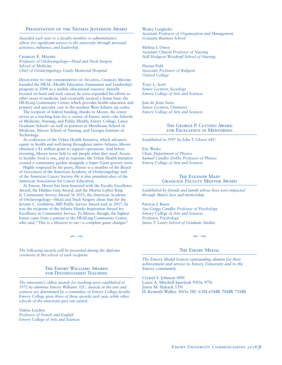#### PRESENTATION OF THE THOMAS JEFFERSON AWARD

*Awarded each year to a faculty member or administrative officer for significant service to the university through personal activities, influence, and leadership.* 

Charles E. Moore *Professor of Otolaryngology—Head and Neck Surgery School of Medicine Chief of Otolaryngology, Grady Memorial Hospital*

Dedicated to the underserved of Atlanta, Charles Moore founded the HEAL (Health Education Assessment and Leadership) program in 2004 as a mobile educational resource. Initially focused on head and neck cancer, he soon expanded his efforts to other areas of medicine and eventually secured a home base: the HEALing Community Center, which provides health education and primary and specialty care in the neediest West Atlanta zip codes.

The recipient of federal funding, thanks to Moore, the center serves as a teaching base for a variety of Emory units—the Schools of Medicine, Nursing, and Public Health; Emory College; Laney Graduate School—as well as partners at Morehouse School of Medicine, Mercer School of Nursing, and Georgia Institute of Technology.

As codirector of the Urban Health Initiative, which advances equity in health and well-being throughout metro Atlanta, Moore obtained a \$1 million grant to support operations. And before investing, Moore never fails to ask people what they need. Access to healthy food is one, and in response, the Urban Health Initiative created a community garden alongside a Super Giant grocery store.

Highly respected by his peers, Moore is a member of the Board of Governors of the American Academy of Otolaryngology and of the American Cancer Society. He is also president-elect of the American Association for Cancer Education.

At Emory, Moore has been honored with the Faculty Excellence Award, the Hidden Gem Award, and the Martin Luther King Jr. Community Service Award. In 2015, the American Academy of Otolaryngology—Head and Neck Surgery chose him for the Jerome C. Goldstein, MD Public Service Award and, in 2017, he was the recipient of the Atlanta Hawks Inspiration Award for Excellence in Community Service. To Moore, though, the highest honor came from a patient at the HEALing Community Center, who said, "This is a lifesaver to me—a complete game changer."

 $\n ****\n$ 

*The following awards will be presented during the diploma ceremony at the school of each recipient.*

#### The Emory Williams Awards for Distinguished Teaching

*The university's oldest awards for teaching were established in 1972 by alumnus Emory Williams 32C. Awards in the arts and sciences are determined by a committee of Emory College faculty. Emory College gives three of these awards each year, while other schools of the university give one award.*

Valérie Loichot *Professor of French and English Emory College of Arts and Sciences* Wesley Longhofer *Assistant Professor of Organization and Management Goizueta Business School*

Melissa I. Owen *Assistant Clinical Professor of Nursing Nell Hodgson Woodruff School of Nursing*

Florian Pohl *Associate Professor of Religion Oxford College*

Tracy L. Scott *Senior Lecturer, Sociology Emory College of Arts and Sciences*

José de Jesús Soria *Senior Lecturer, Chemistry Emory College of Arts and Sciences*

#### THE GEORGE P. CUTTINO AWARD for Excellence in Mentoring

*Established in 1997 by John T. Glover 68C.*

Eric Weeks *Chair, Department of Physics Samuel Candler Dobbs Professor of Physics Emory College of Arts and Sciences*

#### The Eleanor Main Graduate Faculty Mentor Award

*Established by friends and family whose lives were impacted through Main's love and mentorship.*

Patricia J. Bauer *Asa Griggs Candler Professor of Psychology Emory College of Arts and Sciences Professor, Psychology James T. Laney School of Graduate Studies*

## THE EMORY MEDAL

 $\frac{1}{2}$ 

*The Emory Medal honors outstanding alumni for their achievement and service to Emory University and to the Emory community.*

Crystal S. Johnson 00N Laura A. Mitchell-Spurlock 95Ox 97N Jason M. Slabach 13N H. Kenneth Walker 56Ox 58C 63M 65MR 70MR 71MR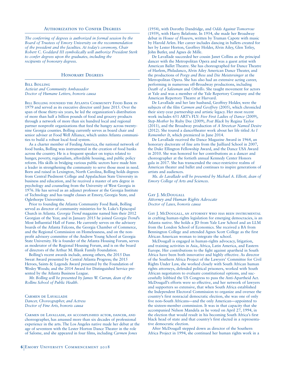#### Authorization to Confer Degrees

*The conferring of degrees is authorized in formal session by the Board of Trustees of Emory University on the recommendation of the president and the faculties. At today's ceremony, Chair Robert C. Goddard III symbolically will authorize President Sterk to confer degrees upon the graduates, including the recipients of honorary degrees.*

#### Honorary Degrees

Bill Bolling

*Activist and Community Ambassador Doctor of Humane Letters, honoris causa*

BILL BOLLING FOUNDED THE ATLANTA COMMUNITY FOOD BANK IN 1979 and served as its executive director until June 2015. Over the span of those thirty-six years, he led the organization's distribution of more than half a billion pounds of food and grocery products through a network of more than six hundred local and regional partner nonprofit organizations that feed the hungry across twentynine Georgia counties. Bolling currently serves as board chair and senior adviser at Food Well Alliance, which unites Atlanta communities to build a robust local food system.

As a charter member of Feeding America, the national network of food banks, Bolling was instrumental in the creation of food banks across the country. He is a frequent speaker on topics related to hunger, poverty, regionalism, affordable housing, and public policy reform. His skills in bridging various public sectors have made him a leader in strengthening the community to serve those most in need. Born and raised in Lexington, North Carolina, Bolling holds degrees from Central Piedmont College and Appalachian State University in business and education, and he received a master of arts degree in psychology and counseling from the University of West Georgia in 1976. He has served as an adjunct professor at the Georgia Institute of Technology and has taught classes at Emory, Georgia State, and Oglethorpe Universities.

Prior to founding the Atlanta Community Food Bank, Bolling served as director of community ministries for St. Luke's Episcopal Church in Atlanta. *Georgia Trend* magazine named him their 2012 Georgian of the Year, and in January 2015 he joined *Georgia Trend*'s Most Influential Hall of Fame. He currently serves on the advisory boards of the Atlanta Falcons, the Georgia Chamber of Commerce, and the Regional Commission on Homelessness, and on the nonprofit advisory committee of the Andrew Young School at Georgia State University. He is founder of the Atlanta Housing Forum, serves as moderator of the Regional Housing Forum, and is on the board of directors of the Arthur M. Blank Family Foundation.

Bolling's recent awards include, among others, the 2015 Dan Sweat Award presented by Central Atlanta Progress; the 2015 Heroes, Saints & Legends Award presented by the Foundation of Wesley Woods; and the 2014 Award for Distinguished Service presented by the Atlanta Business League.

*Mr. Bolling will be presented by James W. Curran, dean of the Rollins School of Public Health.* 

Carmen de Lavallade *Dancer, Choreographer, and Actress Doctor of Fine Arts, honoris causa*

Carmen de Lavallade, an accomplished actor, dancer, and choreographer, has amassed more than six decades of professional experience in the arts. The Los Angeles native made her debut at the age of seventeen with the Lester Horton Dance Theater in the role of Salome, and she appeared in four films, including *Carmen Jones*

De Lavallade succeeded her cousin Janet Collins as the principal dancer with the Metropolitan Opera and was a guest artist with American Ballet Theatre. She has choreographed for Dance Theatre of Harlem, Philadanco, Alvin Ailey American Dance Theater, and the productions of *Porgy and Bess* and *Die Meistersinger* at the Metropolitan Opera. She has also had an extensive acting career, performing in numerous off-Broadway productions, including *Death of a Salesman* and *Othello*. She taught movement for actors at Yale and was a member of the Yale Repertory Company and the American Repertory Theatre at Harvard.

De Lavallade and her late husband, Geoffrey Holder, were the subjects of the film *Carmen and Geoffrey* (2005), which chronicled their sixty-year partnership and artistic legacy. Her most recent work includes 651 ART's FLY: *Five First Ladies of Dance* (2009), *Step-Mother* by Ruby Dee (2009), *Post Black* by Regina Taylor (2011), and the Broadway production of *A Streetcar Named Desire*  (2012). She toured a dance/theater work about her life titled *As I Remember It*, which premiered in June 2014.

De Lavallade received the Dance Magazine Award in 1964, an honorary doctorate of fine arts from the Juilliard School in 2007, the Duke Ellington Fellowship Award, and the Dance USA Award in 2010. She was honored for her contributions as a dancer and choreographer at the fortieth annual Kennedy Center Honors gala in 2017. She has transcended the once-restrictive realms of American theater and ballet and continues to inspire generations of artists and audiences.

*Ms. de Lavallade will be presented by Michael A. Elliott, dean of Emory College of Arts and Sciences.*

Gay J. McDougall *Attorney and Human Rights Advocate Doctor of Laws, honoris causa*

Gay J. McDougall, an attorney who has been instrumental in crafting human-rights legislation for emerging democracies, is an Atlanta native. She holds a JD from Yale Law School and an LLM from the London School of Economics. She received a BA from Bennington College and attended Agnes Scott College as the first African American woman to integrate the school.

McDougall is engaged in human-rights advocacy, litigation, and training activities in Asia, Africa, Latin America, and Eastern Europe. Her contributions to the fight against apartheid in South Africa have been both innovative and highly effective. As director of the Southern Africa Project of the Lawyers' Committee for Civil Rights Under Law, she worked closely with South African human rights attorneys, defended political prisoners, worked with South African negotiators to evaluate constitutional options, and successfully lobbied the US Congress to pass the Anti-Apartheid Act. McDougall's efforts were so effective, and her network of lawyers and supporters so extensive, that when South Africa established the Independent Electoral Commission to organize and oversee the country's first nonracial democratic election, she was one of only five non–South Africans—and the only American—appointed to the sixteen-member commission. It was in that capacity that she accompanied Nelson Mandela as he voted on April 27, 1994, in the election that would result in his becoming South Africa's first black head of state and that country's first elected in a representative democratic election.

After McDougall stepped down as director of the Southern Africa Project in 1994, she continued her human rights work in a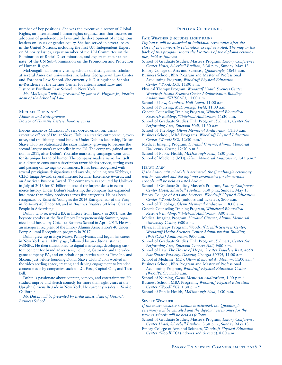number of key positions. She was the executive director of Global Rights, an international human rights organization that focuses on adoption of gender-equity laws and the development of indigenous leaders on issues of gender equity. She has served in several roles in the United Nations, including the first UN Independent Expert on Minority Issues, expert member of the UN Committee on the Elimination of Racial Discrimination, and expert member (alternate) of the UN Sub-Commission on the Promotion and Protection of Human Rights.

McDougall has been a visiting scholar or distinguished scholar at several American universities, including Georgetown Law Center and Fordham Law School. She currently is Distinguished Scholarin-Residence at the Leitner Center for International Law and Justice at Fordham Law School in New York.

*Ms. McDougall will be presented by James B. Hughes Jr., interim dean of the School of Law.*

MICHAEL DUBIN OIC *Alumnus and Entrepreneur Doctor of Humane Letters, honoris causa*

EMORY ALUMNUS MICHAEL DUBIN, COFOUNDER AND CHIEF executive officer of Dollar Shave Club, is a creative entrepreneur, executive, and trailblazing brand builder. Under Dubin's leadership, Dollar Shave Club revolutionized the razor industry, growing to become the second-largest men's razor seller in the US. The company gained attention in 2011, after Dubin's YouTube marketing campaign went viral for its unique brand of humor. The company made a name for itself as a direct-to-consumer subscription razor blades service, cutting costs and passing on savings to consumers. It has been recognized with several prestigious designations and awards, including two Webbys, a CLIO Image Award, several Internet Retailer Excellence Awards, and an American Business Award. The company was acquired by Unilever in July of 2016 for \$1 billion in one of the largest deals in ecommerce history. Under Dubin's leadership, the company has expanded into more than thirty products across five categories. He has been recognized by Ernst & Young as the 2016 Entrepreneur of the Year, in *Fortune*'s 40 Under 40, and in *Business Insider*'s 30 Most Creative People in Advertising.

Dubin, who received a BA in history from Emory in 2001, was the keynote speaker at the first Emory Entrepreneurship Summit, organized and hosted by Goizueta Business School in April 2015. He was an inaugural recipient of the Emory Alumni Association's 40 Under Forty Alumni Recognition program in 2017.

Dubin grew up in Bryn Mawr, Pennsylvania, and began his career in New York as an NBC page, followed by an editorial stint at MSNBC. He then transitioned to digital marketing, developing custom content for brand advertisers, including Gatorade and the video game company EA, and on behalf of properties such as Time Inc. and SI.com. Just before founding Dollar Shave Club, Dubin worked in the video seeding space, creating and driving engagement to branded content made by companies such as LG, Ford, Capital One, and Taco Bell.

Dubin is passionate about content, comedy, and entertainment. He studied improv and sketch comedy for more than eight years at the Upright Citizens Brigade in New York. He currently resides in Venice, California.

*Mr. Dubin will be presented by Erika James, dean of Goizueta Business School.* 

#### Diploma Ceremonies

Fair Weather (includes light rain) *Diplomas will be awarded in individual ceremonies after the close of this university celebration except as noted. The map in the back of this program shows the locations of the diploma ceremonies, held as follows:* 

School of Graduate Studies, Master's Program, *Emory Conference Center Hotel, Silverbell Pavilion,* 3:30 p.m., Sunday, May 13

Emory College of Arts and Sciences, *Quadrangle,* 10:45 a.m. Business School, BBA Program and Master of Professional

Accounting Program, *Woodruff Physical Education Center (WoodPEC),* 11:00 a.m.

Physical Therapy Program, *Woodruff Health Sciences Center, Woodruff Health Sciences Center Administration Building Auditorium (WHSCAB),* 11:00 a.m.

- School of Law, *Gambrell Hall Lawn,* 11:00 a.m.
- School of Nursing, *McDonough Field,* 11:00 a.m.

Genetic Counseling Training Program, *Whitehead Biomedical Research Building, Whitehead Auditorium,* 11:30 a.m.

School of Graduate Studies, PhD Program, *Schwartz Center for Performing Arts, Emerson Hall,* 11:30 a.m.

School of Theology, *Glenn Memorial Auditorium,* 11:30 a.m.

Business School, MBA Programs, *Woodruff Physical Education Center (WoodPEC),* 12:30 p.m.\*

Medical Imaging Program, *Harland Cinema, Alumni Memorial University Center,* 12:30 p.m.\*

School of Public Health, *McDonough Field,* 1:30 p.m.

School of Medicine (MD), *Glenn Memorial Auditorium,* 1:45 p.m.\*

#### Heavy Rain

*If the heavy rain schedule is activated, the Quadrangle ceremony will be canceled and the diploma ceremonies for the various schools will be held as listed below:*

School of Graduate Studies, Master's Program, *Emory Conference Center Hotel, Silverbell Pavilion,* 3:30 p.m., Sunday, May 13

Emory College of Arts and Sciences, *Woodruff Physical Education Center (WoodPEC),* (indoors and ticketed), 8:00 a.m.

School of Theology, *Glenn Memorial Auditorium,* 8:00 a.m. Genetic Counseling Training Program, *Whitehead Biomedical Research Building, Whitehead Auditorium,* 9:00 a.m.

Medical Imaging Program, *Harland Cinema, Alumni Memorial University Center,* 9:00 a.m.

Physical Therapy Program, *Woodruff Health Sciences Center, Woodruff Health Sciences Center Administration Building (WHSCAB) Auditorium,* 9:00 a.m.

- School of Graduate Studies, PhD Program, *Schwartz Center for Performing Arts, Emerson Concert Hall,* 9:00 a.m.
- School of Law, *The House of Hope, Greater Travelers Rest, 4650 Flat Shoals Parkway, Decatur, Georgia 30034,* 11:00 a.m.

School of Medicine (MD), *Glenn Memorial Auditorium,* 11:00 a.m.\*

Business School, BBA Program and Master of Professional Accounting Program, *Woodruff Physical Education Center (WoodPEC),* 11:30 a.m.

School of Nursing, *Glenn Memorial Auditorium,* 1:00 p.m.\*

Business School, MBA Programs, *Woodruff Physical Education Center (WoodPEC),* 1:30 p.m.\*

School of Public Health, *McDonough Field,* 1:30 p.m.

#### SEVERE WEATHER

*If the severe weather schedule is activated, the Quadrangle ceremony will be canceled and the diploma ceremonies for the various schools will be held as follows:*

School of Graduate Studies, Master's Program, *Emory Conference Center Hotel, Silverbell Pavilion,* 3:30 p.m., Sunday, May 13

Emory College of Arts and Sciences, *Woodruff Physical Education Center (WoodPEC)* (indoors and ticketed), 8:00 a.m.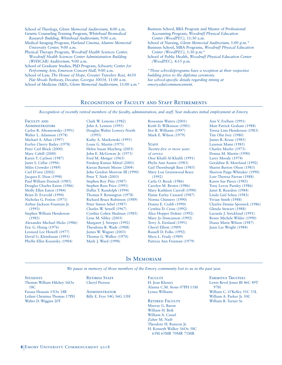School of Theology, *Glenn Memorial Auditorium,* 8:00 a.m. Genetic Counseling Training Program, *Whitehead Biomedical* 

- *Research Building, Whitehead Auditorium,* 9:00 a.m. Medical Imaging Program, *Harland Cinema, Alumni Memorial University Center,* 9:00 a.m.
- Physical Therapy Program, *Woodruff Health Sciences Center, Woodruff Health Sciences Center Administration Building (WHSCAB) Auditorium,* 9:00 a.m.
- School of Graduate Studies, PhD Program, *Schwartz Center for Performing Arts, Emerson Concert Hall,* 9:00 a.m.
- School of Law, *The House of Hope, Greater Travelers Rest, 4650 Flat Shoals Parkway, Decatur, Georgia 30034,* 11:00 a.m.
- School of Medicine (MD), *Glenn Memorial Auditorium,* 11:00 a.m.\*
- Business School, BBA Program and Master of Professional Accounting Program, *Woodruff Physical Education Center (WoodPEC),* 11:30 a.m.
- School of Nursing, *Glenn Memorial Auditorium,* 1:00 p.m.*\**
- Business School, MBA Programs, *Woodruff Physical Education Center (WoodPEC),* 1:30 p.m.\* School of Public Health, *Woodruff Physical Education Center*
- *(WoodPEC),* 4:15 p.m.

*\*These schools/programs have a reception at their respective building prior to the diploma ceremony. See school-specific details regarding timing at emory.edu/commencement.*

# RECOGNITION OF FACULTY AND STAFF RETIREMENTS

*Recognition of recently retired members of the faculty, administration, and staff. Year indicates initial employment at Emory.* 

FACULTY AND **ADMINISTRATORS** Carlos R. Abramowsky (1991) Walter L. Adamson (1978) Michael A. Allan (1997) Evelyn Cherry Bailey (1978) Peter Carl Block (2000) Mary Cahill (2000) Karen T. Carlson (1987) Janet S. Cellar (1996) Miles Crowder (1989) Carl D'orsi (2002) Jacques E. Dion (1998) Paul William Doetsch (1985) Douglas Charles Eaton (1986) Molly Ellen Eaton (1984) Brian D. Evavold (1994) Nicholas G. Fotion (1971) Arthur Jackson Fountain Jr. (1993) Stephen William Henderson (1985) Alexander Michael Hicks (1986) Eric G. Honig (1976) Leonard Lee Howell (1977) David G. Kleinbaum (1993) Phyllis Ellen Kozarsky (1984)

Clark W. Lemons (1982) John A. Lennon (1995) Douglas Walter Lowery-North (1995) Kathy A. Markowski (1995) Louis G. Martin (1971) Helen Susan Mayberg (2003) John E. McGowan Jr. (1973) Fred M. Menger (1965) Pardeep Kumar Mittal (2001) Kieran Barnett Moore (2004) John Gordon Morrow III (1990) Peter T. Nieh (2003) Stephen Roy Pitts (1987) Stephen Russ Price (1991) Dallin T. Randolph (1994) Thomas F. Remington (1978) Richard Bruce Rubinson (1989) Peter Simon Sebel (1987) Charles W. Sewell (1967) Cynthia Cohen Shulman (1985) Lynn M. Sibley (2003) Margaret J. Strieper (1992) Theodosia R. Wade (1988) James W. Wagner (2003) Thomas G. Walker (1970) Mark J. Ward (1998)

Roseanne Waters (2001) Keith D. Wilkinson (1981) Ifor R. Williams (1997) Mark E. Wilson (1979)

#### **STAFF**

*Twenty-five or more years of service* Otor Khalil Al-Khalili (1991) Phylis Ann Austin (1983) Gail Thornburgh Bass (1985) Mary Lou Greenwood Boice (1992) Carla O. Brock (1986) Carolyn M. Brown (1986) Mary Kathleen Carroll (1990) Elaine Earley Cassard (1987) Norma Chinnery (1990) Donna E. Crabb (1990) Cynthia D. Cross (1992) Alice Hopper Dokter (1992) Mary Jo Duncanson (1992) Terry A. Eiesland (1991) Cheryl Elliott (1989) Russell D. Folks (1992) Myra L. Frady (1989) Patricia Ann Freeman (1979)

Ann V. Frellsen (1991) Matt Patrick Graham (1988) Teresa Linn Henderson (1983) Tim Olin Ivey (1980) James R. Kruse (1985) Laureen Mann (1985) Charles Marler (1973) Donna M. Martin (1990) Larry Moody (1974) Geraldine B. Moreland (1992) Sharen Burton Olson (1983) Sharron Paige-Whitaker (1990) Lore Theresa Parran (1988) Karen Sue Pierce (1985) Tony Lavoy Pursley (1986) Janet B. Reardon (1984) Linda Gail Scheu (1983) Vivian Smith (1988) Charles Dennis Spornick (1986) Glenda Stewart (1988) Lucinda J. Strickland (1991) Renee Michele Wilder (1990) Diana Marie Wilson (1987) Janis Lee Wright (1984)

# IN MEMORIAM

*We pause in memory of those members of the Emory community lost to us in the past year.* 

**STUDENTS** Thomas William Hilchey 16Ox 18C Faraaz Hossain 15Ox 18B Leilani Christina Thomas 17PH Walter D. Wiggins 20T

**RETIRED STAFF** Cheryl Pierson

**ADMINISTRATOR** Billy E. Frye 54G 56G 15H **FACULTY** H. Jean Khoury Alanna C.M. Stone 07PH 11M Lynna Williams

RETIRED FACULTY Murray G. Baron William H. Beik William A. Cassel Zuher M. Naib Theodore H. Runyon Jr. H. Kenneth Walker 56Ox 58C 63M 65MR 70MR 71MR

Emeritus Trustees Lewis Bevel Jones III 46C 49T 97H William C. O'Kelley 51C 53L William A. Parker Jr. 50C William B. Turner Sr.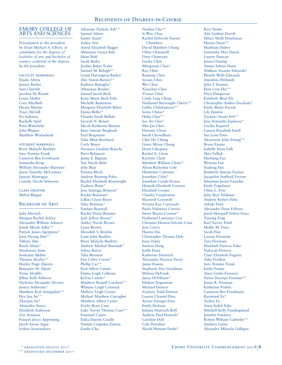## EMORY COLLEGE OF ARTS AND SCIENCES

*Presentation to the president, by Dean Michael A. Elliott, of candidates for the degrees of bachelor of arts and bachelor of science; conferral of the degrees by the president.* 

faculty marshals Eladio Abreu Jessica Barber Sam Cherribi Jacobus De Roode Lynne Huffer Cora MacBeth Hiram Maxim Tracy McGill Eri Saikawa Rachelle Spell Peter Wakefield John Wegner Matthew Weinschenk

student marshals River Malachi Bunkley Sara Temime Frank Cameron Ben Frostbaum Samantha Keng William Alexander Martinez Jason Timothy McCartney Jamani Montague Cassidy Nicole Schwartz

class orator Mehul Bhagat

#### BACHELOR OF ARTS

Julia Abovich Morgan Rachel Ackley Alexander William Adeseye Jonah Micah Adler\*\* Patrick James Agrippina\* Joon Hyung Ahn\*\* Tiffany Ahn Ruchi Ahuja\* Mackenzie Aime Soukaina Akdim Thomas Alcalay\*\* Hayley Paige Alperin Benjamin M. Alpert Yusur Alsalihi Jillian Kelli Alsberry Nicholas Alexander Alvarez Jessica Ambroise\* Matthew Kofi Amegadzie\*\* Hea Jun An\*\* Zhaojun An\* Alejandra Anaya Elizabeth Anderson Zoe Aoussou Frances Joycy Appenteng Jacob Aaron Aqua Ivelina Arnaoudova

# Adrienne Nichole Ash\*\* Samuel Atkins

Sumer Azam\* Zuhra Aziz Astrid Elizabeth Bagger Ahminata Gnara Bah Ishan Bahl Sarah Bailey Jordan Baker-Tealer Samuel M. Balogh\*\* Grant Harrington Barker Alec Simon Barnes\*\* Kathryn Battaglia\* Athanasia Beasley Samuel Jacob Beck Katie Marie Beck-Felts Michelle Bederman Margaret Elizabeth Beker Emma Belfer\* Claudia Sarah Bellido Sariyah N. Benoit Micah Katherine Benton Ilana Simone Berghash Paul Bergmann Talia Mirit Bernhard Carly Besser Veronica Giuditta Bianchi Purvi Bidasaria Jamie E. Bigman Nia Nicole Bilal Jolie Blair Paloma Bloch Andrew Boateng-Poku Rachel Elizabeth Boatwright Zachary Boise\* Jose Santiago Bolanos\* Rachel Bossman\* Lillian Claire Boyer Nika Braiman\* Nathan Braswell Rachel Diane Brenner Jack Jeffrey Breuer\* Ashley Nicole Brown Liana Brown Meredith S. Broyles Liam John Buckley River Malachi Bunkley Andrew Michael Burnside\* Selena Burris Talia Burstein Ena Cabre Correa\* Phillip Cai\*\* Paul Albert Caintic Emma Leigh Calhoun Kelvin Camilo\* Matthew Russell Carabasi\*\* Whitney Leigh Carmack Mallory Leigh Carnes Michael Matthew Carragher Matthew Albert Carter Darby Roos Caso Luke Xavier Thomas Caso\*\* Emanuel Castro Dalia Darene Caudle Yasmin Cespedes-Zaman Eunho Cha

Nanhee Cha\*\* Si Woo Chae Rachel Deborah Naomi Chambers David Matthew Chang Chloe Chasanoff Urmi Chatterjee Gaoke Chen Mengxuan Chen\* Ray Chen Rumeng Chen Siyuan Chen Wei Chen Xiaochen Chen Yixuan Chen Cindy Ling Cheng Nathaniel Burroughs Cherry\*\* Lekha Chilakamarri\*\* Sonia Chinai\* Hahn Choi\*\* Joo An Choi\* Min Jae Choi Florence Chow Sarah Chowdhury Chee Ho Chung Grace Miran Chung Doris Cikopana Rachel A. Citrin Kaylette Clark Matthew William Cleare\* Alexis Rickeshia Cole Harmonie Coleman Jonathan Coles\* Jonathan Conde-Peraza Hannah Elizabeth Conway Elizabeth Cooper Claudia Cooperstein Maxwell Cornwell Viviana Kay Coronado Paola Valentina Correia Sierra Briana Cortner\* Nathaniel Lawrence Cox Christine Eleanor-Salvant Crais Jose Cueva Hanrui Dai Christopher Thomas Dale Isaac Daley Sumera Dang Joelle Danz Katherine Dautrich Alexandra Victoria Davis Jamie Dawes Stephanie Day-Goodman Melissa DeFrank Janay DeVillasee\* Eliakim Deguzman Michael Demers Zachary Todd Denton Lauren Chantel Diaz Xavier Enrique Diaz Emily Dickson Juliana Dieterich Boff Andrew Paul Doetsch\* Caroline Doll Cole Donahue Akash Hemant Doshi\*

Ravi Doshi Ada Guthrie Dovell Hilary Shelli Druckman Hairuo Duan\*\* Shubham Dubey Samantha May Dunat Lauren Duncan Jessica Dunlap Amina Sabree Dunn Malkese Assante Edwards\* Phoebe Wells Edwards Annabess Ehrhardt Julia T. Eisman Ekin Cem Eke\*\* Priya Elangovan Kimberly Blair Ely Christopher Andres Encalada\* Emily Marie Enyedi Lily Epstein Zachary Stuart Erb\*\* Jose Armando Espinoza\* Cecilia Esquivel Lauren Elizabeth Estell Sue Lynn Estes Akaniyene John Ettang\*\* Bryan Ezema Isabelle Dean Falk Shea Fallick Haoliang Fan Wenyun Fan Xudong Fan Kimberly Simone Farmer Jacquelyn Stafford Farrow Sebastian Javier Faundez Emily Feigelman Chloe L. Fein Julia Skye Feldman Andrew Robert Felix Ashaki Felix Alexander Dean Fellows Jared Marquell Felton-Grice Yinning Feng Karl Xavier Fenzl Mollie M. Fiero Sarah Fine Lauren Firestone Tara Firestone Elizabeth Patricia Fiske Nakiyah Flowers Clare Elizabeth Fogarty Asha Fradkin Sara Temime Frank Emily Franty Anna Giulia Franzosi Dylan Decorps Freeman\*\* Justin R. Freeman Katherine Frisbie Cameron Ben Frostbaum Raymond Fu\* Yichen Fu Anna Isabel Fuhr Mitchell Kelly Fundingsland Jennifer Fundora Robert William Gahwiler\*\* Anshera Galan Alejandra Mikayla Gallegos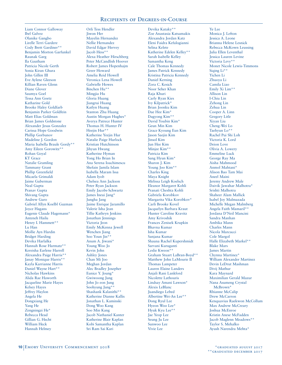Liam Connor Galloway Ibel Galvez Olanike Gangbo Lirelle Terri Gardere Cody Brett Gardiner\*\* Benjamin Morton Garfunkel Raunak Garg Ila Gautham Patricia Nicole Gerth Sonia Kiran Ghura John Gillen III Eve Aylene Gleeson Killian Raven Glenn Diane Glover Saumya Goel Tessa Ann Goetz Katharine Gold Brooke Haley Goldfarb Benjamin Parker Goldfein Matt Elias Goldman Brian James Goldstone Alexander Jesus Gonzalez Carissa Hope Goodwin Phillip Gorbunov Madeline J. Gordon Maria Isabella Braule Gordy\*\* Amy Eileen Gorowitz\*\* Rohan Goyal KT Grace Natalie Gramling Tammany Grant Phillip Greenfield Micaela Grimaldi Jaime Guberman Neal Gupta Pranav Gupta Shivang Gupta Andrew Guro Gabriel Allyn Koelbl Guzman Joyce Hagans Eugenie Claude Hagemann\* Anteneh Hailu Henry I. Hammett\*\* Lu Han Mollie Ayn Hardin Bridget Harding Devika Harlalka Hannah Rose Harmatz\*\* Kereisha Earlene Harrell Alexandra Paige Harris\*\* Janay Monique Harris\*\* Kayla Karrianne Harris Daniel Wayne Hart\*\* Nicholas Hawkins Alida Rae Haworth Jacqueline Marie Hayes Kelsey Hayes Jeffrey Haylon Angela He Dongxiang He Yang He Zengningzi He\* Rebecca Head Gillian G. Hecht William Heck Hannah Helmey

Orli Tess Hendler Jiwon Her Mayelin Hernandez Nellie Hernandez David Edgar Hervey Jacob Hess\*\* Alexa Heather Hirschberg Peter McCandlish Hoover Robert James Hopenhajm Greer Howard Amelia Reid Howell Veronica Lena Howell Gabrielle Howes Binchen Hu\*\* Mingjia Hu Gloria Huang Jiangrui Huang Katlyn Huang Stanton Zhu Huang Austin Morgan Hughes\* Averya Patrece Hunter Thomas H. Hunter IV Heejin Hur\*\* Katherine Yeejin Hur Natalie Paige Hurlock Kristian Hutchinson Jihyun Hwang Katherine Hyman Yong Ho Brian In Ana Serena Ioachimescu Shefain Jamila Islam Isabella Maram Issa Adam Iyob Chelsea Ann Jackson Peter Ryan Jackson Emily Jacobs-Schwartz James Ineui Jang\* Jungha Jang Jaime Enrique Jaramillo Valerie Isha Jean Tillie Kathryn Jenkins Jonathan Jennings Victoria Jeon Emily McKenna Jewell Wenchen Jiang Soo Youn Jin\*\* Anum A. Jiwani\* Young Woo Jo Kevin John Ashley Jones Chan Mi Joo Meghan Jordan Alec Bradley Josepher Eunice Y. Joung\* Gwiwoong Jung John Jo eon Jung Soohyung Jung\*\* Shashank Kalanithi\*\* Katherine Dianne Kallis Jonathan L. Kaminski Dong Woo Kang Soo Min Kang Jacob Nathaniel Kanter Katherine Blair Kaplan Kobi Samantha Kaplan Sri Ram Sai Kari

Devika Kataky\*\* Zoe Anastasia Katsamakis Alexandra Jordan Katz Eleni Faidra Kefalogianni Selina Kelete Katherine Edelen Kelley\*\* Sarah Isabelle Kelley Samantha Keng Cale Thomas Kennedy James Patrick Kennedy Kristina Patricia Kennedy Daniel Kerning Zora C. Kesich Noor Seher Khan Raja Khuri Carly Ryan Kies Ivy Kilpatrick\* Brian Joonku Kim Dae Hee Kim\* Dagyong Kim\*\* David Youbin Kim\* Geun Min Kim Grace Kyoung Eun Kim Jason Saejin Kim Jinsol Kim Jun Hee Kim Minjee Kim\*\* Patricia Kim Sang Hyun Kim\* Sharon J. Kim Young Joo Kim\*\* Charles King Maya Knight Melissa Leigh Koelsch Eleanor Margaret Kohli Pranati Cheshta Kohli Gabriela Korobkov Margarita Vika Korobkov\* Carli Brooke Kovel Jacquelyn Barbara Kraut Hunter Caroline Kravitz Amy Krivoshik Frances Zenisek Krupkin Bhavna Kumar Isha Kumar Sanjana Kumar Shauna Rachel Kupershmidt Sarvani Kuruganti Leslie Kweon\*\* Graham Stuart LaBran-Boyd\*\* Matthew John LaMourie II Thomas Lampeter Lauren Elaine Landers Anjali Rani Lankford Nicolette Lathouris Lindsay Amani Lawson\* Alexis LeBlanc Juandiego Lebed Albertine Wei-An Lee\*\* Dong Ryul Lee Hyeon Woo Lee\* Hyuk Kyu Lee\*\* Jae Yeop Lee Seung Ju Lee Sunwoo Lee Vivie Lee

Ye Lee Monica J. Lefton Jessica A. Leone Brianna Helene Lesnick Rebecca McKown Leussing Julia Ellen Leventhal Jessica Lauren Levine Victoria Levy\*\* Monet Nicole Lewis-Timmons Siqing Li\*\* Yichen Li Zhuoya Li Camila Liao Emily Xi Lim\*\* Allison Lin I-Chiu Lin Zehong Lin Zehua Lin Cooper A. Linn Gregory Litle Xiyan Liu Cheng-Wei Lo Taehyun Lo\*\* Rachel Pui Shi Loh Victoria K. Lord Deion Love Olivia A. Lowery Emmeline Luck George Ray Ma Aisha Mahmood Anmol Mahtani\* Alison Bao Tam Mai Aneel Maini Jeremy Andrew Male Daivik Jawahar Malhotra\* Srishti Malhotra Shaheer Alam Mallick Isabel Joy Malmazada Michelle Megan Malmberg Angela Faith Mamaril\*\* Jordana D'Neil Mancini Sandra Manhan Ambika Mann Charles Mann Nicola Marcucci Cole Margol Halle Elizabeth Markel\*\* Blake Mars James Martin Chynna Martinez\* William Alexander Martinez Devin LeDrut Mashman Divij Mathur Kara Maynard Maximilian Gerald Mazur Nana Asumeng Crystal McBrown\* Rhianne McCalip Drew McCarron Kenquavius Raekwon McCollum Max Andrew McCreary Joshua McEnroe Kristin Anese McFadden Jacob Maglenn Meadows\*\* Taylor S. Mehalko Ayush Narendra Mehta\*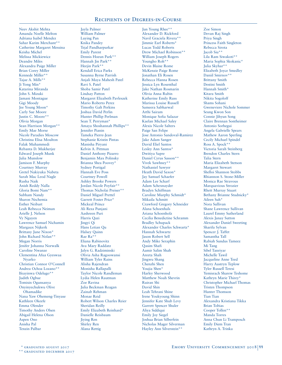Neev Akshit Mehta Amanda Noelle Melton Adriana Isabel Mendez Sahar Karim Merchant\*\* Catherine Margaret Messina Keisha Michel Melissa Mickiewicz Deandre Miles Alexandra Paige Miller Brian Corey Miller Kennede Miller\*\* Tajae A. Mills\*\* Ji Yong Min\* Katarina Miranda John S. Mizuki Jamani Montague Gigi Moody Jee Young Moon\* Carly Sue Moore Justin C. Moore\*\* Olivia Morgan Sean Harrison Morgan\*\* Emily Mae Morse Nicole Paradies Moscow Christina Elisa Moulton Falak Muhammedi Rebanta D. Mukherjee Edward Joseph Munk Julia Munslow Jamison F. Murphy Courtney Murray Gretel Nakiyuka Nabeta Sarah Mac Leod Nagle Rusha Naik Anish Reddy Nalla Gloria Bomi Nam\*\* Subham Nandy Sharon Nechemia Esther Neibart Leah Rebecca Neiman Arielle J. Nelson Vy Nguyen Lawrence Samuel Nichamin Margaux Nijkerk Brittany June Nixon\* John Richard Nolan\*\* Megan Norris Jenifer Johanna Norwalk Caroline Nwanze Clementina Afua Gyeswaa Nyarko Christian Connor O'Connell Andrea Ochoa Lozano\*\* Ifeayinwa Odelugo\*\* Judith Ogbue Tomisin Ogunsanya Onyinyechukwu Olive Ohamadike Nana Yaw Ohemeng-Tinyase Kathleen Okeefe Emma Olender Timothy Anders Olsen Abigail Helena Olson Aspen Ono Anisha Pal Tenzin Palbar

Jayla Palmer William Palmer Luying Pan Knika Pandey Tejal Pandharpurkar Emily Parent Dennis Hoeun Park\*\* Hannah Jin Park\*\* Heejin Park\*\* Kendall Erica Parks Susanna Byrne Parrish Anjali Maya Mahesh Patel Ravi S. Patel Shoba Samir Patel Lindsay Patton Margaret Elizabeth Pavleszek Mario Roberto Perez Timothy Galt Perkins Joshua David Perlin Hunter Phillip Perlman Sean T. Perryman\* Amaya Shoshannah Phillips\*\* Jennifer Pianin Tameka Pierre-Jean Stephanie Kristin Pintas Manisha Piryani Kelvin A. Pittman Daniel Anthony Pizarro Benjamin Max Polinsky Brianna Shea Poovey\* Sydney Portigal Hannah Eve Poss Courtney Powell Ashley Brooke Powers Jordan Nicole Poyfair\*\* Thomas Nicholai Preiser\*\* Daniel Miguel Prettel Garrett Foster Price\* Mickeal Prince Ali Reza Punjani Aashreen Puri Harris Qazi Jingyi Qi Hans Letian Qu Halsey Quinn Rae Ra\*\* Eliana Rabinovitz Ava Mary Raddatz Jalyn G. Radziminski Olivia Asha Ragoowansi William Tyler Rains Alisha Rajendran Monisha Rallapalli Taylor Nicole Randleman Lydia Helen Rautman Zoe Ravina Julia Beckman Reagan Zainab Rehman Monae Reid Robert Wilson Charles Reier Sheridan Reilly Emily Elizabeth Reinhard\* Danielle Reisbaum Jiying Ren Shirley Ren Alana Rettig

Jun Young Rhee\*\* Alexander D. Rickford Navil Graciela Rivera\*\* Jimmie Earl Roberts\* Lucas Todd Roberts Drew Michael Robinson\*\* William Joseph Rogers Youngho Roh\*\* Devin Blaine Rome McKenzie Paige Rome Jonathan Eli Rosen Rebecca Hanna Rosen Jessica Lyn Rosenthal Jake Nathan Rosmarin Olivia Anna Rubin Katherine Emily Russ Marissa Louise Russell Sameera Sabharwal Arthi Sairam Monique Sofia Salazar Kaelan Michael Saley Alexis Nicole Salters Paige San Felipe Jose Antonio Sandoval-Ramirez Jake Adam Sanger David Eliel Santos Lesley Ann Santos\* Dwitiya Sapre Daniel Cyrus Sasson\*\* Vivek Sawhney\*\* Nathaniel Sawyer Heath David Saxon\* Jay Samuel Schaefer Adam Lee Scharf Adam Schexnayder Bradyn Schiffman Caroline Murphy Schmidt\* Mikaila Schmitt Crawford Gregory Schneider Alana Schoenhals Ariana Schoenholz Cecilia Benedictine Schramm Bradley Schupack Alexander Charles Schwartz\* Hannah Schwartz Jason Robert Sell Andy Mike Seraphin Qasim Shafi Aamir Salim Shah Areeta Shah Jingwu Shang Chenzhi Shen Youjia Shen\* Harley Sherwood Matthew Noah Shevrin Ruiran Shi David Shin Leah Tehrani Shine Irene Youkyoung Shinn Jennifer Kate Shub Levy Garrett Spencer Shuler Aliya Siddiqui Emily Joy Siegel Joshua Brian Silberfein Nicholas Mager Silverman Hayley Ann Silverstein\*\*

Zoe Simon Devan Raj Singh Priya Singh Princess Faith Singleton Rebecca Sirota Jacob Siu\*\* Lila Ram Siwakoti\*\* Maria Sophia Skokanic\* Julia Skyhar\*\* Elizabeth Joyce Smedley Daniil Smirnov\*\* Brittany Smith Destini Smith Hannah Smith\* Kitara Smith Nikita Sogoloff Shams Sohani Gweneviere Nichole Sommer Seung Kwon Son Connie Jihyun Song Claire Brennan Sontheimer Antonio Sorhegui Angela Gabrielle Spears Mathew Aaron Sperling Cecily Michael Spindel Ross A. Spock\*\* Victoria Sarah Steinberg Brendon Charles Stern Talia Stern Maria Elizabeth Stetson Margaret Stewart Shelloi Shannon Stobbs Rhiannon S. Stone-Miller Monica Rae Stravous Marquavious Strozier Rhett Murray Stuart Bethany Brianne Studnicky\* Aileen Suh\* Nora Sullivan Shane Lawrence Sullivan Laurel Emmy Sutherland Alexis Janay Sutton Alexander Daniel Sweeting Sharifa Sylvan Spencer J. Taffet Samantha Tall Rabiah Sundus Tameez Mi Tang Sibel Tanriyar Michelle Tawil Jacqueline Anne Teed Harry Austryn Teplow Tyler Russell Teresi Yemisrach Sharew Teshome Kathryn Marie Thirey\* Christopher Michael Thomas Tristen Thompson Hunter Thomson Tian Tian Alexandra Kristiana Tikka Brian Tobias Cooper Tollen\*\* Manda Torres Anna Chun Li Tramposch Emily Diem Tran Kathryn A. Trinka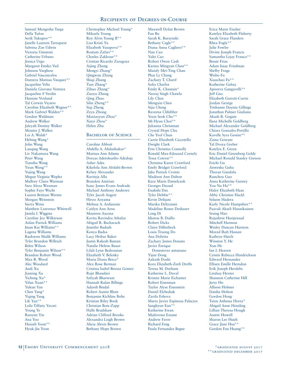Samuel Mengesha Tsega Della Tufon Serik Tukupov\*\* Janelle Laureen Turnquest Sabrina Zoe Udwin Victoria Umutoni Catherine Urbano Jessica Urgo Margaret Emiko Vail Johnson Varghese Gabriel Vasconcelos Daenera Marissa Vazquez\*\* Jacqueline Veliz Daniela Giovana Ventura Jacqueline F Verdin Hansine Vexlund Tal Corwin Vicario Caroline Elizabeth Wagner\*\* Mark Gabriel Walden\*\* Gordon Waldman Andrew Walker Jaleyah Destiny Walker Montez I. Walker Loi A. Walsh\* Hebing Wang\* John Wang Lanqing Wang Liv Nakamura Wang Peter Wang Tianshu Wang Yiran Wang\*\* Yujing Wang Megan Virginia Waples Mallory Claire Warman Sara Alexa Waxman Sophie Faye Wecht Lauren Brittani Weems Morgan Weinstein Sierra Weiss Matthew Lawrence Whitwell Jamila I. Wiggins Caroline Joy Wilkerson Aidan Patrick Williams Iman Kai Williams\*\* Lagena Williams Raekwon Malik Williams Tyler Brandon Willrich Belen Wilson Tyler Benjamin Wilson\*\* Brandon Robert Wood Max R. Wood Alec Woodard Andi Xu Jiaming Xu Yicheng Xu\* Yifan Xuan\*\* Yukun Yan Chen Yang\* Yiqing Yang Lik Yau\*\* Leila Tiffany Yavari Young Ye Ruoyun Yin Ana Yoo Huisub Yoon\*\* Hyuk-Jin Yoon

Christopher Michael Young\* Mikaela Young Roy Alvin Young II\*\* Lisa Kristi Yu Elizabeth Yusupova\*\* Rostam Zafari\*\* Charles Zakkour\*\* Cristian Ricardo Zaragoza Aijing Zhang Mengyi Zhang<sup>\*</sup> Qingwan Zhang Shiqi Zhang Tian Zhang\* Zihao Zhang\* Zuoyu Zhang Qing Zhao Silin Zheng\*\* Siqi Zheng Zeyu Zhong Maxiaoyun Zhou\* Xinyi Zhou\* Helen Zhu

## BACHELOR OF SCIENCE

Caroline Abbott Abdella A. Abdushukur\* Marissa Ann Adams Dorcas Adetokunbo Adedoja Asher Ades Kikelola Ann Afolabi-Brown Kelsey Alexander Raviteja Alla Brandon Amirian Isaac James Evans Andrade Michael Anthony Andrews Tyler Jacob Angert Hiroo Aoyama Melissa A. Ardizzone Caitlyn Ann Arno Maureen Ascona Kavita Ravindra Athalye Abigail R. Bacharach Jennifer Badash Konya Badsa Lucy Hribar Baker Justin Rakesh Baman Natalie Helene Bauer Lilah Lynn Bedrossian Elizabeth V. Belenky Maria Diana Berce\* Alex Rose Berman Cristina Isabel Besosa Gomez Rajit Bhandari Safiyah Bharwani Hannah Rulan Billings Adarsh Bindal Robert Austin Blom Benjamin Kichline Bolte Kristian Riley Book Christian Botz-Zapp Halle Bradshaw Adrian Clifford Brooks Alexandra Leigh Brown Alicia Alexis Brown Bethany Hope Brown

Maxwell Dylan Brown Fan Bu Sarah K. Burzynski Bethany Cagle\*\* Diana Anna Cagliero\*\* Nan Cao Yulei Cao Robert Owen Cash Karina Mingyan Chan\*\* Mandy Mei-Ying Chan Phat Ly Chang Zachary T. Charif Sofia Charlot Emily K. Chastain\* Neeraj Singh Chawla Lily Chen Mengxin Chen Sijia Cheng Raveena Chhibber Yoon Seok Cho\*\* Mi Hyun Choi\*\* Julianna Christman Crystal Hope Chu Che Yeol Chun Carrie Elizabeth Ciccotello Dwight Clark Erin Christina Connolly Ronald Max-Edouard Cornely Tessa Cotron\*\* Christina Karen Crawford Emily Bridget Crawford Jake Patrick Cronin Madison Ann Dalton Kara Marie Danielczuk Georges Daoud Enakshi Das Tyler Debbie\*\* Kevin Delijani Marika Deliyianni Madeline Renee Deshazer Long Di Idiatou B. Diallo Robert Dicks Claire Dillenbeck Louis Truong Do Ana Dobrita Zachary James Donato Javier Enrique Donestevez antunano Yijun Dong Aakash Doshi Kora Elizabeth-Zeeb Dreffs Teresa M. Durham Katherine L. Duval Kristen Marie Eichamer Robert Eisenman Taylor Alyse Eisenstein Daniel Elchediak Zarifa Eshova Mario Javier Espinosa Palacios Sanghyun Eun\*\* Katherine Ewan Mialovena Exume Andrew Favre Richard Feng Paula Fernandez Begne

Erica Marie Fischer Katelyn Elizabeth Flaherty Sarah Grace Flanders Rhea Fogla\*\* Julie Fowler Divine Joseph Francis Samantha Lejay Franco\*\* Bessie Frias Adam Isaac Friedman Shelby Fruge Weibo Fu Xiaochao Fu\*\* Katherine Gabay Apoorva Gangavelli\*\* Jeff Gao Elizabeth Garrett-Currie Jordan George Trishanne Daynia Gillings Jonathan Palmer Giuliano Akash R. Gogate Ilana Michelle Goldberg Michael Alexander Goldberg Chiara Gonzales-Portillo Kavelle Syra Gosine\*\* Zaina Gowani Tal Dvora Greber Katelyn E. Green Eric Daniel Greenberg Goldy Michael Ronald Stanley Grenon Feichi Gu Anwesha Guha Thoran Gundala Runchou Guo Anna Katherine Gurney You Na Ha\*\* Haley Elizabeth Haas Abby Christine Hackl Selaem Hadera Karly Nicole Hampshire\*\* Paavali Akseli Hannikainen Sixing Hao Rajashree Hariprasad Mitchell Harmon Wesley Duncan Harmon Morad Ihab Hassan Kathryn Hatch Winston Y. He Xun He Ian I. Heaven Cristin Rebecca Hendrickson Edward Hernandez Ellisen Emille Herndon Erik Joseph Herslebs Lindsay Hexter Shannon Catherine Hill Jerry Ho Allison Holmes Daisha Holton Gordon Hong Tsion Anbessa Horra\* Abigail Anne Hotaling Lillian Theresa Hough Austin Howell Sharon Lee Hsieh Grace June Hsu\* Gordon Fan Huang\*\*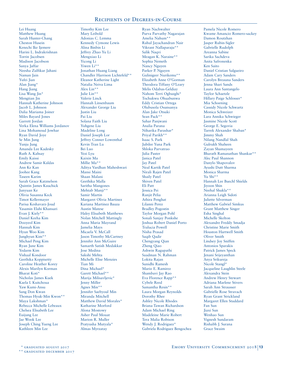Lei Huang Matthew Huang Sarah Hunter-Chang Cheston Husein Kenechi Ike Ijemere Harini L. Indrakrishnan Torrin Jacobsen Madison Jacobson Sanya Jaffar Neesha Zulfikar Jahani Naman Jain Yufei Jian Alan Jiang\* Hang Jiang Lisa Wang Jin\* Mengtian Jin Hannah Katherine Johnson Jacob L. Johnson Dalia Mariama Joiner Miles Bayard Jones Garrett Jordan Verka Elena Williams Jordanov Lina Mohamoud Jowhar Ryan David Joye Se Min Jung Yunju Jung Amanda Lee Kadesky Ruth A. Kahsay Emily Kaissi Andrew Samir Kaldas Ann Ke Kan Joohee Kang Taseen Karim Sarah Grace Katznelson Quintin James Kauchick Junyuan Ke Olivia Susanna Keck Timot Kellermayer Parisa Keshavarz-Joud Yasamin Elahi Khansari Evan J. Kiely\*\* Daniel Keeha Kim Dooyeol Kim Hannah Kim Hyun Woo Kim Junghyun Kim\*\* Michael Peng Kim Ryan June Kim Yedarm Kim Vishaal Kondoor Geethika Koppisetty Caroline Heather Korey Alexis Marilyn Korman Bharat Koti\* Nicholas James Kuek Kaela I. Kuitchoua Yaw Kumi-Ansu Sang Don Kwan Thomas Hyuk-Min Kwon\*\* Maya Lakshman\* Rebecca Michelle Lebeaux Chelsea Elisabeth Lee Euijung Lee Jae Wook Lee Joseph Ching Yueng Lee Kathleen Min Lee

Timothy Kim Lee Mary Leibold Adonias C. Lemma Kennedy Cymone Lewis Alina Binbin Li Jeffrey Zhao Yu Li Mengxiao Li Yicong Li Yiwen Li\*\* Jonathan Huang Liang Chandler Harrison Lichtefeld\*\* Eleanor Katherine Light Natalia Neiva Lima Alex Lin\*\* Julie Lin\*\* Valerie Linck Hannah Linsenbaum Alexander George Liu Justin Liu Pai Liu Solana Faith Liu Yuhgene Liu Madeline Long Daniel Joseph Lor Jeffrey Conner Lowenthal Kevin Tran Lu Bei Luo Yezi Lyu Kaixin Ma Millie Ma\*\* Aditya Vardhan Maheshwari Mansi Maini Shaan Malani Geethika Malla Saritha Mangones Mehtab Manji\*\* Samir Martin Margaret Olivia Martinez Kariana Martinez Bauza Austin Matese Haley Elisabeth Matthews Nolan Mitchell Mattingly Anna Maria Mayrand Jamelia Mays Micaela V. McCall Jason Timothy McCartney Jennifer Ann McGuire Samarth Satish Medakkar Jose Medina Sakshi Mehta Michelle Elise Menzies Tian Mi Dina Michael\* Garett Michael\*\* Marija Milisavljevic\* Jenny Miller Agnes Min\*\* Jennifer Saebyoul Min Miranda Mitchell Matthew David Morales\* Katharine Morford Alona Mostowy Asher Paul Mouat Marion R. Muller Pratyusha Mutyala\* Almas Myrzatay

Ryan Nachwalter Purva Parvathy Nagarajan Amelia Nahum\*\* Rahul Jayachandran Nair Vikrant Nallaparaju\*\* Salik Naqvi Meagan K. Naraine\*\* Sophia Nemeth Nancy Nguyen Parker P. Nguyen Gulinigeer Nurikemu\*\* Elizabeth Anne O'Gorman Theodora Tiffany O'Leary Melis Odabas-Geldiay Nahom Terri Ogbazghi\* Tochukwu Ohuabunwa Eddy Cristian Ortega Olubusola Osunsanya Alan Jake Otsuki Sean Pack\*\* Sahar Panjwani Analia Parana Niharika Parashar\* Priyal Parikh\*\* Isaac S. Park Jubilee Yuna Park Shloka Parvatrao Julia Paster Janica Patel Jay Patel Neal Kartik Patel Nirali Rajen Patel Shaily Patel Shiven Patel Eli Patt Jessica Pei Ranjit Pelia Athira Penghat Lilanni Perez Bradley Pogostin Taylor Morgan Pohl Sonali Sanjay Ponkshe Joshua Robert Daniel Porto Tralucia Powell Nisha Prasad Saqib Qadir Chengyang Qian Zheng Qiao Ashwin Ragupathi Saadman N. Rahman Lokita Rajan Sunidhi Ramesh Mario E. Ramirez Shambavi Jay Rao Eva Florence Rapp\*\* Cybele Reed Samantha Resin\*\* Laura Morgan Reynolds Dorothy Rhee Ashley Nicole Rhodes Briana Tawan Richardson Adam Michael Ring Madeleine Marie Robert Tera Malia Robison Wendy J. Rodriguez\* Gabriela Rodriguez Bengochea

Pamela Nicole Romero Kwame Amancio Romero-sackey Damon Routzhan Jasper Rubin-Sigler Gabrielle Rudolph Areanna Sabine Sarika Sachdeva Anita Safronenka Ken Saito Daniel Cristian Salgueiro Adam Cary Sanders Carolyn Breauna Sanders Jenna Shari Sands Laura Ann Santangelo Taylor Schaetzle Hillary Paige Schlosser\* Mia Schoening Cassidy Nicole Schwartz Monica Schweizer Lara Annika Schwieger Jasmine Nicole Scott George E. Segovia Tarrek Alexander Shaban\* Jimmy Shah Nilang Nandlal Shah Gulrukh Shaheen Zayan Shamayeen Bharath Ramanathan Shankar\*\* Alec Paul Shannon Danylo Shapovalov Ayushi Dutt Sharma Monica Sharma Yu Shi\*\* Hannah Lee Buechl Shields Jiyoon Shin Neehal Shukla\*\* Arianna Leigh Sidoti Juliette Silverman Matthew Gabriel Simkus Grant Matthew Singer Esha Singhal Michelle Skelton Alexandre Freddy Smadja Christine Marie Smith Houston Hartwell Smith Oliver Smith Lindsey Joy Sniffen Antonios Sparakis Patrick James Speck Jenani Srijeyanthan Anya Srikureja Nicole Stangl\* Jacqueline Laughlin Steele Alexandra Stein Andrew Henry Stewart Adriana Marlene Stivers Sarah Ann Strausser Gabrielle Rose Stravach Ryan Grant Strickland Margaret Ellen Studdard Fan Sun Jiaxi Sun Wenhao Sun Vignesh Sundaram Rishabh J. Surana Grace Swaim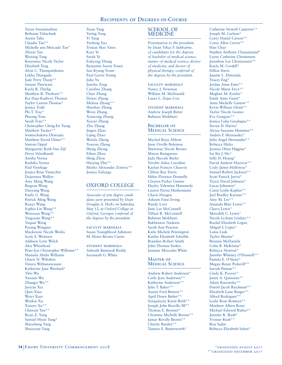Tarun Swaminathan Bethanie Tabachnik Austin Talis Claudia Tan\*\* Michelle ann Mercado Tan\* Zhixin Tan Weixing Tang Kenyanna Nicole Taylor Elizabeth Teng Alvin C. Thampalakattu Lekha Thangada Jude Perry Tharp\*\* Sonum Tharwani Kayla R. Theilig Matthew R. Thoburn\*\* Kia Daja-Kathryn Thomas Taylor Lauren Thomas\* Jessica Todd Phi T. Trac\* Phuong Tran Sarah Tran\*\* Christopher Ching-En Tseng Matthew Tucker\* Somtochukwu Ukwuani Matthew David Ulmer\*\* Simrun Uppal Marguerite Ruth Van Zijl Divya Veludhandi Anisha Verma Rashika Verma Paul Vienhage Jessica Rose Vissicchio Daijeonna Walker Amy Meng Wang Bingran Wang Danyang Wang Emily G. Wang Patrick Ming Wang Runye Wang Sophia Lin Wang\*\* Wenxuan Wang\*\* Yingxuan Wang\*\* Yuqian Wang Pasang Wangmo Mackenzie Nicole Weeks Scott A. Weitzner Addison Lynn Welch Alea Whitehead Peter-Jon Christopher Williams\*\* Shamala Aliehs Williams Charis N. Wiltshire Vinura Withanawasam Katherine June Woolard\* Yibo Wu Yuxuan Wu Zhangyi Wu\*\* Junyan Xia Qian Xiao Weiyi Xiao Wenkai Xu Xiaoyu Xu\*\* Chenxin Yan\*\* Ryan Z. Yang Samuel Hyun Yang\* Shaocheng Yang Shuoyuan Yang

Xuan Yang Yating Yang Yi Yang Yecheng Yao Tristan Skye Yates Kara Ye Sarah Ye Eukyung Yhang Benjamin Aaron Yosen Sun Kyung Youm Paul Garris Young Julia Yu Junchu Zeng Caroline Zhang Chao Zhang Dawei Zhang Melissa Zhang\*\* Shuohao Zhang Weixi Zhang Xiancong Zhang Xiaoyi Zhang Zhu Zhang Jingru Zhao Lijing Zhao Wenda Zheng Youyun Zheng Sheng Zhong Ethan Zhou Heng Zhou Huiying Zhu\*\* Marko Alexander Zotovic\*\* Jessica Zuluaga

# OXFORD COLLEGE

*Associate of arts degree candidates were presented by Dean Douglas A. Hicks on Saturday, May 12, at Oxford College in Oxford, Georgia; conferral of the degrees by the president.*

faculty marshals Susan Youngblood Ashmore M. Eloise Brown Carter

student marshals Ashruth Baimeedi Reddy Savannah G. White

## SCHOOL OF MEDICINE

*Presentation to the president, by Dean Vikas P. Sukhatme, of candidates for the degrees of bachelor of medical science, master of medical science, doctor of medicine, and doctor of physical therapy; conferral of the degrees by the president.*

FACULTY MARSHALS Nancy J. Newman William M. McDonald Laura L. Zajac-Cox

student marshals Andrew Joseph Ritter Bahman Mokhtari

#### BACHELOR OF Medical Science

Mychal Breja Abbott Jesse Orville Bolemon Shawntae Nicole Brown Mason Bumgarner Jada Shavale Butler Nirobii Askia Carodine Kaylan Frances Chauvin Clifton Ray Davis Helen Florence Donnelly Clayton Parker Gunter Hayley Valentine Hammerly Lauren Parisa Hashemijam Charis Haugen Ashanti Fatai Irving Randy Love Jami Lee McConnell Tiffani R. McConnell Bahman Mokhtari Bakhtawar Nadeem Sarah Ann Pearson Kaila Michele Pennington Kaitlin Elizabeth Scheible Brandon Robert Smith John-Thomas Stokes Jasmine Mercedes White

#### Master of Medical Science

Andrew Robert Anderson\* Carla Jean Anderson\*\* Katherine Anderson\*\* Julie T. Baker\*\* Austin Ford Benton\*\* April Dawn Bieber\*\* Synquincity Kurin Birth\*\* Joseph John Borrillo III\*\* Thomas E. Brenner\* Christina Michelle Broom\*\* Jamar Revelle Brown\*\* Charity Burden\*\* Tamara E. Butterworth\*

Catherine Nowell Cameron\*\* Joseph M. Carlson\* Corey Daniel Carson\*\* Corey Allen Carver\*\* Han Chao Stephen Anthony Chaussinand\* Layne Catherine Christensen Jonathon Lee Christiansen\*\* Kayla M. Cordell\* Dillon Davis Janette L. Dimonda Tracey Eng\* Jordan Anne Estes\*\* Nicole Marie Fava\*\* Meghan M. Fowler\* Emily Anne Gantt\* Anne Michelle Gaston\*\* Kevin William Gleim\*\* Taylor Nicole Gomez Eva Gougian\*\* Jessica Lidia Guadagno\*\* Steven D. Harris\* Alyssa Suzanne Hemmen\*\* Andres F. Hernandez\* Julio Angel Hernandez\*\* Rebecca Hicks Joanna Olsen Higgins\* Sai Kit J. Ho\* Sally D. Hoang\* David Andrew Hocevar\*\* Cody James Holloway\* Samuel Robert Jackson\*\* Scott Patrick Jarvis\* Travis David Johnson\* Lucas Johnston\* Caren Leslie Kaplan\*\* Joel Bradley Kazinec\*\* Amy M. Lee\*\* Amanda Blair Lewis\*\* Chava Lewis\* Meredith C. Lewis\* Nicole LeAnne Lindsey\*\* Rachel Elizabeth Logan Abigail J. Lopez\* Laina Lusk Taylor Mastin\* Brianna McDaniels Colin B. McKenna\* Rebecca Newton\* Jennifer Whitney O'Donnell\*\* Pamela E. O'Steen\* Megan Renee Pickerill\*\* Sarrah Pitman\*\* Cindy K. Poovey\* Jamie A. Quinones\*\* Adam Racowsky\*\* Daniel Jacob Reichman\*\* Elizabeth Lane Ringer\*\* Alfred Rodriguez\*\* Leslie Rose Romeyn\*\* Matthew Albert Rossi Michael Edward Rubio\*\* Jennifer K. Rush\* Yvonne Rush\*\* Roa Sadat Rebecca Elizabeth Saleet\*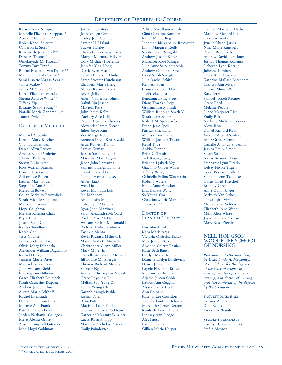Karissa Anne Sampson Michelle Elizabeth Sheppard\* Abigail Elaine Smith\*\* Robin Kandl Spierer\* Cameron L. Story\* Kimmberly Jean Thiel\*\* Darel A. Thomas\* Omokayode M. Thomas\* Tommy Duy Tran\* Rachel Elizabeth Van Dyken\*\* Manuel Eduardo Vargas\* Sarai Lissette Vargas-Vera\*\* Janice Varkey\* James M. Violante\*\* Karen Elizabeth Wernke Sheena Annyce White\*\* Tiffany Yip Brittany Szabo Young\*\* Natalia Maria Zaparaniuk\*\* Tamar Zwick\*\*

#### DOCTOR OF MEDICINE

Michael Appeadu Kirsten Mary Baecher Vijay Balakrishnan Daniel Allyn Barron Amelia Baxter-Stoltzfus J Taylor Bellamy Steven Eli Benatar Ross Warren Bittman Conner Blackwell Allison Lee Boden Lauren Mary Boden Stephanie Ann Boden Meredith Bowen Callan Berkeley Brownfield Sarah Michele Capelouto Malcolm Carson Hope Caughron Melissa Karman Chan Bryce Chiang Joseph Sung Cho Rewa Choudhary Karen Chu Jesse Codner James Scott Cordova Olivia Mary D'Angelo Alexander William Daguanno Rachel Danzig Jennifer Marie Davis Michael James Davis John William Diehl Eric Stephen Dilbone Grace Elizabeth Duininck Sarah Catherine Dupont Andrew Joseph Ebner Austin Marie Eckhoff Rachel Eisenstadt Deandrea Patrina Ellis Melanie Ann Frank Patrick Francis Frias Jordan Nathaniel Gallegos Melat Alemu Gebre Austin Campbell Gitomer Max Lloyd Goldman

Jordan Goldstein Jennifer Lyn Grant Cailey Jean Guercio Sameer H. Halani Tucker Hartley Elizabeth Brooking Hastie Margot Murnane Hillyer Cory Michael Hoeferlin Jennifer Ying Hong Derek Evan Hsu Lauren Elizabeth Hudson Sarah Streeter Hutcheson Elizabeth Marie Iffrig Allison Kazumi Ikeda Aryan Jalilvand Aileen Catherine Johnson Rahul Jiju Joseph Mikaela Katz John James Kelly Zachary Alec Kelly Payton Demi Kendsersky Alexander James Kiener Juhee Joyce Kim Zoë Marga Kopp Brennan David Kruszewski Arun Ramesh Kumar Sarayu Kumar Jessica Yasmine Labib Madeline Mari Lagina Jason John Lamanna Samantha Leigh Lammie David Edward Lee Natalie Hannah Levey Albert Liao Wen Liu Kevin Man Hin Luk Ian Mahoney Ariel Nasim Majidi Kylee Lynn Martens Ryan John Martinez Sarah Alexandra McCord Rachel Pearl McDiehl William Maffitt McDonald II Richard Anthony Meena Twinkle Mehta Kevin Richard Melnick II Mary Elizabeth Michaels Christopher Glenn Miller Mark Morel Jr. Danielle Antoinette Morrison Jill Louise Morsberger Thomas Richard Mulvey Spencer Ng Andrew Christopher Nickel Grace Jinyoung Oh Melissa Soo-Yung Oh Teresa Young Oh Karanbir Singh Padda Kishen Patel Ryan Patton Madison Leigh Paul Sheri-Ann Olivia Peckham Katherine Marantz Penziner Lucas Ryan Philipp Matthew Nicholas Pieters Emily Poindexter

Aditya Shitalkumar Rali Gina Christine Ramirez Rahul Milind Rege Jonathan Bierenbaum Reichstein Emily Margaret Reilly Sarah Bolan Reingold Andrew Joseph Ritter Margaret Rose Salinger Julia Anne Saltalamacchia Andrew Chapman Saxon Layal Sarah Sayegh Julia Rachel Schiff Kenneth Shen Constance Scott Harrell Shreckengost Benjamin Irving Siegel Diane Towako Siegel Graham Hasty Smith William Rudolph Smith V Sarah Lynn Soffer Robert M. Spandorfer Ethan Jesse Speir Patrick Strickland Melissa Anne Taylor William Jackson Taylor Keval Tilva Ankita Tippur Brian C. Traub Jack Kuang Tung Brianna Lysbeth Vey Giacomo Colver Waller Tiffany Wang Gabriella Fallon Waserstein Kobena Waters Emily Anne Whicker Lisa Kanata Wong So Young Yim Christina Marie Mariolana Zoccoli\*\*

#### DOCTOR OF PHYSICAL THERAPY

Nathalie Angel Kara Marie Arps Victoria Christine Baker Max Joseph Barron Amanda Colette Bastien Katie Beth Bauer Caitlyn Marie Behling Danielle Evelyn Borthwick Daniel J. Brandon Laynie Elizabeth Brown Mackenzie Chrisco Aijalon Justan Cobb Lauren Ann Coggins Alyssa Darice Collier Ann Colonna Katelyn Lee Corridon Jennifer Lindsay Delman Meredith Garner Denton Kimberly Lynell Dietrich Lindsay Ann Dodge Alec Faust Lauren Hamann Gillian Marie Harper

Hannah Margaret Hudson Matthew Richard Ina Kierstan Jacobs Jynelle Rheah Jarvis Nina Marie Kansagra Peyton Rose Kelly Andrew David Kerschner Joshua Thomas Konantz Deborah Lynn Korzun Julienne Lambert Grace Kelli Lancaster Kathrine Mallard Meacham Clarissa Ann Myers Shivani Minish Patel Katy Petrie Samuel Jospeh Recinos Grace Reed Melanie Rezaie Diane Margaret Rich Emily Rift Nathalie Michelle Rosales Alexa Rose Daniel Richard Ryan Vincent August Santucci Anne Grace Schmidtke Camille Amanda Silverman Jessica Emily Simon Susan Su Alexis Brianne Theuring Stephanie Lynn Tirado Kelsey Nicole Titgen Kevin Bernard Tolbert Stefanie Lynn Tschoeke Curtis Chad Twitchell Brittany Ufret Anna Quinn Unger Berkeley Van Dyke Tanya Iqbal Virani Molly Patria Volden Elizabeth Irene Weber Mary Alice White Jayme Lauren Zedrow Mary Rose Ziemba

## NELL HODGSON WOODRUFF SCHOOL OF NURSING

*Presentation to the president, by Dean Linda A. McCauley, of candidates for the degrees of bachelor of science in nursing, master of science in nursing, and doctor of nursing practice; conferral of the degrees by the president.*

faculty marshals Corrine Ann Abraham Dian Evans LisaMarie Wands

student marshals Kathryn Gretchen Dirks Stefka Mentor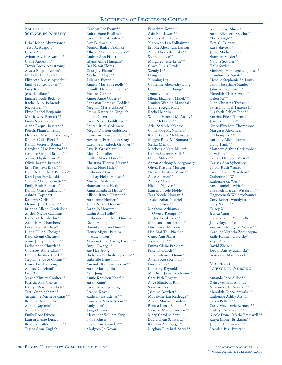#### BACHELOR OF Science in Nursing

Dria Helena Abramson\*\* Tessy A. Adepoju\* Gloria Alafe Aviana Alycia Alvarado\* Claire Anderton\* Trevor Breck Armstrong\* Alyssa Raquel Austin\* Michelle Lee Avant\* Elizabeth Moise Aycock\*\* Emily Frances Baker\*\* Lucy Barr Jesse Battilana\* Emma Nicole Beckwith Rachel Mira Behrend\* Nicole Bell\*\* Elyse Rachel Benjamin Matthew R. Bennett\*\* Emily Sara Berman Alana Raquel Beserra\*\* Preethi Phani Bhaskar Elizabeth Marie Bilsborough\* Robert Colin Blenis\* Kaitlin Victoria Bomar\* Carolyne Elise Bradford\*\* Candice Shaphil Brooks\*\* Joshua Elijah Brown\* Olivia Barton Brown\*\* Erin Kathleen Bryar\*\* Danielle Elizabeth Bulinski\* Kari Lynn Burdzinski Shauna Marie Burnette\*\* Emily Ruth Buzhardt\* Kaitlin Grace Callaghan\* Ashton Capehart Kathryn Carlisle\* Elianne June Carroll\*\* Brianna Allene Casciello\*\* Ansley Nicole Caulkins Kaliana Chamberlin\* Aaqilah H. Chambers\* Loren Rachel Chan\* Diana Huien Cheng\*\* Kara Akemi Chestnut Jenny Ji Hyun Chong\*\* Leslie Anne Church\*\* Courtney Anne Clark\*\* Helen Christine Clark\* Stephanie Joyce Collins\*\* Laura Tansley Conger Audrey Copeland\* Leah Coughlin Jessica Kimsey Coulter\*\* Patricia Ann Craven Kaitlyn Renee Crockett\* Terri Cunningham\*\* Jacqueline Michelle Cutts\*\* Brianna Ruth Dallas Aliaha Daphnis\* Alysa David\*\* Emily Rose Dixon\* Lauren Lynne Duncan Brianna Kathleen Dunn\*\* Taylor Anne English

Carolyn Lee Evans\*\* Anita Diane Faulkner Sarah Febres-Cordero\* Ivey Feldman\*\* Monica Bailey Feldman Allison Marie Fialkowski\* Audrey Ann Fisher Glynis Anne Flanigan\* Isai Natan Flores Cara Joy Floum\*\* Madison Floyd\*\* Julianna Foster\*\* Angela Marie Fregeolle\*\* Camille Elizabeth Garcia\* Melissa Garner Aimee Anne Gavette\* Langston Lorenzo Geddis\*\* Meghan Marie Gibson\*\* Emma Katherine Gingrich Logan Glenn Sarah Nicole Goldfinger\* Lauren Ruth Goldman\* Megan Darleen Goldston Cameron Lawrence Goller\* Savannah Farrington Gray Caroline Elizabeth Groover\*\* Faye B. Grossblatt\* Alexa Gunsolley Kaitlin Marie Hafer\*\* Christina Theresa Hagan\* Jessica Noel Haley\* Katherine Han Lindsay Helen Hansen\* Musbah Abdi Hashi Shannan Kate Healy\* Anna Elizabeth Heath\*\* Allison Renee Heinrich\* Sarahanne Herbert\*\* Jenna Nicole Hernan\* Sarah Jo Hewett\*\* Cailin Ann Holle\*\* Katherine Elizabeth Howard Xiqin Huang Danielle Lauren Hunt\*\* Henry Miguel Pereira Hutchinson\* Margaret Sun Young Hwang\*\* Sunju Hwang\*\* Sae Hae Jeong Shehzeen Nadirshah Jessani\*\* Gabrielle Lane John Amanda Kathryn Jordan\*\* Sarah Marie Julius Yein Jung Annie Kathleen Kagel\*\* Sarah Kang\* Sarah Soyoung Kang Brenna Kass\*\* Kathryn Kavadellas\*\* Courtney Nicole Keene\*\* Andy Kim\* Jongrok Kim Alexander William King Nova Kinser Carly Erin Knowles\*\* Madysen Jo Kovac

Benadette Kozen\*\* Asia Erin Kwan\*\* Mallory Ann Lacy Xiaomiao Lan Pidhainy\*\* Brooke Alexandra Larson Anna Elisabeth Leake\*\* Stephanie Lee\*\* Margaret Jesse Leith\*\* Grace Olivia Lewis\* Wendy Li\* Hong Lin Xinming Liu Catherine Abernethy Long Colette Lauren Long\* Jenna Maizes Ellena Elizabeth Malek\*\* Jennifer Wahida Mandhai\* Dayana Regis Marc\* Rachel Marlin William Hiroshi McAneny\* Josie McElveen\*\* Ariel Sarah McKenzie Colin Jude McNamara\* Kiara Xavier McNamara Maggie Rose McNamara\*\* Stefka Mentor Mackenzie Kate Miller\* Kaitlin Suzanne Mills\* Helen Milner\*\* Aaron Anthony Montgomery Olivia Kristine Morton Nicole Christine Munz\*\* Alice Murnen\*\* Audrey Myers Hien T. Nguyen\*\* Lauren Nicole Noble Tara Nicole Noorani\* Jessica Sahar Nooriel Joseph Olson\*\* Maabena Achiamaa Owusu-Prempeh\*\* Jin Joo Pearl Park\*\* Madison Lenn Perdue\*\* Nury Perez-Martinez Lisa Mai Thu Pham\*\* Grace Ann Pixler Jessica Pont\*\* Emma Claire Prasher\* Priscilla Quach\*\* Julia Coleman Quinn\* Amelia Rose Remiarz\* Lindsey Rex\* Kimberly Reynolds Matthew James Rodriguez\* Cara Beth Rogers\*\* Alice Elizabeth Roll Sonia A. Ros Jasmine Rowlett\*\* Madeleine Liu Rutledge\* Aliyah Mariam Saadein Parissa Kimia Salimian\* Victoria Marie Sandsor\*\* Mary Caroline Sant David Ryan Schwartz\*\* Kathryn Ann Seeger\* Meghan Elizabeth Seery\*\*

Sophie Rose Shiere\* Sarah Elizabeth Shochat\*\* Akriti Singh\*\* Tyra C. Skinner Kara Slavoski\* Jamie Michelle Smith Shannon Snyder\* Natalie Souther\*\* Halle Sovich Kimberly Hope Spence-Jensen\* Brandon Lee Spratt\* Richelle Stephanie St. Louis Fallon Josephine Stanley\*\* John Lee Stanton Jr.\* Meredith Clair Stevens\*\* Helen Su\*\* Ellen Christina Taraschi\* Patrick Samuel Teixeira II\* Elizabeth Ashley Tepe\*\* Korrine Eileen Terroso\* Jasmine Thomas\* Grace Elizabeth Thompson\* Margaret Alexander Thompson\*\* Anthony Allen Thorman Elana Trinh\*\* Matthew Arthur Christopher Valante\* Lauren Elizabeth Verity\* Carissa Ann Vyhonsky\* Taylor Ruth Wainer Sarah Eleanor Warshaw\* Catherine L. Wei Katherine G. West\* Rose Danielle White\*\* Elizabeth Harden Wisebram\*\* Haguerenesh Woldeyohannes Cory Robert Woodyatt\*\* Betty Wright\*\* Kelsey Xu Jessica Yang Liviana Behm Yannicelli Jenny Juyeon Ye Savannah Margaret Young\*\* Caroline Victoria Zamprogno Kaile Hannah Zaretsky\* Zeyu Zhang David Zhao\*\* Jordan Ansley Zielinski\* Genevieve Marie Zock

#### Master of Science in Nursing

Amanda Jane Ailleo\*\* Oritseweyinmi Akinlua Nnaemeka G. Anosike\*\* Meredith Grace Arevalo\*\* Catherine Ashby Assink Keren Beltran\*\* Carly Mackenzie Bernard\*\* Kathryn Ann Bland\*\* Nicole Dona- Maria Bramwell\*\* Katya Monet Brickman\*\* Jennifer L. Brosseau\*\* Brendan Paul Butler\*\*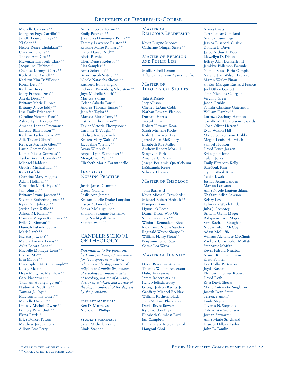Michelle Carranza\*\* Margaret Faye Carrillo\*\* Janelle Louise Celaya\*\* Xi Chen\*\* Nicole Renee Cholakian\*\* Christine Chong\*\* Thasha Ann Chu\*\* Mckenzie Elizabeth Clark\*\* Jacqueline Clubine\* Chemise Latonya Curry\*\* Keely Anne Darnell\*\* Kathryn Kim DeVillers\*\* Roma Desai\*\* Kathryn Dirks Mary Frances Doss\*\* Akeela Dossa\*\* Brittany Marie Dupree Brittany Allyce Eddy\*\* Lisa Emily Erlanger\*\* Caroline Victoria Fore\*\* Ashlee Lynn Forrester\*\* Amanda Leanne Freeman\*\* Lindsay Blair Fuson\*\* Kathryn Taylor Garren\*\* Allie Taylor Gilbert\*\* Rebecca Michelle Gloss\*\* Laura Gomez-Colin\*\* Kamla Nicola Gonzales\*\* Taylor Breann Gonzalez\*\* Michael Halder\*\* Geoffry Michael Hall\*\* Kari Hatfield Christine Mary Higgins Adam Hoffman\*\* Samantha Marie Hydes\*\* Jan Johnson\*\* Brittany Lynne Jackson\*\* Savanna Katherine Jensen\*\* Ryan Paul Johnson\*\* Jerrica Lynn Kallio\*\* Allison M. Kamm\*\* Cortney Morgan Kaniewski\*\* Erika C. Kinman\*\* Hannah Lake-Rayburn Mark Lamb\*\* Melissa J. Leake\*\* Marcia Loraine Lewis\*\* Aylin Lazara Lopez\*\* Michelle Monique Loria\*\* Lixuan Ma\*\* Erin Mabile\*\* Christopher Martinborough\*\* Kelsey Mastin Hope Margaret Meushaw\*\* Cara Nachtman\*\* Thuy-An Hoang Nguyen\*\* Nadine A. Noelting\*\* Tamara J. Noy\*\* Madison Emily Olkes\*\* Michelle Orovitz\*\* Lindsay Michele Owens\*\* Demery Paladichuk\*\* Ektaa Patel\*\* Erica Doncel Patton Matthew Joseph Perri Allison Bess Perry

Anna Rebecca Pestine\*\* Emily Peterson\*\* Jexandria Dominique Prince\*\* Tammy Lawrence Ralston\*\* Kristine Marie Raynard\*\* Haley Danae Reid\*\* Alicia Reznick Cheri Denise Robison\*\* Lisa Samples\*\* Anna Sciortino\*\* Brian Joseph Sestrich\*\* Nicole Natascha Shojaei\*\* Kathleen Ison Sianghio Deborah Ritzenberg Silverstein\*\* Joya Michelle Smith\*\* Marissa Storms Celene Sabado Tan\*\* Andrea Thomas Tanner\*\* Jennifer Taylor\*\* Marissa Marie Terry\*\* Kathleen Thompson\*\* Taylor Victoria Thompson\*\* Caroline T. Vaughn\*\* Chelsea Rae Velovich Kristen Mary Waltos\*\* Jacqueline Wieting\* Bryan Wimbish\*\* Angela Lynn Wittenauer\*\* Meng-Chieh Yang\*\* Elizabeth Maria Zarantonello

## DOCTOR OF Nursing Practice

Justin James Gianniny Deena Gilland Leslie Ann Jeter\*\* Kristan Noelle Drake Langdon Karen A. Lindsley\*\* Sonya McLaughlin\*\* Shannon Suzanne Sitchenko Olga Nachtigall Turner Shanita Webb\*\*

#### CANDLER SCHOOL OF THEOLOGY

*Presentation to the president, by Dean Jan Love, of candidates for the degrees of master of religious leadership, master of religion and public life, master of theological studies, master of theology, master of divinity, doctor of ministry, and doctor of theology; conferral of the degrees by the president.*

FACULTY MARSHALS Rex D. Matthews Nichole R. Phillips

student marshals Sarah Michelle Kothe Linda Stephan

#### MASTER OF Religious Leadership

Kevin Eugene Moore\* Catherine Olinger Strate\*\*

#### Master of Religion and Public Life

Mollie Schell Lemon Tiffaney LaShawn Ayana Renfro

#### Master of Theological Studies

Tala AlRaheb Joty Allison Chelsea LeAnn Cobb Nathan Edward Fleeson Durham Harris Jaeseok Heo Robert Howard Kean Sarah Michelle Kothe Robert Harrison Levin Jarred Allen McKinney Elizabeth Rae Miller Andrew Robert Morsilli Sanghyun Park Amanda G. Parris Joseph Benjamin Quattlebaum LaShaunda Reese Sabrina Thomas

## Master of Theology

John Barnes II Kevin Michael Crawford\*\* Michael Robert Hedrick\*\* Namjoon Kim Hyunsuck Lee\*\* Daniel Kwon Woo Oh Seunghwan Park\*\* Winford Kennadean Rice Rickdrieka Nicole Sanders Reginald Wayne Sharpe Jr. William Henry Sloan\* Benjamin Joiner Starr Cassie Lea Waits

# Master of Divinity

David Benjamin Adams Thomas William Anderson Haley Andreades James Robert Atkins Kelly Melinda Autry George Judson Barnes Jr. Geoffrey Michael Beakley William Rushton Black John Michael Blackmon David Bryce Bowers Kyle Gordon Bryan Elizabeth Cumbest Byrd Ian Campbell Emily Grace Ripley Carroll Hangoul Choi

Alaina Coats Terry Lamar Copeland Andreá Cummings Jessica Elisabeth Cusick Dondra L. Davis Jacob Arthur DeBoer Llewellyn D. Dixon Jeffrey Alan Dunkerley II Jemiriye Philemon Fakunle Natalie Sousa Faria-Campbell Natalie Jean Wilson Faulkner Martin Wesley Finau Sh'Kur Marquis Rashard Francis Joel Otken Garrott Peter Nicholas Georgian Virginia Greer Jason Grubbs Pamela Christine Gutermuth William Hamby\*\* Lorenzo Zachary Harmon Camille M. Henderson-Edwards Noah Oliver Herren\* Evan Wilson Hill Marquice Tremayne Hobbs Megan Louise Hoewisch Samuel Hopson David Bruce Janzen Kristopher Jones Tulani Jones Emily Elizabeth Kelly Ban-Souk Kim Hyung Wook Kim Yeojin Kwak Joshua Adam Landen Marcus Larivaux Anna Nicole Lautenschlager Khalfani Adisa Lawson Kelsey Lewis Lahronda Welch Little Juba J. Lomotey Brittani Glynn Magee Rahqwan Tariq Major Sara Rachelle Maughan Nicole Felicia McCoy Adam McDuffie William Alexander McGinnis Zachery Christopher Moffatt Stephanie Moffitt Kevin Faleulu Niuatoa Azureé Ronnese Owens Kristi Painter Eric Colby Patterson Jayde Rasband Elizabeth Holmes Rogers David Roth Kiya Davis Shears Marie Antoinette Singleton Joseph Lynn Smith Terrence Smith\* Linda Stephan Tavares N. Stephens Kyle Austin Stevenson Jordan Stewart\*\* Anna Marie Strickland Frances Hillary Taylor John R. Tomlin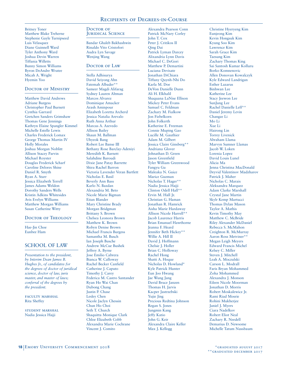Britney Toner Matthew Blake Treherne Stephenie Gayle Turnipseed Luis Velasquez Diane Guinnell Ward Tyler Anthony Ward Joshua Devin Warren Tiffania Willetts Bunny Simon Williams Byron DeAndre Wratee Micah A. Wright Hyemin Yoo

## DOCTOR OF MINISTRY

Matthew David Andrews Adriane Burgess Christopher Paul Burnett Cynthia Garrard Gretchen Sanders Grimshaw Thomas Gene Jennings Kathryn Elaine Spangler Kimmel Michelle Estelle Lewis Charles Frederick Lomax George Thomas Martin IV Holly Morales Joshua Morgan Noblitt Allison Stacey Parvin Michael Royster Douglas Frederick Scharf Caroline Delores Shine Daniel R. Smyth Ryan A. Starr Jessica Elizabeth Terrell James Adams Weldon Dorothy Sanders Wells Kristin Adkins Whitesides Avis Evelyn Williams Matthew Morgan Williams Susan Catherine Witty

# DOCTOR OF THEOLOGY

Hae-Jin Choe Eunbee Ham

# SCHOOL OF LAW

*Presentation to the president, by Interim Dean James B. Hughes Jr., of candidates for the degrees of doctor of juridical science, doctor of law, juris master, and master of laws; conferral of the degrees by the president.*

FACULTY MARSHAL Rita Sheffey

student marshal Nadia Jessica Hajji

#### DOCTOR OF **JURIDICAL SCIENCE**

Bandar Ghaleb Bakhashwin Rinaldo Vito Cristofori Audra Lyn Savage Wenjing Wang

# DOCTOR OF LAW

Stella Adhisurya David Seiyong Ahn Fatemah Albader\*\* Sameer Magdi Alifarag Sydney Lauren Altman Marcos Alvarez Dominique Amacker Arash Aminpour Elizabeth Loretta Archerd Jessica Natalia Arevalo Ruth Anna Arthur Marcus A. Azevedo Allison Bailey Shaun M. Ballman Uhyeok Bang Robert Lee Banse III Bethany Rose Barclay-Adeniyi Meredith K. Barnett Salahdine Baroudi Dixie Jane Patay Barrette Shira Rachel Barron Victoria Lavender Veran Bartlett Nicholas E. Basil Beverly Ann Bass Karlo N. Bazdan Alexandria M. Beto Nicole Marie Bigman Eitan Blander Mary Christine Brady Morgan Bridgman Brittany S. Brown Chelsea Leonora Brown Matthew K. Brown Robyn Denise Brown Michael Francis Burgess Samantha M. Busch Ian Joseph Busche Andrew McCue Bushek Jeffrey A. Byrne Jose Emilio Cabrera Bianca W. Calloway Rachel Becker Canfield Catherine J. Caputo Timothy J. Carey Federica M. Castro Santander Ryan Ho Wai Chan Dubong Chang Justin P. Chase Lesley Chen Nicole Jaclyn Chessin Chun Ho Choi Seth T. Church Shaquitta Monique Clark Chloe Elizabeth Cobb Alexandra Marie Cochrane Vincent J. Comito

Alexandra Pearson Conn Patrick McNary Corley John T. Cox Peter J. Critikos II Qing Dai Patrick Lyman Darcey Alixandria Lynn Davis Michael C. DeGori Matthew P. Demartini Luciana Devisate Jonathan DiChiara Tiffany Quynh-Nhi Do Karla M. Doe DeVon Danielle Dunn Ali H. Elkhalil Shaquana LaNise Ellison Mickey Peter Evans Samuel C. Feldman Zachary M. Fialkow Jon Fiebelkorn John Folkerth Katherine E. Freeman Connie Muping Gao Lucille M. Gauthier Adam M. Gilbert Jessica Claire Ginsberg\*\* Andriana Glover Johnathan D. Green Jason Greenfield Tyler William Greenwood Fangyu Gu Maleaka N. Guice Marice Guzman Nicholas T. Hager\*\* Nadia Jessica Hajji Clinton Odell Hall\*\* Ervin M. Hall Jr. Christian G. Haman Jonathan R. Hamrick Aisha Marie Hardaway Allison Nicole Harrell\*\* Jacob Laurence Harris Brian Emanuel Hawthorne Jeanna F. Heard Jennifer Beth Hickey\*\* Willie A. Hill II David J. Hoffmann Chelsie J. Holler Brian C. Holloway Rachel Hong Shatti A. Hoque Nicholas D. Howland\* Kyle Patrick Hunter Eun Joo Hwang Jae Wung Jang David Bruce Janzen Thomas H. Jarvis Kacper Jastrzebski Yujie Jing Precious Redtina Johnson Regan S. Jones Jungmin Kang Jeffy Katio John G. Keir Alexandra Claire Keller Max J. Kellogg

Christine Hyeryeng Kim Eunjeong Kim Kevin Hongsuk Kim Kyung Soo Kim Lawrence Kim Sarah Grace Kim Taesung Kim Zachary Thomas King Sai Santosh Kumar Kolluru Borko Komnenovic Allen Donovan Kowalczyk Kyle Edward Landrigan Esther Lazarus Binhwan Lee Katherine Lee Stacy Jeewon Lee SunJung Lee Rachel Danielle Leff\*\* Daniel Jeremy Levin Changze Li Mo Li Xue Li Hairong Lin Torrey Livenick Abraham Llama Marvyn Sumner Llamas Jacob W. Loken Lorenia Lopez David Louis Lunel Alicia Ma Jenna Christina MacDonald Deyvid Valentinov Madzharov Patrick J. Maher Nicholas C. Marais Aleksandra Marquez Adam Clarke Marshall Crystal Jane Martin Skylr Kemp Martucci Thomas Dylan Mason Taylor A. Mathis Kevin Timothy May Matthew C. McBride Riley Alexander McDaniel Rebecca S. McMahon Creighton R. McMurray Aaron Ross Metviner\*\* Megan Leigh Meyers Edward Francis Michel Kelsey C. Miller Steven J. Mitchell Leah A. Moczulski Carson L. Modrall Faris Bryan Mohammed Zoha Mohammed Alexandra J. Monson Eileen Nicole Moorman Jonathan D. Morris Robert Moskalewicz Jr. Rami Riad Mosrie Rohini Mukherjee Janiel J. Myers Ciara Nadelkov Robert Eliot Neal Zachary R. Needell Demarius D. Newsome Michelle Tatum Nussbaum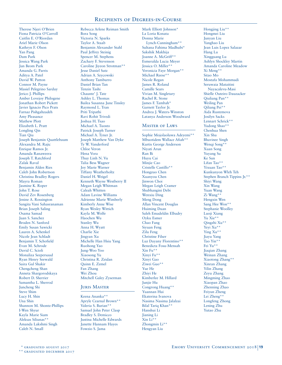Therese Njeri O'Brien Fiona Patricia O'Carroll Caitlin E. O'Riordan Ariel Marie Olson Kathryn F. Olson Yan Pang Dam Park Jessica Wang Park Jun Beom Park Amanda G. Parris Aditya A. Patel David W. Patton Connor M. Payne Masiel Pelegrino Sarduy Jerico J. Phillips Amber Lovejoy Philogene Jonathan Robert Pickett Javier Ignacio Pico Prats Farnaz Pishgahzadeh Amy Pleasance Mathew Plott Elizabeth L. Pratt Longling Qin Tian Qiu Joseph Benjamin Quattlebaum Alexandra M. Rajic Enrique Ramos Jr. Amanda Ranaweera Joseph T. Ratchford Zalak Raval Benjamin Alden Ries Caleb John Robertson Christina Bradley Rogers Mayra Roman Jasmine K. Roper John T. Rose David Zev Rosenberg Jenine A. Rossington Sangita Vani Sahasranaman Brian Joseph Saling Osama Samad Juan S. Sanchez Broden N. Sanford Emily Susan Sawicki Lauren A. Schenkel Nicole Jean Schladt Benjamin T. Schofield Evan M. Schrode David C. Scioli Monaliza Seepersaud Ryan Henry Seewald Saira Gul Shakir Chengcheng Shan Anneta Shargorodskaya Robert D. Sherrier Samantha L. Sherrod Juncheng Shi Steve Shim Lucy H. Shin Una Shin Shannon M. Shontz-Phillips I-Wen Shyur Kayla Marie Siam Aleksas Siliunas\*\* Amanda Lakshmi Singh Caleb N. Small

Rebecca Arlene Reiman Smith Bora Song Victoria N. Sparks Taylor A. Staab Benjamin Alexander Stahl Paul Jeffrey Steinig Spencer M. Stephens Zachary F. Stevenson Caroline Jiyeon Strotman\*\* Jesse Daniel Sutz Adrian A. Szycowski Anthony Tamburro Daniel Brian Tan Tenzin Tashi Chaunte' J. Tate Ashley L. Thomas Bailea Susanna June Tinsley Raymond L. Tran Priti Tripathi Ravi Rohit Trivedi Joshua H. Tsao Michael A. Tuosto Patrick Joseph Turner Michael A. Tyner Jr. Joseph Matthew Van Dyke Ty W. Vanderford Chloe Veron Hena Vora Thuy Linh N. Vu Talia Bess Wagner Joy Marie Warner Tiffany Weatherholtz Daniel H. Weigel Kenneth Wayne Westberry II Megan Leigh Whitman Caleah Whitten Adam Lavine Williams Adrienne Marie Wimberly Kimberly Anne Wise Ryan Wesley Wittich Kayla M. Wolfe Haochen Wu Stanley Wu Anna H. Wyatt Charlie Xie Jingyan Xu Michelle Han Hsiu Yang Ruohong Yao Jung-Woo Yoo Xiaosong Yu Christina R. Zeidan Quinn E. Zemel Fan Zhang Wei Zhou Mitchell Galey Zyserman

#### Juris Master

Keena Ananka\*\* Apryle Cearnal Brown\*\* Valeria S. Burian\*\* Samuel John Peter Clasp Bradley S. Demicco Justina Michelle Edwards Janette Hannam Hayes Fowzio S. Jama

Mark Elliott Johnson\* La Loria Konata Donna Marie Lynch-Cunningham\*\* Sultana Fahima Madhubi\* Sakshik Makhija Joanne A. McGriff\*\* Esmeralda Lucia Meyer Jessica O. Miller\* Veronicia Faye Morgan\*\* Michael Reese\*\* Nicole Regan James R. Roland Camille Sears Vivian M. Singletary Rachel R. Stone James F. Tambah\* Garnett Taylor Jr. Andrea J. Waters-Winston Latanya Anderson Woodward

#### Master of Laws

Sophie Mojolaoluwa Adeyemi\*\* Mbuotidem Wallace Afiah\*\* Kurtis George Anderson Niyati Arun Ran Bi Huyu Cai Minjie Cao Cristelle Castillo\*\* Hongzuo Chen Xuanyou Chen Jinwon Choi Megan Leigh Cramer Shubhangini Debi Wenxiu Ding Meng Dong Allan Vincent Douglas Huiming Duan Saleh Emadeldin Elbadry Oyku Esmer Chao Fang Siyuan Feng Zilu Feng Christine Filser Luz Dayany Florentino\*\* Benedicta Fosu-Mensah Xin Fu\*\* Xinyi Fu\*\* Xinyi Gao Ziwei Guo\*\* Yue He Zhiyi He Kimberlee M. Hillard Junjie Hu Congrong Huang\*\* Yuannan Hui Ekaterina Ivanova Nasima Nasima Jalalzai Bilal Tariq Khan\*\* Hanshui Li Jianing Li Xin Li\*\* Zhongmin Li\*\*

Hengyan Liu

Hongjing Liu\*\* Hongmei Liu Junyan Liu Yanghao Liu Jean Luis Lopez Salazar Hang Lu Xingguang Lu Ashlyn Shockley Martin Amanda Caroline Meadow Xi Meng\*\* Sitao Mo Mostafa Mohammadi Seruwaia Mataitini Nayacalevu-Masi Shielle Outeiro Dauzacker Qiuliang Pan\*\* Weiling Pan Qiliang Pei\*\* Aida Rustemova Josilyn Sacks Lennart Schrick\*\* Yudong Shao\*\* Chenhua Shen Xin Shu Bhavinee Singh Wenqi Song\*\* Xuan Song Yuyang Su Ke Sun Lifan Tao\*\* Yixuan Tao\*\* Kunkunyon Wleh Teh Stephen Branch Tippins Jr.\*\* Shiyi Wang Xin Wang Yuan Wang Zi Wang\* Hengxin Wen Sang Hee Won\*\* Stephanie Woolley Luoji Xiang Yu Xie\*\* Qingzhi Xu\*\* Yeyi Xu\*\* Ying Xu\*\* Jiayu Yang Tao Yin\*\* Fei Yu\*\* Jiaqian Zhang Weinan Zhang Xiaotong Zhang\*\* Xinran Zhang Yilin Zhang Zeyu Zhang Mingming Zhao Xiaopan Zhao Zhenning Zhao Feiyun Zheng Lei Zheng\*\* Longfeng Zhong Lening Zhu Yutao Zhu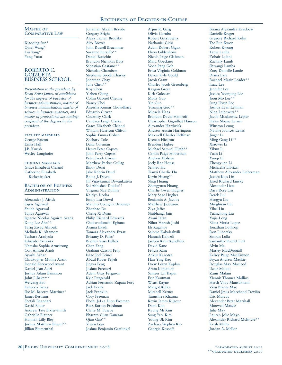MASTER OF Comparative Law

Xiaoqing Sun\* Qinyi Wang\* Liu Yang\* Yang Yuan

## ROBERTO C. **GOIZUETA** BUSINESS SCHOOL

*Presentation to the president, by Dean Erika James, of candidates for the degrees of bachelor of business administration, master of business administration, master of science in business analytics, and master of professional accounting; conferral of the degrees by the president.*

faculty marshals George Easton Erika Hall J.B. Kurish Wesley Longhofer

student marshals Grace Elizabeth Cleland Catherine Elizabeth Rickenbacker

## BACHELOR OF BUSINESS **ADMINISTRATION**

Alexander J. Africk Sagar Agarwal Shubh Agarwal Tanya Agrawal Ignacio Nicolas Aguirre Arana Dong Lee Ahn\*\* Tariq Ziyad Akrouk Melinda K. Altamore Tushara Aradyula Eduardo Armenta Natasha Sophia Armstrong Cori Allison Arndt Ayushi Ashar Christopher Moline Avant Donald Kirkwood Avant Daniel Jean Azizi Joshua Adam Bainnson John J. Baker\*\* Weiyang Bao Ksheerja Batra Ilse M. Becerra Martinez\* James Bertram Shefali Bhandari David Binler Andrew Tate Bixler-Smith Gabrielle Blauner Hannah Lilly Bley Joshua Matthew Bloom\*\* Jillian Blumenthal

Jonathan Abram Braude Gregory Bright Alexa Lauren Brodsky Alex Brover John Russell Bruemmer Suzanne Burzillo\*\* Daniel Busichio Brandon Nicholas Butz Sebastian Castano\*\* Nicholas Chambers Stephanie Brook Charles Jonathan Chay Julie Chen\*\* Roy Chen Yizhen Cheng Collin Gabriel Cheung Nancy Choi Aneesha Kumar Chowdhary Eduardo Citwar Courtney Clark Candace Leigh Clarke Grace Elizabeth Cleland William Harrison Clifton Sophie Emma Cohen Zachary Cole Dana Coleman Henry Peter Copses John Perry Copses Peter Jacob Corser Matthew Parker Csillag Binoy Desai Jake Rebrin Deuel Raina J. Devrai Jill Vijaykumar Diwankatera Sai Abhishek Dokku\*\* Virginia Slay Dollins Kaitlyn Dorka Emily Lea Dowd Marcho Georgiev Droumev Zhenhao Du Cheng Xi Duan Philip Richard Edwards Chukwudumebi Egbuna Ayama Ekadi Tamara Alexandra Ezzat Brittany D. Fales\* Bradley Ross Fallick Chen Fang Graham Carson Fein Isaac Joel Feiner Abdul Kader Fejleh Jingya Feng Joshua Ferenczi Adam Gray Ferguson Kyle Fitzgerald Adrian Fernando Zapata Fory Jack Frank Jack Franklin Cory Freeman Eboni JaLea Dion Freeman Ross Burton Friedman Claire M. Fuscoe Bharath Guru Ganesan Qiao Gao\*\* Yiwen Gao Joshua Benjamin Garfunkel

Arjun R. Garg Olivia Garuba Robert Gershowitz Nathaniel Giess Adam Robert Gigax Elissa Gildenhorn Nicole Paige Glabman Mara Goeckner Voon Pang Goh Erica Virginia Goldman Devon Kyle Gould Jacob Grant Charles Jacob Greenberg Raygan Greer Kirk Gulezian Molly Guo Yin Guo Yuanjing Guo\*\* Micaela Haas Brandon David Hamroff Christopher Gignilliat Hanson Alexander Hardwick Andrew Austin Harrington Maxwell Charles Helfman Keenan Hickton Brenden Higbee Michael Samuel Hirsh\*\* Caitlin Paige Hoberman Andrew Holsten Joely Rae House Senhao Hu Tianyi Charlie Hu Kevin Huang\*\* Shiqi Huang Zhengyuan Huang Charlie Owen Hughes Mary Sage Hughes Benjamin A. Jacobs Matthew Jacobson Ziya Jaffer Shubhangi Jain Avani Jalan Nihar Haresh Joshi Eli Kaganov Salome Kakalashvili Hannah Kalozdi Jasleen Kaur Kandhari David Kane Felicia Kane Ankur Kanotra Han-Ying Kao Drew Loren Kaplan Aram Kaplanian Sameer Lal Kapur Eric Kaufman Wyatt Kayne Margot Kelley Mitchell Kerner Tanushree Khanna Kevin James Kilgour Dami Kim Kyung Mi Kim Sung Yeol Kim Young Uk Kim Zachary Stephen Kio Georgia Kossoff

Briana Alexandra Krackow Danielle Kreger Gregory Richard Kuhn Tae Eun Kwon Robert Kwong Tanvi Ladha Zohair Lalani Zachary Lamb Shivangi Lamba Zoey Danielle Lande Diana Lara Rachael Marin Leader\*\* Isaac Lee Jennifer Lee Jessica Yoonjung Lee Joon Mo Lee\*\* Sung Hyun Lee Joshua Evan Lehman Nina Leibowitz\*\* Jacob Moskowitz Lepler Haley Sloane Lerner Winston Leung Natalie Frances Lewis Jinger Li Ming Gang Li\*\* Xiaowei Li Yikun Li Yuan Li Yunqi Li Zhengyuan Li Michaella Librizzi Matthew Alexander Lieberman Jessica Kuo Lin Jared Richard Linsky Alexander Liou Dara Rose Liss Derek Liu Hengyu Liu Minghuan Liu Yibei Liu Yuanchong Liu Yujia Long Elena Maria Lopez Jonathan Lothrop Ron Lubarsky Simran Lulla Samantha Rachel Lutt Alvin Ma Marley MacDougall Kelsey Paige MacKinnon Bryan Andrew Mackie Douglas Max Macleod Uzair Malani Zanir Malani Yiannis Thomas Mallios Hersh Vijay Mansukhani Ziyu Briana Mao Daniel Jesus Marchand Treviño Eric Marcus Alexander Brett Marshall Maxwell Maude Julie May Lauren Jolie Mayo Alexander Richard McIntyre\*\* Krish Mehta Jordan A. Mellor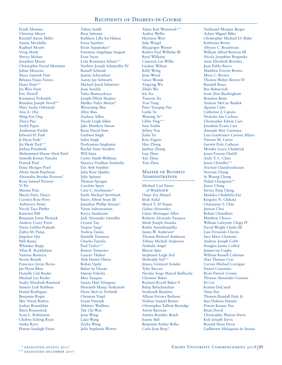Frank Memmo Christian Meyer Randall Aaron Miller Austin Mirabella Raphael Moatti Virag Mody Shreya Mohan Jonathan Moore Christopher David Mortimer Julian Mosconi Maya Santosh Nair Bibiana Najas Forero Dami Nam\*\* Jin Woo Nam Eric Newell Kwamena Nobadeh Brandon Joseph Novel\*\* Marc Sacha Odermatt Aria A. Olia Ming-Fen Ong Zhiyu Pan Saahil Papar Anshuman Parikh Edward H. Park Ji Hyun Park\* Jin Heok Park\*\* Joshua Patashnik Mohammed Hasan Afzal Patel Sumedh Kumar Patodia Prateek Paul Dana Morgan Pearl Alexis Sarah Pearlman Alexandra Brooke Pearson\* Ryan Samuel Pearson Yi Pei Marina Pejic Sheyla Perez Nazco Carolyn Rose Perry Aishwarry Pettie Nicole Tara Pfeffer Katarina Pibl Benjamin Irwin Plotnick Andrew Corey Porat Veena Lalitha Prakash Zahra M. Punja Jingchen Qin Mili Raina Whitaker Rapp Allan R. Raykhelson Vanessa Renteria Steven Resnik Francisco Javier Reyes Jae-Hyun Rhee Danielle Cali Rieder Michael Lee Rieder Audry Elizabeth Rimland Samara Leib Robbins Daniel Rodriguez Benjamin Rogin Shiv Vinod Rohira Joshua Rosenblatt Mara Rosenstock Scott L. Rubinstein Chebon Echeng Ryan Sanha Ryoo Hanna Saadegh-Vaziri

Tahira Saalik Reza Sabooni Kathleen Lilla Sai-Halasz Ivena Santilair Kiran Sapatnekar\* Ernestine Angelique Sargent Evan Sayre Leila Rosemary Schatz\*\* Norbert Joseph Schmeidler IV Russell Schmidt Justine Schoenbart Aaron Jay Schwartz Michael Jared Schwitzer Jesse Sendyk Yulia Shamayskaya Joseph Elliott Shapiro Malika Vidya Shettar\* Wooyoung Shin Allen Shiu Zachary Silber Nicole Leigh Silfen Jake Matthew Simon Brian David Sims Gurbani Singh Sahej Singh Pradyumna Singhania Rachel Anne Sirotkin Will Siuta Carter Smith-Wellman Shaurya Vardhan Sonthalia Eric Seth Sopshin Julia Rose Spathis Julie Spinner Thomas Sprague Caroline Spurr Cara C. Stechmann\* Emile Michael Sternbach Harry Alfred Stone III Jonathan Phillip Strauss\* Varun Subramanian Kavya Sundaram Jack Alexander Swerdlin Crystal Tan Yuqiao Tang\* Yashraj Tantia Danielle Tanzman Charles Taterka Paul Taylor\*\* Remon Temnewo Gaurav Thakur Alek Daniel Ubieta Rohan Ugale Bahar Su Ulusan Simran Valecha Max Vasquez Sanjay Hari Velappan Hemanth Manju Venkatesh Dyess McCoy Verfurth Christian Virgil Grant Viteznik Abhinav Wadhwa Tak Chi Wan Jesse Wang Lujia Wang Zechu Wang Julia Stephanie Wawer

Alana Kait Weinstock\*\* Audrey Weller Harrison West Julie Wiegel Macgregor Wiener Robert Paul Wilhelm III Reed Williams Cameron Lee Willis Lindsay Wilson Kelly Wong Jesse Wood Grace Woods Yingying Wu Zhifei Wu Iris Xu Tianyou Xu Yuxi Yang Peter Yunqing Yao Linlin Ye Wanting Ye\* Libby Ying\*\* Sam Yoelin Jeffrey You Jialin Yu Kira Zagorc Hao Zhang Junhan Zhang Liqi Zhao Yan Zhou Yusi Zhou

#### Master of Business **ADMINISTRATION**

Michael Carl Ewert af Winklerfelt Omar Zia Ahmed Ifrah Aidid Sharef T. Al Najjar Galina Alexeenko Claire Montagne Allen Roberto Alvarado-Vazquez Mark Joseph Ananka Rekha Ananthanpillai James W. Anderson\* Thomas Richard Anderson Tiffany Michele Anderson Nathalie Angel Bharat Apte Stephanie Leigh Ard Shahrukh Arif\*\* Jessica Grizzard Arnidis Tyler Baccari Nicolas Serge Marcel Bailliache Christine Baker Richard Royall Baker V Balaji Balachandran Sreekanth Bandaru Allison Ferrara Barbour Nathan Samuel Barnes Christopher Talbott Barnidge Artem Baroyan Amelia Brantley Beach Essene Bell Benjamin Arthur Beller Carla Jean Berg\*

Nathaniel Morgan Berger Achim Miguel Biller Christopher Michael Uy Bitler Katherine Bivins Allyson C. Boudreaux William Alfred Bowron III Nicola Josephine Braginsky Anne Elizabeth Brantley Juan Pablo Bravo Matthew Everett Brown Myra C. Brown Thomas Walter Brown IV Randall Bruce Ben Bubnovich Scott Alan Buckingham Brandon Bunn Andrew McCue Bushek Agustin Cabo Catherine J. Caputo Nicholas Ian Carlson Christopher Edwin Carr Jonathan Evans Carr Amanda May Carranza Luis Gianfranco Carrion Alfaro Vincent M. Carter Garrett Dale Cathcart Monika Laura Chadwick Jason Forrest Chaliff Andy Y. C. Chan Jason Chandler\*\* Aravind Chandrasekaran Noyoun Chang Se Woong Chang Vishal Changrani\*\* Jixiao Cheng Steven Xing Cheng Maduka Chidebelu-Eze Kingsley N. Chikata Charmaine S. Chin Jinwon Choi Rohan Choudhari Matthew Choyce William Lafayette Clapp IV David Wright Clarke III Luis Fernando Clavijo Sara Mary Clemente Andrew Joseph Cobb Douglas James Coffed Jimmyvan Cogles William Russell Coleman Alan Thomas Corr Curran Michael Corrigan Daniel Cosentino Ryan Patrick Cronin Thomas Alexander Crosson Di Cui Kristen DaCanal Yifan Dai Thomas Randall Daly Jr. Inez Dolores Daniels Pritom Kumar Das Brian David Christopher Warren Davis Kyle Joseph Davis Ronald Dean Davis Guilherme Malaquias de Araujo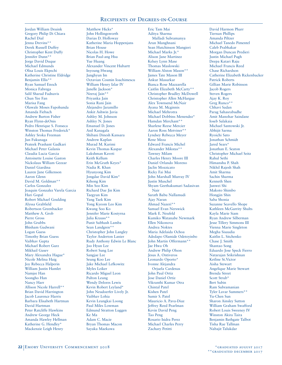Jordan William Deuink Gregory Philip Di Chiara Rachel Dial Jenna Drevins\*\* Derek Russell Duffey Christopher Kent Duffy Jennifer Dunn\*\* Jorge David Duque Michael Edmunds Olisa Louis Ekpechi Katherine Christine Eldridge Benjamin Ellis\*\* Ryan Samuel Enoch Monica Fabrega Salil Sharad Fadnavis Chun Yee Fan Marisa Fang Olawale Moses Fapohunda Amanda Fiebach Andrew Burton Fisher Ryan Flynn-deOnis Pedro Henrique S. Fonseca Winston Thomas Frederick\* Ashley Sroka Freeman Jun Fukunaga Prateek Prashant Gadkari Michael Peter Galanis Claudia Lucia Garcia Antoinette Louise Gaston Nickolaus William Gezzar Daniel Giardina Lauren Jane Gilkenson Aaron Glenn David M. Goldman\*\* Carlos Gonzalez Joaquin Gonzalez Varela Garcia Hari Gopal Robert Michael Goulding Alyssa Grabfield Robertson Greenbacker Matthew A. Grob Pierre Gross John Grubbs Bhisham Gudwani Logan Guess Timothy Brian Guess Vaibhav Gupta Michael Robert Gurz Mikhail Gusev Mary Alexandra Hague\* Nicole Melina Haig Joy Rebecca Halperin William Justin Hamlet Namjee Han Soongho Han Nancy Harr Allison Nicole Harrell\*\* Brian David Harrington Jacob Laurence Harris Barbara Elisabeth Hartman David Hartman Peter Ratcliffe Hawkins Andrew George Heck Amanda Hawley Hellman Katherine G. Hendley\* Mackenzie Leigh Henry

Matthew Hicks\* John Hollingsworth Darias D. Holloway Katherine Maria Hoppenjans Brian House Nicolas H. Howe Brian Paul-ang Hsu Yue Huang Alexander Vincent Hubartt Inyoung Hwang Junghyun Im Octavian Cosmin Ioachimescu William Henry Izlar IV Janelle Jackson\* Neeraj Jain\*\* Priyanka Jain Sonia Rani Jain Alejandro Jaramillo Ankit Ashwin Javia Ashley M. Johnson Ashley N. Jones Emanuel D. Jones Anil Kanagala Shibani Dinesh Kansara Andrew Kaplan Murad M. Karimi Kevin Thomas Kaspar Lakshman Kaveti Keith Kellum Erin McGrath Keyes\* Nadia R. Khan Hyunyong Kim Jongdae David Kim\* Kihong Kim Min Soo Kim Richard Dae Jin Kim Taegyun Kim Yang Taek Kim Yong Kyeom Leo Kim Kwang Soo Ko Jennifer Marie Kostyrna Julia Krauss\*\* Punit Subhash Lamba Sean Landgren\*\* Christopher John Langley Taylor Anderton Lanier Rudy Anthony Edwin Le Blanc Joo Hyun Lee Robert Sung Lee Sangjae Lee Seung Koo Lee Jake Michael Lefkowitz Myles Leiker Ricardo Miguel Leon Pulton Leung Wendy Delores Lewis Kevin Robert Leyland\* John Neudoerfer Lively Jr. Vaibhav Lohia Kevin Leungkai Loong Paul Miles Lowman Edmund Stratton Luggen Ke Ma Adam C. Macie Bryan Thomas Macon Sayaka Maekawa

Eric Tam Mai Aditya Sharma Malladi Subramanya Arun Manghnani Sean Hutchinson Mangieri Michael Marks Jr.\* Alison Jane Martinez Kelsey Lynn Mase Thomas Maslowski William Alston Mason\*\* James Tate Mason III Ankur Masurkar Bianca Rose Mazzarella Caitlin Elizabeth McCarty\*\* Christopher Bradley McDowell Christopher Allen McHargue Alex Townsend McNair Ayana M. Mcginnis Michael Mehrotra Michael Dobbins Menendez\* Hamdan Merchant\*\* Sharlene Reese Mercier Aaron Ross Metviner\*\* Lyndsey Rebecca Meyer Rene Meza Edward Francis Michel Alexander Mikstas\*\* Tawney Milam Charles Henry Moore III Daniel Orlando Moreno Jaclin Mozzicato Ricky Fai Mui John Marshall Murray IV Justin Muschel Shyam Geethakumari Sadasivan Nair Sarath Babu Nallamudi Ajay Naran Ahmad Nazeri\*\* Samuel Evan Nerswick Mark E. Neufeld Kumiko Watanabe Newmark Ellen Nikonova Andrea Noktes Maria Adelaida Ochoa Adedapo Olamide Odetoyinbo John Martin Offermann\*\* Jae Hwa Oh Andrew Philip Olson Jesus A. Ontiveros Leonardo Oporto\* Ivonne Alejandra Orjuela Cardenas John Paul Ortiz Jose Daniel Ortiz Vikranthi Kumar Otra Chintal Patel Kishen Patel Sumir S. Patel Mauricio A. Pava-Diaz Jeffrey Reed Pearlman Kevin David Peng Tao Peng Rosario Isidra Perez Michael Charles Perry Zachary Petitti

David Harmon Pharr Tiernan Phillips Amanda Piltzer Michael Tanedo Pimentel Caleb Prabhakar Morgan Duncan Predieri Justin Michael Pugh Deepa Katari Raju Michael Francis Reed Chase Richardson Catherine Elizabeth Rickenbacker Patrick Roberts Gillian Marie Robinson Jacob Rogers Steven Rogers Ajay K. Roy Greg Runco\*\* Chhavi Sadan Parag Sahasrabudhe Amit Manohar Saindane Ioseb Salakaia Michael Santowski Jr. Abhijit Sarma Ryoichi Sato Jonathan Schmidt Jared Sears\* Jonathan E. Seaton Christopher Michael Seitz Rahul Sethi Himanshu P. Shah Nikhil Rajesh Shah Amit Sharma Sachin Sharma Kenneth Shen Junwei Shi Makoto Shimbo Hongjin Shin Saba Shonia Suzanne Seavello Shope Kathleen McGarrity Shults Kayla Marie Siam Ryan Andrew Silberman Jesse Tillery Simmons III Vienna Marie Singleton Megha Sisaudia Kaitlin L. Sitchenko Chase J. Smith Shantao Song Eduardo Jose Speck Fierro Natarajan Srikrishnan Ketline St.Victor Aisha Stewart Angelique Marie Stewart Brenda Street Scott Strub\* Bert Subin Ram Subramanian Tyler Lavar Summers\*\* Yu-Chen Sun Sharon Ainsley Sutton William Graham Swafford Robert Louis Sweeney IV Winston Akira Taira Benjamin Bathgate Talbot Tisha Rae Tallman Nabajit Talukdar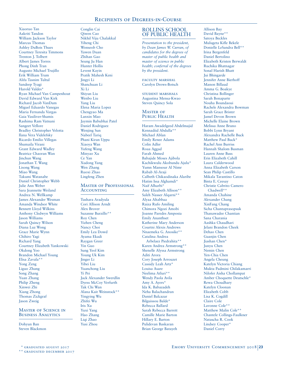Xiaoruo Tan Aakriti Tandon William Jackson Taylor Marcus Thomas Ashley DuBois Thues Courtney Teresita Timmons Trenton J. Tolbert Albert James Torres Phong Dinh Tran Augusto Michael Trujillo Erik William Trum Alifa Tasnim Tultul Sandeep Tyagi Harold Valdes\* Ryan Michael Van Campenhout David Edward Van Kirk Richard Jacob VanDam Miguel Eduardo Vanegas Maria Fernanda Vargas Gaia Vasiliver-Shamis Rashima Ram Vatnani Sangeet Vellore Bradley Christopher Velotta Ilana Vera Videlefsky Ricardo Emilio Villegas Shumaila Virani Grant Edward Wadley Beatrice Chaoran Wan Jinchun Wang Jonathan T. Wang Lisong Wang Miao Wang Takumi Watanabe Daniel Christopher Webb Julie Ann Weber Sara Jeannette Weiland Andrea N. Wellkamp James Alexander Wesman Amanda Windsor White Bennett Lloyd Wilkins Anthony Cledwyn Williams Jason Williams Sarah Quincy Wilson Diana Luz Wong Grace Marie Wynn Chihiro Yagi Richard Yang Courtney Elizabeth Yankowski Okdong Yoo Brandon Michael Young Elisa Zavala\*\* Yong Zeng Liguo Zhang Song Zhang Yuan Zhang Philip Zheng Xinwei Zhi Xiang Zhong Thomas Zickgraf Jason Zweig

#### Master of Science in Business Analytics

Dohyun Ban Steven Blackmon

Conglin Cai Qiwen Cao Nikhil Viju Chalakkal Yiheng Chi Wonseob Cho Yawen Duan Zhihan Gao Seung Ju Han Hunter Hollis Levent Kayin Pratik Mahesh Keni Jingyi Li Shanchuan Li Xi Li Shiyun Liu Wenbo Liu Yang Liu Elena Maria Lopez Chengyao Ma Lanxin Mao Jaymin Babubhai Patel Daniel Rodriguez Wenjing Sun Nabeel Tariq Phani Kiran Uppu Xiaoya Wan Yufeng Wang Minyao Xu Ce Yan Xudong Yang Wen Zhang Ruoxi Zhao

## **MASTER OF PROFESSIONAL ACCOUNTING**

Lingfeng Zhen

Tushara Aradyula Cori Allison Arndt Alex Brover Suzanne Burzillo\*\* Roy Chen Yizhen Cheng Nancy Choi Emily Lea Dowd Ayama Ekadi Raygan Greer Yin Guo Sung Yeol Kim Young Uk Kim Jinger Li Yibei Liu Yuanchong Liu Yi Pei Jack Alexander Swerdlin Dyess McCoy Verfurth Tak Chi Wan Alana Kait Weinstock\*\* Yingying Wu Zhifei Wu Iris Xu Yuxi Yang Hao Zhang Liqi Zhao Yusi Zhou

# ROLLINS SCHOOL OF PUBLIC HEALTH

*Presentation to the president, by Dean James W. Curran, of candidates for the degrees of master of public health and master of science in public health; conferral of the degrees by the president.* 

faculty marshal Carolyn Drews-Botsch

student marshals Augustina Mensa-Kwao Steven Quincy Sola

#### Master of PUBLIC HEALTH

Haram Awadelgeed Abdelmajid Kennadiid Abdulla\*\* Michael Ablan Emily Renee Adams Colin Adler Roaa Aggad Farah Ahmed Babajide Moses Ajibola Kachikwulu Akobundu Ajulu\* Yumn Mansour Al Nimr Rabab Al-Araji Calbeth Chikaodinaka Alaribe Hatim Issa Alghamdi\* Naif Alharbi\* Amy Elizabeth Allison\*\* Saleh Nasser Alqarni\*\* Alyaa Altabbaa Raiza Rufo Amiling Chimora Ngozi Amobi Joanne Paredes Amposta Emily Ananthset Katherine Mary Anderson Courtni Alexis Andrews Nnaemeka G. Anosike\*\* Catalina Andrea Arbelaez Piedrahita\*\* Karen Andrea Armstrong\*\* Shenelle Alyssa Armstrong Aditi Arora Cory Joseph Arrouzet Cassidy Leah Artz\* Louisa Asare Neelima Atluri\*\* Wendy Paola Avila Amy A. Ayers\* Ida K. Babazadeh Neha Balachandran Daniel Balcazar Bilguissou Balde\* Rebecca Ballard Sarah Rebecca Barrett Camille Marie Barton Hillary E. Barton Pulidevan Baskaran Brian George Batayeh

Allison Bay David Bayne\*\* Satoya Beckles Mulugeta Kifle Bekele Donielle LeSandra Bell\*\* Irina Bergenfeld Daniel Bertolino Elizabeth Kristen Berwaldt Ruchika Bhatnagar Sonal Harish Bhatt Jui Bhingarde Jennifer Anne Bierhoff Manon Billaud Amma G. Boakye Christina Bollinger Sarah Bonaparte Nouha Boundaoui Rachele Alexandra Bowman Sarah Grace Brister Jamel Devon Brown Michelle Elaine Brown Melissa Anne Bruno Bobbi Lynn Bryant Alexandra Rachelle Buck Matthew Paul Buck\* Rachel Ann Burriss Hannah Shalom Busman Lauren Anne Buss Erin Elizabeth Cahill Laura Calderwood Anna Elizabeth Carson Sean Philip Castillo Mikala Tarantino Caton Binta E. Ceesay Christie Cabrito Camero Chadwell\*\* Amanda Chahine Alexander Chang XinFang Chang Sicha Chantaprasopsuk Thanawadee Chantian Sana Charania Aashka Chaudhari Jelani Brandon Cheek Dehao Chen Guanjin Chen Jiashan Chen\* Junyu Chen Nemin Chen Yen-Chia Chen Angela Cheung Katelyn Victoria Chiang Mukta Padmini Chilakamarri Nilofer Aisha Chollampat Amber Choquette Deutschle\* Rewa Choudhary Katelyn Cloonan Elizabeth Cobb Lisa K. Cogdill Claire Cole Lavonne Cole\*\* Matthew Malin Cole\*\* Chantele Collings-Faulkner Natascha R. Cook Lindsey Cooper\* Daniel Corry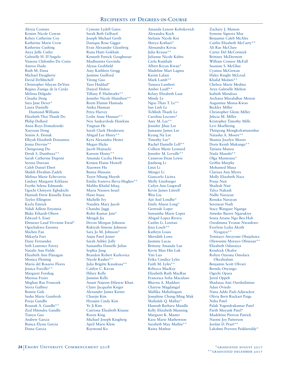Alexia Couture Kristen Nicole Cowan Kelsey Catherine Coy Katherine Marie Crow Katherine Cushing Anya Jaffe Cutler Gabrielle H. D'Angelo Vanessa Chilombo Da Costa Amroo Dada Ruth M. Dana Michael Daugherty David DeMitchell Christopher Silayan DeVore Regina Zuniga de la Cerda Melissa Delgado Claudia Deng Sara Jane Dever\* Laura Danielle Diamond-Williams Elizabeth Thai Thanh Do Philip Dollard Anna Roys Domalewski Xueyuan Dong Senem A. Donuk Elliyah Elizabeth Dossantos Jenna Drevins\*\* Chengxiang Du Derek S. Dumbuya\*\* Sarah Catherine Dupont Serena Durrani Caleb Daniel Ebert Shideh Ebrahim-Zadeh Melissa Marie Echevarria Lindsay Margaret Eckhaus Faythe Selena Edmunds Ugochi Chinyere Egbukichi Hannah Drew Kinsella Eisen Taylor Ellington Kayla Emrick Ndidi Adlene Enyinnia Blake Erhardt-Ohren Edward S. Esser Ebenezer Laud Vivvienn Ewul\* Ogochukwu Ezennia Shichen Fan Mikayla Farr Daisy Fernandez Seth Laurence Ferrey Natalie Ann Fields Elizabeth Ann Flanagan Monica Fleming Maria del Rosario Flores Jessica Forcillo\*\* Margaret Forshag Marissa Fraire Meghan Rae Franczek Sierra Gaffney Bonnie Gale Sasha Marie Gambrah Pooja Gandhi Rounak A. Gandhi\*\* Zeal Hitendra Gandhi Tianyu Gao Andrew Garcia Bianca Elysse Garcia Diana Garcia

Cymone Lydell Gates Sarah Beth Gelbard Joseph Michael Gerth Danique Rose Gigger Evan Alexander Glassberg Runa Hatti Gokhale Kenneth Patrick Goughnour Madhumita Govindu Alyssa Grabfield Amy Kathleen Gregg Jasmine Guilford Yitong Guo Yara Haddad\* Danyel Hafeez Tiffany P. Hailstorks\*\* Jennifer Nicole Hamilton\*\* Reem Elamin Hamoda Anika Hannan Petra Harvey Leslie Anne Hausser\*\* Noy Sankavilode Hawkins Yingnan He Sarah Clark Henderson Abigail Lee Henry\*\* Kyra Alexandra Hester Megan Hicks Jacob Hojnacki Kareem Hosny\*\* Amanda Cecilia Howa Kristen Elaine Howell Xiaowen Hu Banna Hussain Tuyet-Nhung Huynh Emilia Ivanova Ilieva-Hughes\*\* Maliha Khalid Ishaq Maria Nassios Israel Hawi Itana Michelle Ivy Nandita Mary Jacob Chandni Jaggi Rohit Kumar Jain\* Mengdi Jia Devon Morgan Johnson Rakiyah Simone Johnson Sara Jo M. Johnson\* Anjni Patel Joiner Sarah Ashley Jolly Samantha Danielle Julius Sophia Jung Brandon Robert Karkovice Nicole Kasher\*\* Julia Brigitte Kasukusa\*\* Caitlyn C. Kavan Hilary Kelly Jasmine Kelly Anum Najeem Dilawar Khan Claire Jacqualin Kieger Alexander James Kiener Chaejin Kim Hyunjin Cindy Kim Ye Ji Kim Catriona Elizabeth Kinane Raven King Michael Joseph Kingberg April Marie Klein Raymond Ko

Amanda Lenore Kobokovich Alexandra Koch Stefanie Nicole Kot Shreya Kothari\* Alessandra Kovac Julia Krauss\*\* Julianne Nicole Kubes Carla Kumbale Albert Kryan Kwan\* Madeline Mari Lagina Karim Lalani Mark Lamb\*\* Tamara Lambert Amber Lauff\*\* Kelsey Elizabeth Laur Mindy Le Ngoc-Thao T. Le\*\* San Linh Le ToMinh Thanh Le Carolina Lecours\* Amy M. Lee\*\* Jennifer Jihae Lee Jumanne James Lee Kyung Na Lee Timothy Lee\* Rachel Danielle Leff\*\* Colleen Marie Leonard Jennifer M. Leveille\*\* Cameron Dean Lewis Jianheng Li Linzi Li Mengyi Li Giancarlo Licitra Molly Linabarger Cailyn Ann Lingwall Kevin James Littrell Wen Liu Ajit Anil Londhe\* Emily Alison Long\* Gertrude Loper Samantha Marie Lopez Abigail Lopez Rivera Caitlin G. Loretan Jena Losch\*\* Kathryn Louis Meredith Lowe Jasmine Lucas Brittany Amanda Lue Kevin Man Hin Luk Yini Luo Erika Candice Lyles Faith M. Lyles\*\* Rebecca MacKay Elizabeth Ruth MacRae Francesca Sofia Macaluso Bhavna A. Madduri Charyse Magdangal Mallika Mahalingam Josephine Chung-Ming Mak Shahidah Q. Mallay\* Hannah Barbara Mandle Kelly Elizabeth Manning Margaret K. Master Kara Marie Mathewson Sarabeth May Mathis\*\* Raina Mathur

Zachary J. Matson Symone Signora May Benjamin Caleb McAfee Caitlin Elizabeth McCarty\*\* Ali Rae McClure Carter Del McCormick Brittany McDermott William Connor McFall Susanne S. McGhee Cyanna McGowan Haley Knight McLeod Khalid Medani\*\* Chelsea Marie Medina Aryn Gabrielle Melton Isabeth Mendoza Archana Muralidhar Menon Augustina Mensa-Kwao Beckley Miller Christopher Glenn Miller Jelecia M. Miller Kristopher Timothy Mills Levi Moellering Thitipong Mongkolrattanothai Natasha A. Moore\*\* Shamia Jocelyn Moore Doris Kendi Mukangu\*\* Tatiana Munoz Nada Munshi\*\* Olga Munteanu\* Griffin Murphy Mohamed Musa Clarissa Ann Myers Molly Elizabeth Nace Pooja Nair Shailesh Nair Talya Nakash Nidhi Narayan Renuka Narayan Sereineat Nath Stacy Wangare Nganga Amedee Barere Ngarukiye Sonia Ariane Ngo Bea-Hob Ozodimma Yvonne Nwankwo Everlyne Lydia Akoth Nyagaya\*\* Temitayo Awoyomi Obajuluwa Olawunmi Morayo Obisesan\*\* Elizabeth Odunaiya Kendrick Okafor Robyn Ozioma Omolara Okeahialam Benjamin Scott Olivari Brenda Onyango Ogechi Opara Jared Oppelt Shadassa Ami Ourshalimian Adan Oviedo Nana Addo Padi-Adjirackor Olivia Berit Ruckart Paige Neha Patel Palak Yogendrakumar Patel Parth Mayank Patel\* Madeleine Pierron Patrick Naomi Joy Patterson Jordan D. Peart\*\* Lakshmi Praveen Peddareddy\*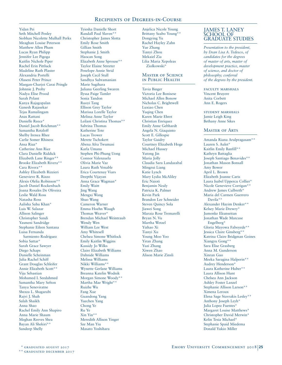Yidan Pei Seth Mitchell Penley Siobhan Nicolette Mulhall Perks Meaghan Louise Peterson Matthew Allen Pham Lucas Ryan Philipp Jennifer Lee Pigoga Kaitlin Nichole Piper Rachel Erin Pittluck Madeline Ruth Plaster Alexandria Portelli Olaseni Peter Prince Maegan-Charjoi Carai Pringle Johnnie J. Proby Nadya Elise Prood Sarah Pylant Kanya Rajagopalan Ganesh Rajasekar Tejas Ramalingam Anas Rattani Danielle Reece\* Daniel Jacob Reichman\*\* Samantha Retzloff Shelby Irenea Rhee Carlie Somer Rhiness Ansa Riaz\* Catherine Ann Rice Clara Danielle Riddick Elizabeth Lane Ringer\*\* Brooke Elizabeth Rivera\*\* Cara Rivera\*\* Ashley Elizabeth Rizzieri Genevieve R. Rizzo Alexis Olelia Robinson\*\* Jacob Daniel Rockenbach Joana Rosales De Oliveira Leslie Wald Ross Natasha Ross Aalisha Sahu Khan\* Luis W. Salazar Allison Salinger Christopher Sandi Yasmeni Sandridge Stephanie Eileen Santana Luisa Fernanda Sarmiento Rodriguez Sobia Sattar\* Sarah Grace Sawyer Diego Schaps Danielle Scheinman Julia Rachel Schiff Grant Douglas Schleifer Annie Elizabeth Scott\*\* Viju Sebastian Mohamed I. Seedahmed Samantha Mary Sefton Tanya Seneviratne Shezza L. Shagarabi Rajvi J. Shah Salah Shaikh Anna Shao Rachel Emily Ann Shapiro Anna Marie Shaum Meghan Reeves Shea Bayan Ali Shekiri\*\*\* Sandeep Shelly

Tyiesha Danielle Short Randall Paul Slaven\*\* Christopher James Slotta Emily Rose Smith Gillian Smith Stephanie J. Smith Haocan Song Elizabeth Anne Sprouse\*\* Taylor Elaine Streeter Penelope Annie Strid Joseph Cecil Stull Sandhya Subramanian Marie Sugihara Juliana Geerling Swaren Ilyssa Paige Tamler Sonia Tandon Ruoyi Tang Ellison Grey Taylor Marissa Lorelle Taylor Melissa Anne Taylor Leilani Christina Thomas\*\* Sabrina Thomas Katherine Tote Lucas Trower Merete Tschokert Abena Afra Twumasi Karla Umana Stephen Phi-Phung Uong Connor Valenzuela Olivia Marie Vaz Laura Ruth Venable Erica Courtenay Viars Deepthi Vijayan Anna Grace Wagman\* Emily Waitt Jing Wang Mengxi Wang Shuo Wang Cameron Warner Emma Hoehn Waugh Thomas Weaver\* Brendan Michael Weintraub Wendy Wen William Lee West Amy Whitesell Chelsea Simone Whitlock Emily Kaitlin Wiggins Kassidy Jo Wilks Claire Elizabeth Williams Dahnide Williams Melissa Williams Nikki Williams\*\* Wynette Gerlane Williams Breanna Katelin Wodnik Morgan Simone Woody\*\* Martha Mae Wright\* Ruizhe Wu Fang Xue Guandong Yang Yuechen Yang Chong Ye Ru Ye Xin Yin\*\* Meredith Allison Yinger Sze Man Yiu Masato Yoshihara

Anjelica Nicole Young Brittany Szabo Young\*\* Dongying Yu Rachel Hayley Zahn Yue Zhang Tianyi Zhou Mekaiel Zia Lilia Maria Xepoleas Ziolkowski\*

#### Master of Science in Public Health

Tavia Binger Victoria Lee Bonisese Michael Allen Bonow Nicholas C. Brightwell Luxiao Chen Yuqing Chen Karen Marie Ehret Christian Enriquez Emily Anne Gebhardt Angela N. Giaquinto Scott E. Gillespie Taylor Guidry Courtney Elizabeth Hoge Michael Hussey Yutong Jin Maria Jolly Claudia Sara Landazabal Mingrui Liang Katie Lynch Mary Lydia McAliley Eric Naioti Benjamin Nealy Patricia K. Palmer Kevin Park Brandon Lee Schneider Steven Quincy Sola Jiawei Song Maraia Rose Tremarelli Bryan N. Vu Martha Wetzel Yizhao Xi Tianyi Xu Young Moo Yoo Yiran Zhang Yuzi Zhang Xiwen Zhao Alison Marie Zinsli

## JAMES T. LANEY SCHOOL OF GRADUATE STUDIES

*Presentation to the president, by Dean Lisa A. Tedesco, of candidates for the degrees of master of arts, master of development practice, master of science, and doctor of philosophy; conferral of the degrees by the president.*

faculty marshals Vincent Bruyere Anita Corbett Ann E. Rogers

student marshals Jamie Leigh King Bethany Anne Sikes

#### Master of Arts

Amanda Riana Arulpragasam\*\* Lauren S. Aulet\* Kaitlin Emily Banfill\*\* Kathryn Battaglia Joseph Santiago Benavides\*\* Jonathan Mason Bonsall Amy Bower April L. Brown Elizabeth Joanne Caris Laura Isabel Uppercu Collier\* Nicole Genevieve Corrigan\*\* Andrew James Culbreth\* Maria del Carmen Guerrero Davila\*\* Alexander Hayim Denker\*\* Kelsey Marie Drewry\* Jumonke Ekunseitan Jonathan Wade Marcuse Engelberg\* Gloria Mayowa Faboyede\*\* Jessica Claire Ginsberg\*\* Katrina Claire Bridgman Goines Xiangyu Gong\*\* Sara Elise Grasberg Anna M. Gunderson Xinran Guo Meeka Saragina Halperin\*\* Audrey Henderson\* Laura Katherine Huber\*\* Laura Allison Hunt Chelsea Ann Jackson Ashley Foster Lanzel Stephanie Allison Larson\*\* Ximena Leroux Elena Sage Stavrakis Lesley\*\* Anthony Joseph Leyh\* Julia Lopez Fuentes\* Margaret Louise Matthews\* Christopher David Merwin\* Kelin Tesia Michael\* Stephanie Spaid Miedema Donald Yukio Miller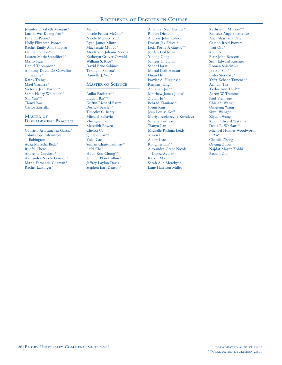Jennifer Elizabeth Morgan\* Lucilla Wei Kuang Pan\* Fahamu Pecou\* Holly Elizabeth Poore\* Rachel Emily Ann Shapiro Hannah Simon\* Lauren Marie Standifer\*\* Marlo Starr Daniel Thompson\* Anthony David De Carvalho Tipping\* Kathy Trang\* Mael Vizcarra\* Victoria Jean Vorholt\* Sarah Henry Whitaker\*\* Xin Yan\*\* Tianyi Yao Carlos Zorrilla

## Master of Development Practice

Gabriela Artasanchez Garcia\* Toluwalope Aderinsola Babington Adza Maretha Beda\* Ruofei Chen\* Andreina Cordova\* Alexandra Nicole Gordon\* Maria Fernanda Guzman\* Rachel Lastinger\*

Xin Li Nicole Felicia McCoy\* Nicole Merino Tsui\* Ryan James Mintz Mackenzie Moody\* Mia Rocio Johann Nieves Katheryn Grover Oswald William S. Rice\* David Brito Sabino\* Tarangini Saxena\* Danielle J. Veal\*

## **MASTER OF SCIENCE**

Anika Backster\*\* Liquan Bai\*\* Griffin Richard Baum Derrick Beasley\* Timothy C. Beaty Michael Bellavia Zhengye Bian Meredith Bowen Chenxi Cai Qingpo Cai\*\* Yulei Cao Suman Chattopadhyay\* Lefei Chen Hyun Koo Chung\*\* Jennifer Pfau Collins\* Jeffrey Laylon Davis Stephen Earl Deason\*

Amanda Reed Dermer\* Robert Dicks Andrew John Ephron Dorian Jay Feistel\* Leda Portia A Gattoc\*\* Jordan Goldstein Yidong Gong Sameer H. Halani Sahar Harati Morad Ihab Hassan Huan He Ixavier A. Higgins\*\* Renjian Jiang Zhuxuan Jin\*\* Matthew James Jones\* Ziqian Ju\* Behzad Kianian\*\* Jueun Kim Jean Louise Koff Mariya Alekseevna Kovaleva Sahana Kuthyar Tianyu Lan Michelle Rishma Leidy Yiwen Li Albert Liao Rongmei Lin\*\* Alexandra Grace Nicole Lopez-Aguiar Kaixin Ma Sarah Alia Mereby\*\* Lane Harrison Miller

Kathryn E. Murray\*\* Rebecca Angela Pankove Anar Shashank Patel Carson Reed Powers Jirui Qiu\* Keon A. Reid Blair John Rossetti Sean Edward Rossiter Roman Sniecinski Jae Eui Soh\*\* Lydia Studdard\* Yafet Kebede Tamene\*\* Azmain Taz Taylor Ann Thul\*\* Aaron W. Trammell Paul Vienhage Chia-shi Wang\* Qingfeng Wang Siwei Wang\*\* Ziyuan Wang Kevin Edward Watkins Denis R. Whelan\*\* Michael Holmes Woodworth Li Yu\* Chaojie Zhong Qiyang Zhou Najdat Mayez Zohbi Bashan Zuo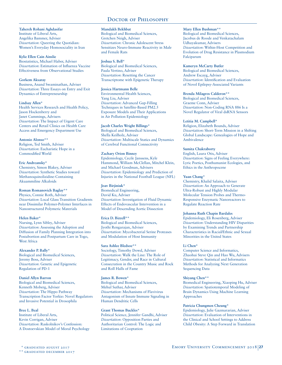#### **Tahereh Rohani Aghdasifar**

Institute of Liberal Arts, Angelika Bammer, Adviser *Dissertation*: Queering the Quotidian: Women's Everyday Homosociality in Iran

#### **Kylie Ellen Cain Ainslie**

Biostatistics, Michael Haber, Adviser *Dissertation*: Estimation of Influenza Vaccine Effectiveness from Observational Studies

#### **Gorkem Aksaray**

Business, Anand Swaminathan, Adviser *Dissertation*: Three Essays on Entry and Exit Dynamics of Entrepreneurship

#### **Lindsay Allen\***

Health Services Research and Health Policy, Jason Hockenberry and Janet Cummings, Advisers *Dissertation*: The Impact of Urgent Care Centers and Retail Clinics on Health Care Access and Emergency Department Use

#### **Antonio Alonso\*\***

Religion, Ted Smith, Adviser *Dissertation*: Eucharistic Hope in a Commodified World

#### **Eric Andreansky\***

Chemistry, Simon Blakey, Adviser *Dissertation*: Synthetic Studies toward Methanoquinolizidine-Containing Akuammiline Alkaloids

## **Roman Romanovich Baglay\*\***

Physics, Connie Roth, Adviser *Dissertation*: Local Glass Transition Gradients near Dissimilar Polymer-Polymer Interfaces in Nanostructured Polymeric Materials

#### **Helen Baker\***

Nursing, Lynn Sibley, Adviser *Dissertation*: Assessing the Adoption and Diffusion of Family Planning Integration into Postabortion and Postpartum Care in Togo, West Africa

#### **Alexander P. Bally\***

Biological and Biomedical Sciences, Jeremy Boss, Adviser *Dissertation*: Genetic and Epigenetic Regulation of PD-1

#### **Daniel Allyn Barron**

Biological and Biomedical Sciences, Kenneth Moberg, Adviser *Dissertation*: The Hippo Pathway Transcription Factor Yorkie: Novel Regulators and Invasive Potential in Drosophila

#### **Bree L. Beal**

Institute of Liberal Arts, Kevin Corrigan, Adviser *Dissertation*: Raskolnikov's Confession: A Dostoevskian Model of Moral Psychology

#### **Mandakh Bekhbat**

Biological and Biomedical Sciences, Gretchen Neigh, Adviser *Dissertation*: Chronic Adolescent Stress Sensitizes Neuro-Immune Reactivity in Male and Female Rats

## **Joshua S. Bell\***

Biological and Biomedical Sciences, Paula Vertino, Adviser *Dissertation*: Resetting the Cancer Transcriptome with Epigenetic Therapy

#### **Jessica Hartmann Belle**

Environmental Health Sciences, Yang Liu, Adviser *Dissertation*: Advanced Gap-Filling Techniques in Satellite-Based PM2.5 Exposure Models and Their Applications in Air Pollution Epidemiology

#### **Jacob Charles Wright Billings\***

Biological and Biomedical Sciences, Shella Keilholz, Adviser *Dissertation*: Multiscale Statics and Dynamics of Cerebral Functional Connectivity

#### **Zachary Orion Binney**

Epidemiology, Cecile Janssens, Kyle Hammond, William McClellan, Mitchel Klein, and Michael Goodman, Advisers *Dissertation*: Epidemiology and Prediction of Injuries in the National Football League (NFL)

#### **Joav Birjiniuk\***

Biomedical Engineering, David Ku, Adviser *Dissertation*: Investigation of Fluid Dynamic Effects of Endovascular Intervention in a Model of Descending Aortic Dissection

#### **Erica D. Bizzell\*\***

Biological and Biomedical Sciences, Jyothi Rengarajan, Adviser *Dissertation*: Mycobacterial Serine Proteases and Modulation of Host Immunity

#### **Sara Ashlee Bledsoe\*\***

Sociology, Timothy Dowd, Adviser *Dissertation*: Walk the Line: The Role of Legitimacy, Gender, and Race in Cultural Consecration in the Country Music and Rock and Roll Halls of Fame

#### **James R. Bowen\***

Biological and Biomedical Sciences, Mehul Suthar, Adviser *Dissertation*: Mechanisms of Flavivirus Antagonism of Innate Immune Signaling in Human Dendritic Cells

#### **Grant Thomas Buckles\***

Political Science, Jennifer Gandhi, Adviser *Dissertation*: Opposition Parties and Authoritarian Control: The Logic and Limitations of Cooptation

#### **Mary Ellen Bushman\*\***

Biological and Biomedical Sciences, Jacobus de Roode and Venkatachalam Udhayakumar, Advisers *Dissertation*: Within-Host Competition and Evolution of Drug Resistance in Plasmodium Falciparum

#### **Kameryn McCarty Butler**

Biological and Biomedical Sciences, Andrew Escayg, Adviser *Dissertation*: Identification and Evaluation of Novel Epilepsy-Associated Variants

#### **Brenda Milagros Calderon\*\***

Biological and Biomedical Sciences, Graeme Conn, Adviser *Dissertation*: Non-Coding RNA 886 Is a Novel Regulator of Viral dsRNA Sensors

#### **Letitia M. Campbell\***

Religion, Elizabeth Bounds, Adviser *Dissertation***:** Short-Term Mission in a Shifting Global Landscape: Genealogies of Hope and Ambivalence

#### **Sumita Chakraborty**

English, Laura Otis, Adviser *Dissertation*: Signs of Feeling Everywhere: Lyric Poetics, Posthumanist Ecologies, and Ethics in the Anthropocene

#### **Yuan Chang\***

Chemistry, Khalid Salaita, Adviser *Dissertation*: An Approach to Generate Ultra-Robust and Highly Modular Molecular Tension Probes and Thermo-Responsive Enzymatic Nanoreactors to Regulate Reaction Rate

#### **Johanna Ruth Chapin Bardales**

Epidemiology, Eli Rosenberg, Adviser *Dissertation*: Understanding HIV Disparities by Examining Trends and Partnership Characteristics in Racial/Ethnic and Sexual Minorities in the United States

#### **Li Chen\***

Computer Science and Informatics, Zhaohui Steve Qin and Hao Wu, Advisers *Dissertation*: Statistical and Informatics Methods for Analyzing Next Generation Sequencing Data

#### **Shiyang Chen\*\***

Biomedical Engineering, Xiaoping Hu, Adviser *Dissertation*: Spatiotemporal Modeling of Brain Dynamics Using Machine Learning Approaches

#### **Patricia Chungmen Cheung\***

Epidemiology, Julie Gazmararian, Adviser *Dissertation*: Evaluation of Interventions in the Clinical and School Settings to Address Child Obesity: A Step Forward in Translation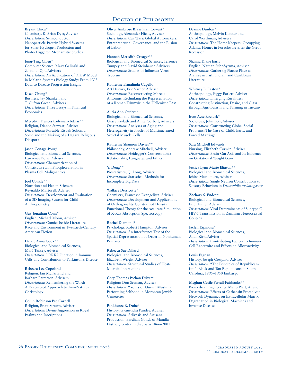#### **Bryant Chica\***

Chemistry, R. Brian Dyer, Adviser *Dissertation*: Semiconductor Nanoparticle-Protein Hybrid Systems for Solar Hydrogen Production and Photo-Triggered Mechanistic Studies

#### **Jung-Ting Chien\***

Computer Science, Mary Galinski and Zhaohui Qin, Advisers *Dissertation*: An Application of DIKW Model in Malaria Systems Biology Study: From NGS Data to Disease Progression Insight

#### **Kiseo Chung\***

Business, Jay Shanken and T. Clifton Green, Advisers *Dissertation*: Three Essays in Financial **Economics** 

## **Meredith Frances Coleman-Tobias\*\***

Religion, Dianne Stewart, Adviser *Dissertation*: Portable Ritual: Sobonfu Somé and the Making of a Dagara Religious Diaspora

#### **Jason Conage-Pough**

Biological and Biomedical Sciences, Lawrence Boise, Adviser *Dissertation*: Characterization of Constitutive Bim Phosphorylation in Plasma Cell Malignancies

## **Joel Conkle\*\***

Nutrition and Health Sciences, Reynaldo Martorell, Adviser *Dissertation*: Development and Evaluation of a 3D Imaging System for Child Anthropometry

## **Guy Jonathan Conn\***

English, Michael Moon, Adviser *Dissertation*: Comics beside Literature: Race and Environment in Twentieth-Century American Fiction

#### **Darcie Anna Cook\*\***

Biological and Biomedical Sciences, Malú Tansey, Adviser *Dissertation*: LRRK2 Function in Immune Cells and Contribution to Parkinson's Disease

## **Rebecca Lee Copeland**

Religion, Ian McFarland and Barbara Patterson, Advisers *Dissertation*: Remembering the Word: A Decentered Approach to Two-Natures Christology

#### **Collin Robinson Pae Cornell**

Religion, Brent Strawn, Adviser *Dissertation*: Divine Aggression in Royal Psalms and Inscriptions

## **Oliver Ambrose Braselman Cowart\***

Sociology, Alexander Hicks, Adviser *Dissertation*: Car Wars: Global Automakers, Entrepreneurial Governance, and the Elision of Labor

#### **Hannah Meredith Creager\*\***

Biological and Biomedical Sciences, Terrence Tumpey and David Steinhauer, Advisers *Dissertation*: Studies of Influenza Virus Tropism

#### **Katherine Ermalinda Cupello**

Art History, Eric Varner, Adviser *Dissertation*: Reconstructing Marcus Antonius: Rethinking the Representation of a Roman Triumvir in the Hellenistic East

#### **Alicia Ann Cutler\*\***

Biological and Biomedical Sciences, Grace Pavlath and Anita Corbett, Advisers *Dissertation*: Analyses of Aging and Heterogeneity in Nuclei of Multinucleated Skeletal Muscle Cells

# **Katherine Shannon Davies\*\***

Philosophy, Andrew Mitchell, Adviser *Dissertation*: Heidegger's Conversations: Relationality, Language, and Ethics

## **Yi Deng\*\***

Biostatistics, Qi Long, Adviser *Dissertation*: Statistical Methods for Incomplete Big Data

## **Wallace Derricotte\***

Chemistry, Francesco Evangelista, Adviser *Dissertation*: Development and Applications of Orthogonality Constrained Density Functional Theory for the Accurate Simulation of X-Ray Absorption Spectroscopy

## **Rachel Diamond\***

Psychology, Robert Hampton, Adviser *Dissertation*: An Interference Test of the Spatial Representation of Order in Nonhuman Primates

**Rebecca Sue Dillard** Biological and Biomedical Sciences, Elizabeth Wright, Adviser *Dissertation*: Structural Studies of Host-Microbe Interactions

#### **Cory Thomas Pechan Driver\***

Religion: Don Seeman, Adviser *Dissertation*: "Yours or Ours?" Muslims Performing Selfhood in Moroccan Jewish Cemeteries

## **Pankhuree R. Dube\***

History, Gyanendra Pandey, Adviser *Dissertation*: Adivasis and Artisanal Production: Pardhan Gonds of Mandla District, Central India, *circa* 1866–2001

#### **Deanne Dunbar\***

Anthropology, Melvin Konner and Carol Worthman, Advisers *Dissertation*: The Home Keepers: Occupying Atlanta Homes in Foreclosure after the Great Recession

#### **Shanna Diane Early**

English, Nathan Suhr-Sytsma, Adviser *Dissertation*: Gathering Places: Place as Archive in Irish, Indian, and Caribbean Literature

#### **Whitney L. Easton\***

Anthropology, Peggy Barlett, Adviser *Dissertation*: Emerging Ruralities: Constructing Distinction, Desire, and Class through Agritourism and Farming in Tuscany

#### **Irem Ayse Ebeturk\***

Sociology, John Boli, Adviser *Dissertation*: Constructing Global Social Problems: The Case of Child, Early, and Forced Marriage

#### **Sara Mitchell Edwards**

Nursing, Elizabeth Corwin, Adviser *Dissertation*: Brain-Gut Axis and Its Influence on Gestational Weight Gain

## **Jessica Lynn Marie Eliason\*\***

Biological and Biomedical Sciences, Ichiro Matsumura, Adviser *Dissertation*: Single Neuron Contributions to Sensory Behaviors in *Drosophila melanogaster*

## **Zachary S. Ende\*\***

Biological and Biomedical Sciences, Eric Hunter, Adviser *Dissertation*: Viral Determinants of Subtype C HIV-1 Transmission in Zambian Heterosexual **Couples** 

## **Jaclyn Espinosa\***

Biological and Biomedical Sciences, Allan Kirk, Adviser *Dissertation*: Contributing Factors to Immune Cell Repertoire and Effects on Alloreactivity

#### **Louis Fagnan**

History, Joseph Crespino, Adviser *Dissertation*: "The Principles of Republicanism": Black and Tan Republicans in South Carolina, 1895–1950 Embargo

#### **Meghan Cecile Ferrall-Fairbanks\*\***

Biomedical Engineering, Manu Platt, Adviser *Dissertation*: Effects of Cathepsin Proteolytic Network Dynamics on Extracellular Matrix Degradation in Biological Machines and Invasive Disease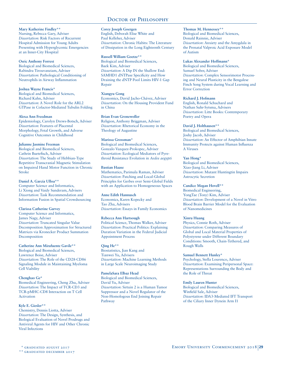#### **Mary Katherine Findley\*\***

Nursing, Rebecca Gary, Adviser *Dissertation*: Risk Factors of Recurrent Hospital Admission for Young Adults Presenting with Hyperglycemic Emergencies at an Inner-City Hospital

#### **Osric Anthony Forrest**

Biological and Biomedical Sciences, Rabindra Tirouvanziam, Adviser *Dissertation*: Pathological Conditioning of Neutrophils in Airway Inflammation

#### **Joshua Wayne Francis\***

Biological and Biomedical Sciences, Richard Kahn, Adviser *Dissertation*: A Novel Role for the ARL2 GTPase in Cofactor-Mediated Tubulin Folding

#### **Alexa Ann Freedman**

Epidemiology, Carolyn Drews-Botsch, Adviser *Dissertation*: Features of Placental Morphology, Fetal Growth, and Adverse Cognitive Outcomes in Childhood

#### **Julianne Jasmine Freeman**

Biological and Biomedical Sciences, Cathrin Buetefisch, Adviser *Dissertation*: The Study of Hebbian-Type Repetitive Transcranial Magnetic Stimulation on Impaired Hand Motor Function in Chronic Stroke

## **Daniel A. García Ulloa\*\***

Computer Science and Informatics, Li Xiong and Vaidy Sunderam, Advisers *Dissertation*: Task Recommendation and Information Fusion in Spatial Crowdsourcing

## **Clarissa Catherine Garvey**

Computer Science and Informatics, James Nagy, Adviser *Dissertation*: Truncated Singular Value Decomposition Approximation for Structured Matrices via Kronecker Product Summation Decomposition

## **Catherine Ann Mirafuente Gavile\*\***

Biological and Biomedical Sciences, Lawrence Boise, Adviser *Dissertation*: The Role of the CD28-CD86 Signaling Module in Maintaining Myeloma Cell Viability

## **Chenghao Ge\***

Biomedical Engineering, Cheng Zhu, Adviser *Dissertation*: The Impact of TCR-CD3 and TCR-pMHC-CD8 Interaction on T Cell Activation

## **Kyle E. Giesler\*\***

Chemistry, Dennis Liotta, Adviser *Dissertation*: The Design, Synthesis, and Biological Evaluation of Novel Prodrugs and Antiviral Agents for HIV and Other Chronic Viral Infections

## **Corey Joseph Goergen**

English, Deborah Elise White and Paul Kelleher, Adviser *Dissertation*: Chronic Habits: The Literature of Dissipation in the Long Eighteenth Century

#### **Russell William Goetze\*\***

Biological and Biomedical Sciences, Baek Kim, Adviser *Dissertation*: A Dip IN the Shallow End: SAMHD1 dNTPase Specificity and How Draining the dNTP Pool Limits HIV-1 Gap Repair

## **Xiangyu Gong**

Economics, David Jacho-Chávez, Adviser *Dissertation*: On the Housing Provident Fund in China

#### **Brian Evan Gronewoller**

Religion, Anthony Briggman, Adviser *Dissertation*: Rhetorical Economy in the Theology of Augustine

#### **Marissa Grossman\***

Biological and Biomedical Sciences, Gonzalo Vazquez-Prokopec, Adviser *Dissertation*: Ecological Mediators of Pyrethroid Resistance Evolution in *Aedes aegypti*

## **Bastian Haase**

Mathematics, Parimala Raman, Adviser *Dissertation*: Patching and Local-Global Principles for Gerbes over Semi-Global Fields with an Application to Homogeneous Spaces

#### **Anne Edith Hannusch**

Economics, Karen Kopecky and Tao Zha, Advisers *Dissertation*: Essays in Family Economics

#### **Rebecca Ann Hartsough**

Political Science, Thomas Walker, Adviser *Dissertation*: Practical Politics: Explaining Duration Variation in the Federal Judicial Appointment Process

## **Qing He\*\***

Biostatistics, Jian Kang and Tianwei Yu, Advisers *Dissertation*: Machine Learning Methods in Large Scale Neuroimaging Study

## **PamelaSara Elbaz Head**

Biological and Biomedical Sciences, David Yu, Adviser *Dissertation*: Sirtuin 2 is a Human Tumor Suppressor and a Novel Regulator of the Non-Homologous End Joining Repair Pathway

# **Thomas M. Hennessey\*\***

Biological and Biomedical Sciences, Donald Rainnie, Adviser *Dissertation*: Anxiety and the Amygdala in the Prenatal Valproic Acid Exposure Model of Autism

#### **Lukas Alexander Hoffmann\***

Biological and Biomedical Sciences, Samuel Sober, Adviser *Dissertation*: Complex Sensorimotor Processing and Neural Plasticity in the Bengalese Finch Song System during Vocal Learning and Error Correction

## **Richard J. Hofmann**

English, Ronald Schuchard and Nathan Suhr-Sytsma, Advisers *Dissertation*: Litte Books: Contemporary Poetry and Opera

#### **David J. Holthausen\*\***

Biological and Biomedical Sciences, Joshy Jacob, Adviser *Dissertation*: An Effector of Amphibian Innate Immunity Protects against Human Influenza A Viruses

## **Yan Hong\***

Biological and Biomedical Sciences, Xiao-Jiang Li, Adviser *Dissertation*: Mutant Huntingtin Impairs Astrocytic Secretion

## **Candice Megan Hovell\*\***

Biomedical Engineering, YongTae (Tony) Kim, Adviser *Dissertation*: Development of a Novel in Vitro Blood Brain Barrier Model for the Evaluation of Nanomedicines

## **Xinru Huang**

Physics, Connie Roth, Adviser *Dissertation*: Comparing Measures of Global and Local Material Properties of Polystyrene under Different Boundary Conditions: Smooth, Chain-Tethered, and Rough Walls

#### **Samuel Bennett Hunley\***

Psychology, Stella Lourenco, Adviser *Dissertation*: Examining Peripersonal Space: Representations Surrounding the Body and the Role of Threat

## **Emily Lauren Hunter**

Biological and Biomedical Sciences, Winfield Sale, Adviser *Dissertation*: IDA3-Mediated IFT Transport of the Ciliary Inner Dynein Arm I1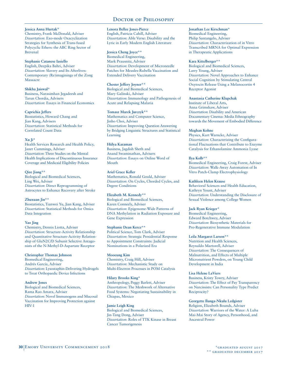#### **Jessica Anna Hurtak\***

Chemistry, Frank McDonald, Adviser *Dissertation*: Exo-mode Oxacyclization Strategies for Synthesis of Trans-fused Polycyclic Ethers: the ABC Ring Sector of Brevenal

## **Stephanie Catanese Iasiello**

English, Deepika Bahri, Adviser *Dissertation*: Slavery and Its Afterlives: Contemporary (Re)imaginings of the Zong Massacre

#### **Shikha Jaiswal\***

Business, Narasimhan Jegadeesh and Tarun Chordia, Advisers *Dissertation*: Essays in Financial Economics

#### **Caprichia Jeffers**

Biostatistics, Howard Chang and Jian Kang, Advisers *Dissertation*: Statistical Methods for Correlated Count Data

## **Xu Ji\***

Health Services Research and Health Policy, Janet Cummings, Adviser *Dissertation*: Three Studies on the Mental Health Implications of Discontinuous Insurance Coverage and Medicaid Eligibility Policies

## **Qize Jiang\*\***

Biological and Biomedical Sciences, Ling Wei, Adviser *Dissertation*: Direct Reprogramming of Astrocytes to Enhance Recovery after Stroke

## **Zhuxuan Jin\*\***

Biostatistics, Tianwei Yu, Jian Kang, Adviser *Dissertation*: Statistical Methods for Omics Data Integration

## **Yao Jing**

Chemistry, Dennis Liotta, Adviser *Dissertation*: Structure-Activity Relationship and Quantitative Structure-Activity Relationship of GluN2C/D Subunit Selective Antagonists of the N-Methyl-D-Aspartate Receptor

## **Christopher Thomas Johnson**

Biomedical Engineering, Andrés García, Adviser *Dissertation*: Lysostaphin-Delivering Hydrogels to Treat Orthopaedic Device Infections

## **Andrew Jones**

Biological and Biomedical Sciences, Rama Rao Amara, Adviser *Dissertation*: Novel Immunogens and Mucosal Vaccination for Improving Protection against HIV-1

#### **Lenora Bellee Jones-Pierce** English, Patricia Cahill, Adviser *Dissertation*: Able Verse: Disability and the Lyric in Early Modern English Literature

## **Jessica Cheng Joyce\*\***

Biomedical Engineering, Mark Prausnitz, Adviser *Dissertation*: Development of Microneedle Patches for Measles-Rubella Vaccination and Extended Delivery Vaccination

## **Chester Jeffery Joyner\*\***

Biological and Biomedical Sciences, Mary Galinski, Adviser *Dissertation*: Immunology and Pathogenesis of Acute and Relapsing Malaria

## **Tomasz Marek Jurczyk\*\***

Mathematics and Computer Science, Jinho Choi, Adviser *Dissertation*: Improving Question Answering by Bridging Linguistic Structures and Statistical Learning

## **Hülya Karaman**

Business, Jagdish Sheth and Anand Swaminathan, Advisers *Dissertation*: Essays on Online Word of Mouth

## **Ariel Grace Keller**

Mathematics, Ronald Gould, Adviser *Dissertation*: On Cycles, Chorded Cycles, and Degree Conditions

## **Elizabeth M. Kennedy\*\***

Biological and Biomedical Sciences, Karen Conneely, Adviser *Dissertation*: Epigenome-Wide Patterns of DNA Methylation in Radiation Exposure and Gene Expression

## **Stephanie Dean Kerce\*\***

Political Science, Tom Clark, Adviser *Dissertation*: Strategic Presidential Response to Appointment Constraints: Judicial Nominations in a Polarized Era

## **Mooeung Kim**

Chemistry, Craig Hill, Adviser *Dissertation*: Mechanistic Study on Multi-Electron Processes in POM Catalysis

## **Hilary Brooks King\***

Anthropology, Peggy Barlett, Adviser *Dissertation*: The Meshwork of Alternative Food Systems: Negotiating Sustainability in Chiapas, Mexico

#### **Jamie Leigh King**

Biological and Biomedical Sciences, Jin-Tang Dong, Adviser *Dissertation*: Roles of TTK Kinase in Breast Cancer Tumorigenesis

## **Jonathan Lee Kirschman\***

Biomedical Engineering, Philip Santangelo, Adviser *Dissertation*: Characterization of in Vitro Transcribed MRNA for Optimal Expression in Therapeutic Applications

## **Kara Kittelberger\*\***

Biological and Biomedical Sciences, Larry Young, Adviser *Dissertation*: Novel Approaches to Enhance Social Cognition by Stimulating Central Oxytocin Release Using a Melanocortin 4 Receptor Agonist

#### **Anastasia Catherine Klupchak**

Institute of Liberal Arts, Anna Grimshaw, Adviser *Dissertation*: Disability and American Documentary Cinema: Media Ethnography towards the Movement of Embodied Difference

## **Meghan Kohne**

Physics, Kurt Warncke, Adviser *Dissertation*: Characterizing the Configurational Fluctuations that Contribute to Enzyme Catalysis for Ethanolamine Ammonia Lyase

## **Ilya Kolb\*\***

Biomedical Engineering, Craig Forest, Adviser *Dissertation*: Walk-Away Automation of In Vitro Patch-Clamp Electrophysiology

## **Kathleen Helen Krause**

Behavioral Sciences and Health Education, Kathryn Yount, Adviser *Dissertation*: Understanding the Disclosure of Sexual Violence among College Women

## **Jack Ryan Krieger\***

Biomedical Engineering, Edward Botchwey, Adviser *Dissertation*: Biosynthetic Materials for Pro-Regenerative Immune Modulation

## **Leila Margaret Larson\*\***

Nutrition and Health Sciences, Reynaldo Martorell, Adviser *Dissertation*: The Consequences of Malnutrition, and Effects of Multiple Micronutrient Powders, on Young Child Development in India

## **Lisa Helene LaViers**

Business, Kristy Towry, Adviser *Dissertation*: The Effect of Pay Transparency on Narcissists: Can Personality Type Predict Reciprocity?

## **Georgette Ilunga-Nkulu Ledgister**

Religion, Elizabeth Bounds, Adviser *Dissertation*: Warriors of the Water: A Luba Mai-Mai Story of Agency, Personhood, and Ancestral Power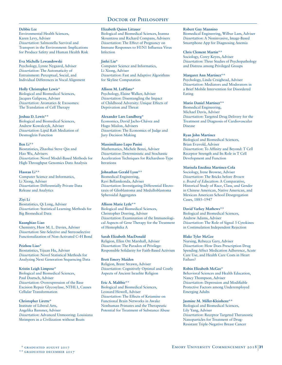#### **Debbie Lee**

Environmental Health Sciences, Karen Levy, Adviser *Dissertation*: Salmonella Survival and Transport in the Environment: Implications for Produce Safety and Human Health Risk

#### **Eva Michelle Lewandowski**

Psychology, Lynne Nygaard, Adviser *Dissertation*: The Automaticity of Entrainment: Perceptual, Social, and Individual Differences in Vocal Alignment

#### **Holly Christopher Lewis\***

Biological and Biomedical Sciences, Jacques Galipeau, Adviser *Dissertation*: Aromatics & Exosomes: The Translation of Cell Therapy

#### **Joshua D. Lewis\*\***

Biological and Biomedical Sciences, Andrew Kowalczyk, Adviser *Dissertation*: Lipid Raft Mediation of Desmoglein Function

#### **Ben Li\*\***

Biostatistics, Zhaohui Steve Qin and Hao Wu, Advisers *Dissertation*: Novel Model-Based Methods for High-Throughput Genomics Data Analysis

#### **Haoran Li\*\***

Computer Science and Informatics, Li Xiong, Adviser *Dissertation*: Differentially Private Data Release and Analytics

## **Ziyi Li**

Biostatistics, Qi Long, Adviser *Dissertation*: Statistical Learning Methods for Big Biomedical Data

## **Kuangbiao Liao**

Chemistry, Huw M. L. Davies, Adviser *Dissertation*: Site-Selective and Stereoselective Functionalization of Non-Activated C–H Bond

## **Peizhou Liao\***

Biostatistics, Yijuan Hu, Adviser *Dissertation*: Novel Statistical Methods for Analyzing Next Generation Sequencing Data

## **Kristin Leigh Limpose\***

Biological and Biomedical Sciences, Paul Doetsch, Adviser *Dissertation*: Overexpression of the Base Excision Repair Glycosylase, NTHL1, Causes Cellular Transformation

## **Christopher Lirette\***

Institute of Liberal Arts, Angelika Bammer, Adviser *Dissertation*: Advanced Unmooring: Louisiana Shrimpers in a Civilization without Boats

## **Elizabeth Quinn Littauer**

Biological and Biomedical Sciences, Ioanna Skountzou and Richard Compans, Advisers *Dissertation*: The Effect of Pregnancy on Immune Responses to H1N1 Influenza Virus Infection

#### **Jinfei Liu\***

Computer Science and Informatics, Li Xiong, Adviser *Dissertation*: Fast and Adaptive Algorithms for Skyline Computation

#### **Allison M. LoPilato\***

Psychology, Elaine Walker, Adviser *Dissertation*: Disentangling the Impact of Childhood Adversity: Unique Effects of Deprivation and Threat

#### **Alexander Lars Lundberg\***

Economics, David Jacho-Chávez and Hugo Mialon, Advisers *Dissertation*: The Economics of Judge and Jury Decision Making

## **Massimiliano Lupo Pasini**

Mathematics, Michele Benzi, Adviser *Dissertation*: Deterministic and Stochastic Acceleration Techniques for Richardson-Type Iterations

## **Johnathan Gerald Lyon\*\***

Biomedical Engineering, Ravi Bellamkonda, Adviser *Dissertation*: Investigating Differential Electotaxis of Glioblastoma and Medulloblastoma Spheroidal Aggregates

## **Allison Marie Lytle\*\***

Biological and Biomedical Sciences, Christopher Doering, Adviser *Dissertation*: Examination of the Immunological Aspects of Gene Therapy for the Treatment of Hemophilia A

**Sarah Elizabeth MacDonald** Religion, Ellen Ott Marshall, Adviser *Dissertation*: The Paradox of Privilege: Responsible Solidarity for Faith-Based Activism

## **Brett Emery Maiden**

Religion, Brent Strawn, Adviser *Dissertation*: Cognitively Optimal and Costly Aspects of Ancient Israelite Religion

#### **Eric A. Maltbie\*\***

Biological and Biomedical Sciences, Leonard Howell, Adviser *Dissertation*: The Effects of Ketamine on Functional Brain Networks in Awake Nonhuman Primates and the Therapeutic Potential for Treatment of Substance Abuse

#### **Robert Guy Mannino**

Biomedical Engineering, Wilbur Lam, Adviser *Dissertation*: A Noninvasive, Image-Based Smartphone App for Diagnosing Anemia

#### **Chris Clement Martin\*\***

Sociology, Corey Keyes, Adviser *Dissertation*: Three Studies of Psychopathology and Distress among Privileged Groups

#### **Margaret Ann Martinez\*\***

Psychology, Linda Craighead, Adviser *Dissertation*: Mediators and Moderators in a Brief Mobile Intervention for Disordered Eating

#### **Mario Daniel Martinez\*\***

Biomedical Engineering, Michael Davis, Adviser *Dissertation*: Targeted Drug Delivery for the Treatment and Diagnosis of Cardiovascular Disease

#### **Ryan John Martinez**

Biological and Biomedical Sciences, Brian Evavold, Adviser *Dissertation*: To Affinity and Beyond: T Cell Receptor Strength and Its Role in T Cell Development and Function

## **Marisela Enedina Martinez-Cola**

Sociology, Irene Browne, Adviser *Dissertation*: The Bricks before *Brown v. Board of Education*: A Comparative, Historical Study of Race, Class, and Gender in Chinese American, Native American, and Mexican American School Desegregation Cases, 1885–1947

#### **David Varkey Mathews\*\***

Biological and Biomedical Sciences, Andrew Adams, Adviser *Dissertation*: The Role of Signal 3 Cytokines in Costimulation Independent Rejection

#### **Blake Tyler McGee**

Nursing, Rebecca Gary, Adviser *Dissertation*: How Does Prescription Drug Spending Affect Medication Adherence, Acute Care Use, and Health Care Costs in Heart Failure?

#### **Robin Elizabeth McGee\***

Behavioral Sciences and Health Education, Nancy Thompson, Adviser *Dissertation*: Depression and Modifiable Protective Factors among Underemployed Emerging Adults

#### **Jasmine M. Miller-Kleinhenz\*\***

Biological and Biomedical Sciences, Lily Yang, Adviser *Dissertation*: Receptor Targeted Theranostic Nanoparticles for Treatment of Drug-Resistant Triple-Negative Breast Cancer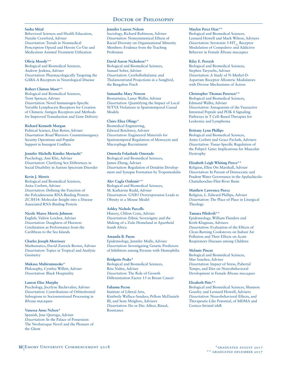#### **Sasha Mital**

Behavioral Sciences and Health Education, Natalie Crawford, Adviser *Dissertation*: Trends in Nonmedical Prescription Opioid and Heroin Co-Use and Medication Assisted Treatment Utilization

#### **Olivia Moody\*\***

Biological and Biomedical Sciences, Andrew Jenkins, Adviser *Dissertation*: Pharmacologically Targeting the GABA-A Receptors in Neurological Disease

#### **Robert Clinton Moot\*\***

Biological and Biomedical Sciences, Trent Spencer, Adviser *Dissertation*: Novel Immunogen-Specific Variable Lymphocyte Receptors for Creation of Chimeric Antigen Receptors and Methods for Improved Transduction and Gene Delivery

## **Richard Kenneth Morgan**

Political Science, Dan Reiter, Adviser *Dissertation*: Road Warriors: Counterinsurgency Security Operations and Popular Support in Insurgent Conflicts

## **Jennifer Michelle Kimiko Moriuchi\***

Psychology, Ami Klin, Adviser *Dissertation*: Clarifying Sex Differences in Social Disability in Autism Spectrum Disorder

## **Kevin J. Morris**

Biological and Biomedical Sciences, Anita Corbett, Adviser *Dissertation*: Defining the Function of the Polyadenosine RNA-Binding Protein ZC3H14: Molecular Insight into a Disease Associated RNA-Binding Protein

## **Nicole Maree Morris Johnson**

English, Valérie Loichot, Adviser *Dissertation*: Daughters of Hurston: Creolization as Performance from the Caribbean to the Sea Islands

## **Charles Joseph Morrissey**

Mathematics, David Zureick-Brown, Adviser *Dissertation*: Topics in Tropical and Analytic Geometry

**Mukasa Mubirumusoke\*** Philosophy, Cynthia Willett, Adviser *Dissertation*: Black Hospitality

## **Lauren Elise Murphy**

Psychology, Jocelyne Bachevalier, Adviser *Dissertation*: Contributions of Orbitofrontal Subregions to Socioemotional Processing in *Rhesus macaques*

## **Vanessa Anne Nelsen\***

Spanish, Jose Quiroga, Adviser *Dissertation*: In the Palace of Possession: The Neobaroque Novel and the Pleasure of the Ghost

#### **Jennifer Lauren Nelson**

Sociology, Richard Rubinson, Adviser *Dissertation*: Nonsymmetrical Effects of Racial Diversity on Organizational Minority Members: Evidence from the Teaching Profession

#### **David Aaron Nicholson\*\***

Biological and Biomedical Sciences, Samuel Sober, Adviser *Dissertation*: Cerebellothalamic and Thalamostriatal Projections in a Songbird, the Bengalese Finch

## **Samantha Mary Noreen**

Biostatistics, Lance Waller, Adviser *Dissertation*: Quantifying the Impact of Local SUTVA Violations in Spatiotemporal Causal Models

## **Claire Eliza Olingy\***

Biomedical Engineering, Edward Botchwey, Adviser *Dissertation*: Engineered Materials for Spatiotemporal Regulation of Monocyte and Macrophage Recruitment

## **Omotola Folashade Omotade**

Biological and Biomedical Sciences, James Zheng, Adviser *Dissertation*: Regulation of Dendrite Development and Synapse Formation by Tropomodulin

## **Alev Cagla Ozdemir\*\***

Biological and Biomedical Sciences, M. Katharine Rudd, Adviser *Dissertation*: *GNB3* Overexpression Leads to Obesity in a Mouse Model

# **Ashley Nichole Parcells**

History, Clifton Crais, Adviser *Dissertation*: Ethnic Sovereignty and the Making of a Zulu Homeland in Apartheid South Africa

## **Amanda B. Payne**

Epidemiology, Jennifer Mulle, Adviser *Dissertation*: Investigating Genetic Predictors of Inhibitors among Persons with Hemophilia

**Bridgette Peake\*** Biological and Biomedical Sciences, Rita Nahta, Adviser *Dissertation*: The Role of Growth Differentiation Factor 15 in Breast Cancer

**Fahamu Pecou** Institute of Liberal Arts, Kimberly Wallace-Sanders, Pellom McDaniels III, and Sean Meighoo, Advisers *Dissertation*: Do or Die: Affect, Ritual, **Resistance** 

## **Maylen Perez Diaz\*\***

Biological and Biomedical Sciences, Leonard Howell and Mark Wilson, Advisers *Dissertation*: Serotonin 5-HT<sub>2C</sub> Receptor Modulation of Compulsive and Addictive Behavior in Female *Rhesus macaques*

#### **Riley E. Perszyk**

Biological and Biomedical Sciences, Stephen Tarynelis, Adviser *Dissertation*: A Study of N-Methyl-D-Aspartate Receptor Allosteric Modulators with Diverse Mechanisms of Action

#### **Christopher Thomas Petersen\*\***

Biological and Biomedical Sciences, Edmund Waller, Adviser *Dissertation*: Antagonism of the Vasoactive Intestinal Peptide and PI3K δ Signaling Pathways in T Cell–Based Therapies for Leukemia and Lymphoma

#### **Brittany Lynn Phillips**

Biological and Biomedical Sciences, Anita Corbett and Grace Pavlath, Advisers *Dissertation*: Tissue-Specific Regulation of the Pabpn1 Gene: Implications for Muscular Dystrophy

## **Elizabeth Leigh Whiting Pierce\*\***

Religion, Ellen Ott Marshall, Adviser *Dissertation*: In Pursuit of Democratic and Prudent Water Governance in the Apalachicola-Chattahoochee-Flint River Basin

## **Matthew Lawrence Pierce**

Religion, L. Edward Phillips, Adviser *Dissertation*: The Place of Place in Liturgical Theology

## **Tamara Pilishvili\*\***

Epidemiology, William Flanders and Keith Klugman, Advisers *Dissertation*: Evaluation of the Effects of Clean-Burning Cookstoves on Indoor Air Pollution and Their Effects on Acute Respiratory Diseases among Children

## **Melanie Pincus**

Biological and Biomedical Sciences, Mar Sanchez, Adviser *Dissertation*: Impact of Stress, Pubertal Tempo, and Diet on Neurobehavioral Development in Female *Rhesus macaques*

## **Elizabeth Pitts\*\***

Biological and Biomedical Sciences, Shannon Gourley and Leonard Howell, Advisers *Dissertation*: Neurobehavioral Effects, and Therapeutic-Like Potential, of MDMA and Cortico-Striatal trkB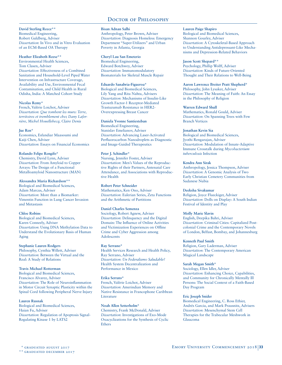**David Sterling Reece\*\*** Biomedical Engineering, Robert Guldberg, Adviser *Dissertation*: In Vivo and in Vitro Evaluation of an ECM-Based OA Therapy

#### **Heather Elizabeth Reese\*\***

Environmental Health Sciences, Tom Clasen, Adviser *Dissertation*: Effectiveness of a Combined Sanitation and Household-Level Piped Water Intervention on Infrastructure Coverage, Availability and Use, Environmental Fecal Contamination, and Child Health in Rural Odisha, India: A Matched Cohort Study

#### **Nicolas Remy\***

French, Valérie Loichot, Adviser *Dissertation*: *Que tombent les murs: Terre, territoires et tremblement chez Dany Laferrière, Michel Houellebecq, Claire Denis*

#### **Jue Ren\***

Economics, Esfandiar Maasoumi and Kaiji Chen, Adviser *Dissertation*: Essays on Financial Economics

#### **Rolando Felipe Rengifo\***

Chemistry, David Lynn, Adviser *Dissertation*: From Amyloid to Copper Arrays: The Design of a Functional Metalloamyloid Nanostructure (MAN)

#### **Alessandra Maria Richardson\*\***

Biological and Biomedical Sciences, Adam Marcus, Adviser *Dissertation*: More than a Biomarker: Vimentin Function in Lung Cancer Invasion and Metastasis

#### **Chloe Robins**

Biological and Biomedical Sciences, Karen Conneely, Adviser *Dissertation*: Using DNA Methylation Data to Understand the Evolutionary Basis of Human Aging

#### **Stephanie Lauren Rodgers**

Philosophy, Cynthia Willett, Adviser *Dissertation*: Between the Virtual and the Real: A Study of Relations

#### **Travis Michael Rotterman**

Biological and Biomedical Sciences, Francisco Alvarez, Adviser *Dissertation*: The Role of Neuroinflammation in Motor Circuit Synaptic Plasticity within the Spinal Cord following Peripheral Nerve Injury

## **Lauren Rusnak**

Biological and Biomedical Sciences, Haian Fu, Adviser *Dissertation*: Regulation of Apoptosis Signal-Regulating Kinase 1 by LATS2

#### **Bisan Adnan Salhi**

Anthropology, Peter Brown, Adviser *Dissertation*: Diagnosis Homeless: Emergency Department "Super-Utilizers" and Urban Poverty in Atlanta, Georgia

#### **Cheryl Lau San Emeterio**

Biomedical Engineering, Edward Botchwey, Adviser *Dissertation*: Immunomodulatory Biomaterials for Skeletal Muscle Repair

#### **Eduardo Sanabria-Figueroa\***

Biological and Biomedical Sciences, Lily Yang and Rita Nahta, Advisers *Dissertation*: Mechanisms of Insulin-Like Growth Factor-1 Receptor-Mediated Trastuzumab Resistance in HER2- Overexpressing Breast Cancer

#### **Daniela Yvonne Santiesteban**

Biomedical Engineering, Stanislav Emelianov, Adviser *Dissertation*: Advancing Laser-Activated Perfluorocarbon Nanodroplets as Diagnostic and Image-Guided Therapeutics

#### **Peter J. Schindler\***

Nursing, Jennifer Foster, Adviser *Dissertation*: Men's Values of the Reproductive Rights of their Partners, Antenatal Care Attendance, and Associations with Reproductive Health

#### **Robert Peter Schneider**

Mathematics, Ken Ono, Adviser *Dissertation*: Eulerian Series, Zeta Functions and the Arithmetic of Partitions

#### **Daniel Charles Semenza**

Sociology, Robert Agnew, Adviser *Dissertation*: Delinquency and the Digital Domain: The Influence of Online Activities and Victimization Experiences on Offline Crime and Cyber Aggression among Adolescents

#### **Ray Serrano\***

Health Services Research and Health Policy, Ray Serrano, Adviser *Dissertation*: *Un Federalismo Saludable?* Health System Decentralization and Performance in Mexico

#### **Erika Serrato\***

French, Valérie Loichot, Adviser *Dissertation*: Amerindian Memory and Native Resistance in Francophone Caribbean Literature

#### **Noah Allen Setterholm\***

Chemistry, Frank McDonald, Adviser *Dissertation*: Investigations of Exo-Mode Oxacyclizations for the Synthesis of Cyclic **Ethers** 

#### **Lauren Paige Shapiro**

Biological and Biomedical Sciences, Shannon Gourley, Adviser *Dissertation*: A Cytoskeletal-Based Approach to Understanding Antidepressant-Like Mechanisms and Depression-Related Behaviors

#### **Jason Scott Shepard\*\***

Psychology, Phillip Wolff, Adviser *Dissertation*: Kinds of Future-Oriented Thought and Their Relations to Well-Being

#### **Aaron Lawrence Breiter Pratt Shepherd\***

Philosophy, John Lysaker, Adviser *Dissertation*: The Meaning of Faith: An Essay in the Philosophy of Religion

#### **Warren Edward Shull**

Mathematics, Ronald Gould, Adviser *Dissertation*: On Spanning Trees with Few Branch Vertices

#### **Jonathan Kevin Sia**

Biological and Biomedical Sciences, Jyothi Rengarajan, Adviser *Dissertation*: Modulation of Innate-Adaptive Immune Crosstalk during *Mycobacterium tuberculosis* Infection

#### **Kendra Ann Sirak**

Anthropology, Jessica Thompson, Adviser *Dissertation*: A Genomic Analysis of Two Early Christian Cemetery Communities from Sudanese Nubia

#### **Deeksha Sivakumar**

Religion, Joyce Flueckiger, Adviser *Dissertation*: Dolls on Display: A South Indian Festival of Identity and Play

#### **Molly Marie Slavin**

English, Deepika Bahri, Adviser *Dissertation*: Criminal Cities: Capitalized Postcolonial Crime and the Contemporary Novels of London, Belfast, Bombay, and Johannesburg

#### **Kenneth Paul Smith**

Religion, Gary Laderman, Adviser *Dissertation*: The Contemporary American Magical Landscape

#### **Sarah Megan Smith\***

Sociology, Ellen Idler, Adviser *Dissertation*: Enhancing Choice, Capabilities, and Community for Chronically Mentally Ill Persons: The Social Context of a Faith-Based Day Program

#### **Eric Joseph Snider**

Biomedical Engineering, C. Ross Ethier, Andrés Garcia, and Mark Prausnitz, Advisers *Dissertation*: Mesenchymal Stem Cell Therapies for the Trabecular Meshwork in Glaucoma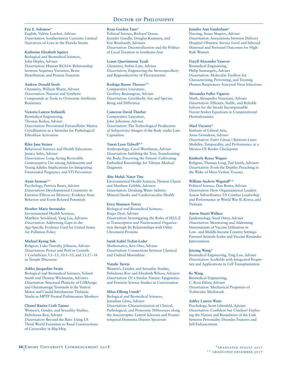#### **Eric E. Solomon\***

English, Valérie Loichot, Adviser *Dissertation*: Southernmost Currents: Liminal Narratives of Love in the Florida Straits

#### **Katherine Elizabeth Squires**

Biological and Biomedical Sciences, John Hepler, Adviser *Dissertation*: Human RGS14: Relationship between Sequence Variation, Brain Distribution, and Protein Function

## **Andrew Donald Steele**

Chemistry, William Wuest, Adviser *Dissertation*: Natural and Synthetic Compounds as Tools to Overcome Antibiotic Resistance

#### **Victoria Lauren Stefanelli**

Biomedical Engineering, Thomas Barker, Adviser *Dissertation*: Provisional Extracellular Matrix Citrullination as a Stimulus for Pathological Fibroblast Activation

#### **Riley Jane Steiner**

Behavioral Sciences and Health Education, Jessica Sales, Adviser *Dissertation*: Long-Acting Reversible Contraceptive Use among Adolescents and Young Adults: Implications for Integrating Unintended Pregnancy and STI Prevention

#### **Anaïs Stenson\*\***

Psychology, Patricia Bauer, Adviser *Dissertation*: Developmental Continuity in Emotion Effects on Memory: Evidence from Behavior and Event-Related Potentials

## **Heather Marie Strosnider**

Environmental Health Sciences, Matthew Strickland, Yang Liu, Advisers *Dissertation*: Addressing Gaps in the Age-Specific Evidence Used for United States Air Pollution Policy

#### **Michael Kyung Suh**

Religion, Luke Timothy Johnson, Adviser *Dissertation*: Power and Peril in Corinth: 1 Corinthians 5:1–13, 10:1–33, and 11:17–34 as Temple Discourse

#### **Ashley Jacqueline Swain**

Biological and Biomedical Sciences, Yoland Smith and Thomas Wichmann, Advisers *Dissertation*: Structural Plasticity of GABAergic and Glutamatergic Terminals in the Ventral Motor and Caudal Intralaminar Thalamic Nuclei in MPTP-Treated Parkinsonian Monkeys

#### **Chanel Ranita Craft Tanner**

Women's, Gender, and Sexuality Studies, Deboleena Roy, Adviser *Dissertation*: Beyond the Bars: Using US Third-World Feminism to Read Constructions of Carcerality in Hip-Hop

#### **Ryan Gordon Tans\***

Political Science, Richard Doner, Jennifer Gandhi, Douglas Kammen, and Eric Reinhardt, Advisers *Dissertation*: Decentralization and the Politics of Local Taxation in Southeast Asia

#### **Leann Quertinmont Teadt**

Chemistry, Stefan Lutz, Adviser *Dissertation*: Engineering the Stereospecificity and Regioselectivity of Flavoenzymes

#### **Rodrigo Bueno Therezo\*\***

Comparative Literature, Geoffrey Bennington, Adviser *Dissertation*: Geschlecht: Sex and Species, Being and Difference

## **Cameron David Thurber**

Comparative Literature, John Johnston, Adviser *Dissertation*: The Technological Production of Subjectivity: Images of the Body under Late Capitalism

## **Tawni Lynn Tidwell\*\***

Anthropology, Carol Worthman, Adviser *Dissertation*: Imbibing the Text, Transforming the Body, Perceiving the Patient: Cultivating Embodied Knowledge for Tibetan Medical Diagnosis

## **Abu Mohd. Naser Titu**

Environmental Health Sciences, Thomas Clasen and Matthew Gribble, Advisers *Dissertation*: Drinking Water Salinity: Mineral Intake and Cardiovascular Health

#### **Erica Shannon Torres**

Biological and Biomedical Sciences, Roger Deal, Adviser *Dissertation*: Investigating the Roles of H2A.Z in Transcription and Nucleosomal Organization through Its Relationships with Other Chromatin Proteins

## **Sarah Isabel Trebat-Leder**

Mathematics, Ken Ono, Adviser *Dissertation*: Connections between Classical and Umbral Moonshine

#### **Natalie Turrin**

Women's, Gender, and Sexuality Studies, Deboleena Roy and Elizabeth Wilson, Advisers *Dissertation*: Of a Similar Nature: Epigenetics and Feminist Science Studies in Conversation

#### **Mfon Effiong Umoh\***

Biological and Biomedical Sciences, Jonathan Glass, Adviser *Dissertation*: Characterization of Clinical, Pathological, and Proteomic Differences along the Amyotrophic Lateral Sclerosis and Frontotemporal Dementia Disease Spectrum

#### **Jennifer Ann Vanderlaan\***

Nursing, Susan Shapiro, Adviser *Dissertation*: Associations between Delivery Hospital Obstetric Service Level and Selected Maternal and Perinatal Outcomes for High-Risk Women

#### **Daryll Alexander Vanover**

Biomedical Engineering, Philip Santangelo, Adviser *Dissertation*: Molecular Toolbox for Characterizing, Preventing, and Treating Human Respiratory Syncytial Virus Infections

## **Alexander Fuller Viguerie**

Math, Alessandro Veneziani, Adviser *Dissertation*: Efficient, Stable, and Reliable Solvers for the Steady Incompressible Navier-Stokes Equations in Computational Hemodynamics

#### **Mael Vizcarra\***

Institute of Liberal Arts, Anna Grimshaw, Adviser *Dissertation*: *Entre Líneas* | Between Lines: Mobility, Temporality, and Performance at a Mexico-US Border Checkpoint

#### **Kimberly Renee Wagner**

Religion, Thomas Long, Ted Smith, Advisers *Dissertation*: From the Depths: Preaching in the Wake of Mass Violent Trauma

#### **William Andrew Wagstaff\*\***

Political Science, Dan Reiter, Adviser *Dissertation*: How Organizational Leaders Assess Subordinates: US Combat Leadership and Performance in World War II, Korea, and Vietnam

## **Aaron Stuart Wallace**

Epidemiology, Saad Omer, Adviser *Dissertation*: Monitoring and Addressing Determinants of Vaccine Utilization in Low- and Middle-Income Country Settings: Parental Attitude Scales and Vaccine Reminder Interventions

#### **Jinyang Wang\***

Biomedical Engineering, Ying Luo, Adviser *Dissertation*: Scaffolds with Integrated Properties and Applications in Cell Transplantation

#### **Ke Wang**

Biomedical Engineering, C. Ross Ethier, Adviser *Dissertation*: Mechanical Properties of Trabecular Meshwork

#### **Ashley Lauren Watts**

Psychology, Scott Lilienfeld, Adviser *Dissertation*: Confident but Clueless? Exploring the Nature and Boundaries of the Link between Personality Disorder Features and Self-Enhancement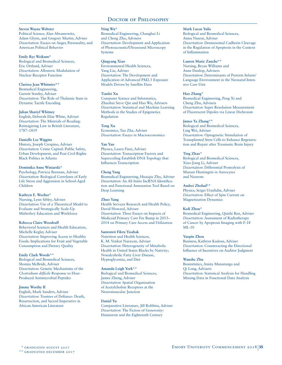#### **Steven Wayne Webster**

Political Science, Alan Abramowitz, Adam Glynn, and Gregory Martin, Adviser *Dissertation*: Essays on Anger, Personality, and American Political Behavior

#### **Emily Rye Weikum\***

Biological and Biomedical Sciences, Eric Ortlund, Adviser *Dissertation*: Allosteric Modulation of Nuclear Receptor Function

## **Clarissa Jean Whitmire\*\***

Biomedical Engineering, Garrett Stanley, Adviser *Dissertation*: The Role of Thalamic State in Dynamic Tactile Encoding

#### **Julian Shariyf Whitney**

English, Deborah Elise White, Adviser *Dissertation*: The Mistrials of Reading: Reimagining Law in British Literature, 1787–1819

#### **Danielle Lee Wiggins**

History, Joseph Crespino, Adviser *Dissertation*: Crime Capital: Public Safety, Urban Development, and Post-Civil Rights Black Politics in Atlanta

#### **Dominika Anne Winiarski\***

Psychology, Patricia Brennan, Adviser *Dissertation*: Biological Correlates of Early Life Stress and Aggression in School-Aged Children

## **Kathryn E. Woeber\***

Nursing, Lynn Sibley, Adviser *Dissertation*: Use of a Theoretical Model to Evaluate and Strategically Scale-Up Midwifery Education and Workforce

## **Rebecca Claire Woodruff**

Behavioral Sciences and Health Education, Michelle Kegler, Adviser *Dissertation*: Improving Access to Healthy Foods: Implications for Fruit and Vegetable Consumption and Dietary Quality

## **Emily Clark Woods\*\***

Biological and Biomedical Sciences, Shonna McBride, Adviser *Dissertation*: Genetic Mechanisms of the *Clostridium difficile* Response to Host-Produced Antimicrobial Peptides

## **Jimmy Worthy II**

English, Mark Sanders, Adviser *Dissertation*: Trustees of Defiance: Death, Resurrection, and Sacred Imperative in African American Literature

#### **Ning Wu\***

Biomedical Engineering, Changhui Li and Cheng Zhu, Advisers *Dissertation*: Development and Application of Photoacoustic/Ultrasound Microscopy Systems

#### **Qingyang Xiao**

Environmental Health Sciences, Yang Liu, Adviser *Dissertation*: The Development and Application of Advanced PM2.5 Exposure Models Driven by Satellite Data

## **Tianlei Xu**

Computer Science and Informatics, Zhaohui Steve Qin and Hao Wu, Advisers *Dissertation*: Statistical and Machine Learning Methods in the Studies of Epigenetics Regulation

## **Tong Xu**

Economics, Tao Zha, Adviser *Dissertation*: Essays in Macroeconomics

## **Yan Yan**

Physics, Laura Finzi, Adviser *Dissertation*: Transcription Factors and Supercoiling Establish DNA Topology that Influences Transcription

#### **Cheng Yang**

Biomedical Engineering, Huaiqiu Zhu, Adviser *Dissertation*: An Ab Initio IncRNA Identification and Functional Annotation Tool Based on Deep Learning

## **Zhuo Yang**

Health Services Research and Health Policy, David Howard, Adviser *Dissertation*: Three Essays on Impacts of Medicaid Primary Care Fee Bump in 2013– 2014 on Primary Care Access and Utilization

## **Samrawit Fikru Yisahak**

Nutrition and Health Sciences, K. M. Venkat Narayan, Adviser *Dissertation*: Heterogeneity of Metabolic Health in United States Blacks by Nativity; Nonalcoholic Fatty Liver Disease, Hyperglycemia, and Diet

## **Amanda Leigh York\*\***

Biological and Biomedical Sciences, James Zheng, Adviser *Dissertation*: Spatial Organization of Acetylcholine Receptors at the Neuromuscular Junction

#### **Daniel Yu** Comparative Literature, Jill Robbins, Adviser *Dissertation*: The Fiction of Generosity: Disinterest and the Eighteenth Century

## **Mark Lucas Yulis**

Biological and Biomedical Sciences, Asma Nusrat, Adviser *Dissertation*: Desmosomal Cadherin Cleavage in the Regulation of Apoptosis in the Context of Inflammation

#### **Lauren Marie Zauche\*\***

Nursing, Bryan Williams and Anne Dunlop, Advisers *Dissertation*: Determinants of Preterm Infants' Language Environment in the Neonatal Intensive Care Unit

## **Hao Zhang\***

Biomedical Engineering, Peng Xi and Cheng Zhu, Advisers *Dissertation*: Super Resolution Measurement of Fluorescent Dipoles via Linear Dichroism

## **James Ya Zhang\*\***

Biological and Biomedical Sciences, Ling Wei, Adviser *Dissertation*: Optogenetic Stimulation of Transplanted Stem Cells to Enhance Regeneration and Repair after Traumatic Brain Injury

## **Ting Zhao\***

Biological and Biomedical Sciences, Xiao-Jiang Li, Adviser *Dissertation*: Differential Proteolysis of Mutant Huntingtin in Astrocytes and Neurons

# **Andrei Zholud\*\***

Physics, Sergei Urazhdin, Adviser *Dissertation*: Effect of Spin Current on Magnetization Dynamics

# **Kedi Zhou\***

Biomedical Engineering, Quishi Ren, Adviser *Dissertation*: Assessment of Radiotherapy of Cancer by Apoptosis Imaging with F-18 ML-10

## **Yuepin Zhou**

Business, Kathryn Kadous, Adviser *Dissertation*: Counteracting the Directional Influence of Incentives on Auditor Judgment

## **Wanzhe Zhu**

Biostatistics, Amita Manatunga and Qi Long, Advisers *Dissertation*: Statistical Analysis for Handling Missing Data in Functional Data Analysis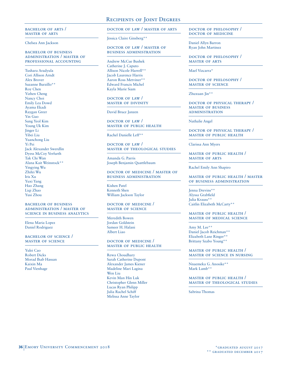# Recipients of Joint Degrees

bachelor of arts / master of arts

Chelsea Ann Jackson

#### bachelor of business administration / master of professional accounting

Tushara Aradyula Cori Allison Arndt Alex Brover Suzanne Burzillo\*\* Roy Chen Yizhen Cheng Nancy Choi Emily Lea Dowd Ayama Ekadi Raygan Greer Yin Guo Sung Yeol Kim Young Uk Kim Jinger Li Yibei Liu Yuanchong Liu Yi Pei Jack Alexander Swerdlin Dyess McCoy Verfurth Tak Chi Wan Alana Kait Weinstock\*\* Yingying Wu Zhifei Wu Iris Xu Yuxi Yang Hao Zhang Liqi Zhao Yusi Zhou

#### bachelor of business administration / master of science in business analytics

Elena Maria Lopez Daniel Rodriguez

bachelor of science / master of science

Yulei Cao Robert Dicks Morad Ihab Hassan Kaixin Ma Paul Vienhage

# doctor of law / master of arts

Jessica Claire Ginsberg\*\*

#### doctor of law / master of business administration

Andrew McCue Bushek Catherine J. Caputo Allison Nicole Harrell\*\* Jacob Laurence Harris Aaron Ross Metviner\*\* Edward Francis Michel Kayla Marie Siam

doctor of law / master of divinity

David Bruce Janzen

doctor of law / master of public health

Rachel Danielle Leff\*\*

DOCTOR OF LAW master of theological studies

Amanda G. Parris Joseph Benjamin Quattlebaum

## doctor of medicine / master of business administration

Kishen Patel Kenneth Shen William Jackson Taylor

#### doctor of medicine / master of science

Meredith Bowen Jordan Goldstein Sameer H. Halani Albert Liao

#### doctor of medicine / master of public health

Rewa Choudhary Sarah Catherine Dupont Alexander James Kiener Madeline Mari Lagina Wen Liu Kevin Man Hin Luk Christopher Glenn Miller Lucas Ryan Philipp Julia Rachel Schiff Melissa Anne Taylor

#### doctor of philosophy / doctor of medicine

Daniel Allyn Barron Ryan John Martinez

doctor of philosophy / master of arts

Mael Vizcarra\*

doctor of philosophy / master of science

Zhuxuan Jin\*\*

DOCTOR OF PHYSICAL THERAPY / master of business administration

Nathalie Angel

#### doctor of physical therapy / master of public health

Clarissa Ann Myers

master of public health / master of arts

Rachel Emily Ann Shapiro

#### master of public health / master of business administration

Jenna Drevins\*\* Alyssa Grabfield Julia Krauss\*\* Caitlin Elizabeth McCarty\*\*

#### master of public health / master of medical science

Amy M. Lee\*\* Daniel Jacob Reichman\*\* Elizabeth Lane Ringer\*\* Brittany Szabo Young\*\*

#### master of public health / master of science in nursing

Nnaemeka G. Anosike\*\* Mark Lamb\*\*

#### master of public health / master of theological studies

Sabrina Thomas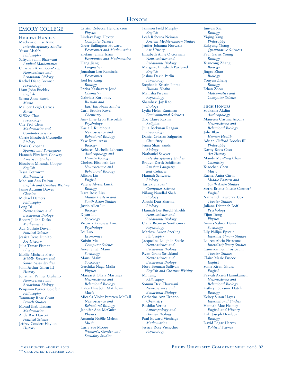# **HONORS**

#### EMORY COLLEGE

Highest Honors Mackenzie Elise Aime *Interdisciplinary Studies* Yusur Alsalihi *Philosophy* Safiyah Salim Bharwani *Applied Mathematics* Christian Alan Botz-Zapp *Neuroscience and Behavioral Biology* Rachel Diane Brenner *Psychology* Liam John Buckley *English* Selena Anne Burris *Music* Mallory Leigh Carnes *Music* Si Woo Chae *Psychology* Che Yeol Chun *Mathematics and Computer Science* Carrie Elizabeth Ciccotello *Biology* Doris Cikopana *Spanish and Portuguese* Hannah Elizabeth Conway *American Studies* Elizabeth Miranda Cooper *English* Tessa Cotron\*\* *Mathematics* Madison Ann Dalton *English and Creative Writing* Jamie Autumn Dawes *Classics* Michael Demers *Philosophy* Long Di *Neuroscience and Behavioral Biology* Robert Julian Dicks *Mathematics* Ada Guthrie Dovell *Political Science* Jessica Irene Dunlap *Art History* Julia Tamar Eisman *Physics* Mollie Michelle Fiero *Middle Eastern and South Asian Studies* John Arthur Gillen III *History* Jonathan Palmer Giuliano *Neuroscience and Behavioral Biology* Benjamin Parker Goldfein *Philosophy* Tammany Rose Grant *French Studies*  Morad Ihab Hassan *Mathematics* Alida Rae Haworth *Political Science* Jeffrey Coudert Haylon *History*

Cristin Rebecca Hendrickson *Physics* Lindsay Page Hexter *Computer Science* Greer Bullington Howard *Economics and Mathematics* Shefain Jamila Islam *Economics and Mathematics* Hang Jiang *Linguistics* Jonathan Leo Kaminski *Economics* JooHee Kang *Biology* Parisa Keshavarz-Joud *Chemistry* Gabriela Korobkov *Russian and East European Studies* Carli Brooke Kovel *Chemistry* Amy Elise Lyon Krivoshik *Psychology* Kaela I. Kuitchoua *Neuroscience and Behavioral Biology* Yaw Kumi-Ansu *Biology* Rebecca Michelle Lebeaux *Anthropology and Human Biology* Chelsea Elisabeth Lee *Neuroscience and Behavioral Biology* Allison Lin *English* Valerie Alyssa Linck *Biology* Dara Rose Liss *Middle Eastern and South Asian Studies* Justin Allen Liu *Biology* Xiyan Liu *Sociology* Victoria Kenesaw Lord *Psychology* Bei Luo *Economics* Kaixin Ma *Computer Science* Aneel Singh Maini *Sociology* Mansi Maini *Sociology* Geethika Naga Malla *Physics* Margaret Olivia Martinez *Neuroscience and Behavioral Biology* Haley Elisabeth Matthews *Music* Micaela Violet Petersen McCall *Neuroscience and Behavioral Biology* Jennifer Ann McGuire *Physics* Amanda Noëlle Melton *Music* Carly Sue Moore *Women's, Gender, and Sexuality Studies*

Jamison Field Murphy *English* Leah Rebecca Neiman *Ancient Mediterranean Studies* Jenifer Johanna Norwalk *Art History* Elizabeth Anne O'Gorman *Neuroscience and Behavioral Biology* Margaret Elizabeth Pavleszek *English* Joshua David Perlin *Psychology* Stephanie Kristin Pintas *Human Health* Manisha Piryani *Psychology* Shambavi Jay Rao *Biology* Lydia Helen Rautman *Environmental Sciences* Zoe Claire Ravina *Religion* Julia Beckman Reagan *Psychology* Daniel Cristian Salgueiro *Chemistry* Jenna Shari Sands *Biology* Nathaniel Sawyer *Interdisciplinary Studies* Bradyn Derek Schiffman *Russian Language and Cultures* Hannah Schwartz *Biology* Tarrek Shaban\* *Computer Science* Nilang Nandlal Shah *Biology* Ayushi Dutt Sharma *Biology* Hannah Lee Buechl Shields *Neuroscience and Behavioral Biology* Claire Brennan Sontheimer *Psychology* Mathew Aaron Sperling *Philosophy* Jacqueline Laughlin Steele *Neuroscience and Behavioral Biology* Ryan Grant Strickland *Neuroscience and Behavioral Biology* Nora Brennan Sullivan *English and Creative Writing* Mi Tang *Philosophy* Sonum Devi Tharwani *Neuroscience and Behavioral Biology* Catherine Ann Urbano *Chemistry* Rashika Verma *Anthropology and Human Biology* Paul Edward Vienhage *Mathematics* Jessica Rose Vissicchio *Psychology*

Junyan Xia *Biology* Yiqing Yang *Philosophy* Eukyung Yhang *Quantitative Sciences* Paul Garris Young *Biology* Xiancong Zhang *Biology* Jingru Zhao *Biology* Youyun Zheng *Biology* Ethan Zhou *Mathematics and Computer Science* High Honors Soukaina Akdim *Anthropology* Maureen Cristina Ascona *Neuroscience and Behavioral Biology* Jolie Blair *Human Health* Adrian Clifford Brooks III *Philosophy* Darby Roos Caso *Art History* Mandy Mei-Ying Chan *Chemistry* Xiaochen Chen *Music* Rachel Anita Citrin *Middle Eastern and South Asian Studies* Sierra Briana-Nicole Cortner\* *English* Nathaniel Lawrence Cox *Theater Studies* Juliana Dieterich Boff *Psychology* Yijun Dong *Physics* Amina Sabree Dunn *Sociology* Lily Philipa Epstein *Interdisciplinary Studies* Lauren Alicia Firestone *Interdisciplinary Studies* Cameron Ben Frostbaum *Theater Studies* Claire Marie Fuscoe *English* Sonia Kiran Ghura *English* Paavali Akseli Hannikainen *Neuroscience and Behavioral Biology* Kathryn Suzanne Hatch *Biology* Kelsey Susan Hayes *International Studies* Hannah Mae Helmey *English and History* Erik Joseph Herslebs *Biology* David Edgar Hervey *Political Science*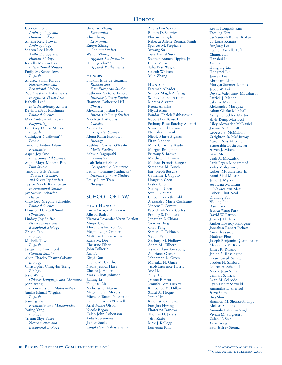# **HONORS**

Gordon Hong *Anthropology and Human Biology* Amelia Reid Howell *Anthropology* Sharon Lee Hsieh *Anthropology and Human Biology* Isabella Maram Issa *International Studies* Emily McKenna Jewell *English* Andrew Samir Kaldas *Neuroscience and Behavioral Biology* Zoe Anastasia Katsamakis *Integrated Visual Arts* Isabelle Lee\* *Interdisciplinary Studies* Devin LeDrut Mashman *Political Science* Max Andrew McCreary *Playwriting*  Courtney Denise Murray *English* Gulinigeer Nurikemu\*\* *Physics* Timothy Anders Olsen *Economics* Aspen Joy Ono *Environmental Sciences* Anjali Maya Mahesh Patel *Film Studies* Timothy Galt Perkins *Women's, Gender, and Sexuality Studies* Taylor Nicole Randleman *International Studies* Jay Samuel Schaefer *History* Crawford Gregory Schneider *Political Science* Houston Hartwell Smith *Chemistry* Lindsey Joy Sniffen *Neuroscience and Behavioral Biology* Zhixin Tan *Biology* Michelle Tawil *English* Jacqueline Anne Teed *German Studies* Alvin Chacko Thampalakattu *Biology* Christopher Ching-En Tseng *Biology* Jesse Wang *Chinese Language and Literature* John Wang *Economics and Mathematics* Jamila Ishmal Wiggins *English* Jiaming Xu *Economics and Mathematics* Yating Yang *Biology* Tristan Skye Yates *Neuroscience and Behavioral Biology*

Shuohao Zhang *Economics* Zhu Zhang *Economics* Zuoyu Zhang *German Studies* Wenda Zheng *Applied Mathematics* Huiying Zhu\*\* *Applied Mathematics* **HONORS** Eliakim Isiah de Guzman *Russian and East European Studies* Katherine Victoria Frisbie *Interdisciplinary Studies* Shannon Catherine Hill *Physics* Alexandra Jordan Katz *Interdisciplinary Studies* Nicolette Lathouris *Classics* Yicong Li *Computer Science* Alona Raisa Mostowy *Biology* Kathleen Cartier O'Keefe *Media Studies* Ashwin Ragupathi *Chemistry* Leah Tehrani Shine *Comparative Literature* Bethany Brianne Studnicky\* *Interdisciplinary Studies* Emily Diem Tran *Biology*

# SCHOOL OF LAW

## High Honors

Kurtis George Anderson Allison Bailey Victoria Lavender Veran Bartlett Minjie Cao Alexandra Pearson Conn Megan Leigh Cramer Matthew P. Demartini Karla M. Doe Christine Filser John Folkerth Xin Fu Xinyi Gao Lucille M. Gauthier Nadia Jessica Hajji Chelsie J. Holler Mark Elliott Johnson Jianing Li Yanghao Liu Nicholas C. Marais Megan Leigh Meyers Michelle Tatum Nussbaum Fiona Patricia O'Carroll Ariel Marie Olson Nicole Regan Caleb John Robertson Aida Rustemova Josilyn Sacks Sangita Vani Sahasranaman

Audra Lyn Savage Robert D. Sherrier Bhavinee Singh Rebecca Arlene Reiman Smith Spencer M. Stephens Yuyang Su Jesse Daniel Sutz Stephen Branch Tippins Jr. Chloe Veron Talia Bess Wagner Caleah Whitten Yilin Zhang

**HONORS** Fatemah Albader Sameer Magdi Alifarag Sydney Lauren Altman Marcos Alvarez Keena Ananka Niyati Arun Bandar Ghaleb Bakhashwin Robert Lee Banse III Bethany Rose Barclay-Adeniyi Shira Rachel Barron Nicholas E. Basil Nicole Marie Bigman Eitan Blander Mary Christine Brady Morgan Bridgman Brittany S. Brown Matthew K. Brown Michael Francis Burgess Samantha M. Busch Ian Joseph Busche Catherine J. Caputo Hongzuo Chen Lesley Chen Xuanyou Chen Seth T. Church Chloe Elizabeth Cobb Alexandra Marie Cochrane Vincent J. Comito Patrick McNary Corley Bradley S. Demicco Jonathan DiChiara Wenxiu Ding Chao Fang Samuel C. Feldman Siyuan Feng Zachary M. Fialkow Adam M. Gilbert Jessica Claire Ginsberg Andriana Glover Johnathan D. Green Maleaka N. Guice Jacob Laurence Harris Yue He Zhiyi He Jeanna F. Heard Jennifer Beth Hickey Kimberlee M. Hillard Shatti A. Hoque Junjie Hu Kyle Patrick Hunter Eun Joo Hwang Ekaterina Ivanova Thomas H. Jarvis Jeffy Katio Max J. Kellogg Eunjeong Kim

Kevin Hongsuk Kim Taesung Kim Sai Santosh Kumar Kolluru La Loria Konata SunJung Lee Rachel Danielle Leff Changze Li Hanshui Li Xin Li Hongjing Liu Hongmei Liu Junyan Liu Abraham Llama Marvyn Sumner Llamas Jacob W. Loken Deyvid Valentinov Madzharov Patrick J. Maher Sakshik Makhija Aleksandra Marquez Adam Clarke Marshall Ashlyn Shockley Martin Skylr Kemp Martucci Riley Alexander McDaniel Joanne A. McGriff Rebecca S. McMahon Creighton R. McMurray Aaron Ross Metviner Esmeralda Lucia Meyer Steven J. Mitchell Sitao Mo Leah A. Moczulski Faris Bryan Mohammed Zoha Mohammed Robert Moskalewicz Jr. Rami Riad Mosrie Janiel J. Myers Seruwaia Mataitini Nayacalevu-Masi Robert Eliot Neal Qiuliang Pan Weiling Pan Dam Park Jessica Wang Park David W. Patton Jerico J. Phillips Amber Lovejoy Philogene Jonathan Robert Pickett Amy Pleasance Mathew Plott Joseph Benjamin Quattlebaum Alexandra M. Rajic James R. Roland Jenine A. Rossington Brian Joseph Saling Broden N. Sanford Lauren A. Schenkel Nicole Jean Schladt Lennart Schrick Evan M. Schrode Ryan Henry Seewald Samantha L. Sherrod Steve Shim Una Shin Shannon M. Shontz-Phillips Aleksas Siliunas Amanda Lakshmi Singh Vivian M. Singletary Caleb N. Small Xuan Song Paul Jeffrey Steinig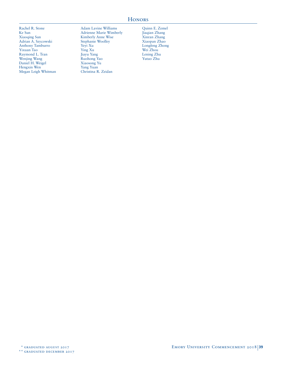# **HONORS**

Rachel R. Stone Ke Sun Xiaoqing Sun Adrian A. Szycowski Anthony Tamburro Yixuan Tao Raymond L. Tran Wenjing Wang Daniel H. Weigel Hengxin Wen Megan Leigh Whitman Adam Lavine Williams Adrienne Marie Wimberly Kimberly Anne Wise Stephanie Woolley Yeyi Xu Ying Xu Jiayu Yang Ruohong Yao Xiaosong Yu Yang Yuan Christina R. Zeidan

Quinn E. Zemel Jiaqian Zhang Xinran Zhang Xiaopan Zhao Longfeng Zhong Wei Zhou Lening Zhu Yutao Zhu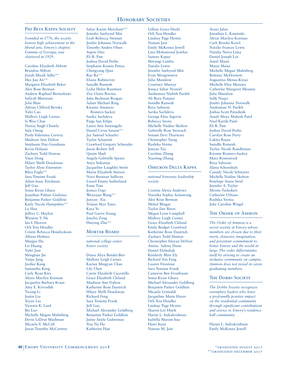## PHI BETA KAPPA SOCIETY

*Founded in 1776, the society honors high achievement in the liberal arts. Emory's chapter, Gamma of Georgia, was chartered in 1929.* 

Caroline Elizabeth Abbott Brandon Abbott Jonah Micah Adler\*\* Hea Jun An\*\* Margaret Elizabeth Beker Alex Rose Berman Andrew Raphael Berneshawi Safiyah Bharwani Jolie Blair Adrian Clifford Brooks Yulei Cao Mallory Leigh Carnes Si Woo Chae Neeraj Singh Chawla Sijia Cheng Paola Valentina Correia Madison Ann Dalton Stephanie Day-Goodman Kevin Delijani Zachary Todd Denton Yijun Dong Hilary Shelli Druckman Taylor Alyse Eisenstein Rhea Fogla\*\* Sara Temime Frank Adam Isaac Friedman Jeff Gao Sonia Kiran Ghura Jonathan Palmer Giuliano Benjamin Parker Goldfein Karly Nicole Hampshire\*\* Lu Han Jeffrey C. Haylon Winston Y. He Ian I. Heaven Orli Tess Hendler Cristin Rebecca Hendrickson Allison Holmes Mingjia Hu Lei Huang Yufei Jian Mengtian Jin Yunju Jung Joohee Kang Samantha Keng Carly Ryan Kies Alexis Marilyn Korman Jacquelyn Barbara Kraut Amy E. Krivoshik Yicong Li Justin Liu Xiyan Liu Victoria K. Lord Bei Luo Michelle Megan Malmberg Devin LeDrut Mashman Micaela V. McCall Jason Timothy McCartney

Sahar Karim Merchant\*\* Jennifer Saebyoul Min Leah Rebecca Neiman Jenifer Johanna Norwalk Timothy Anders Olsen Aspen Ono Eli R. Patt Joshua David Perlin Stephanie Kristin Pintas Chengyang Qian Rae Ra\*\* Eliana Rabinovitz Sunidhi Ramesh Lydia Helen Rautman Zoe Claire Ravina Julia Beckman Reagan Adam Michael Ring Kwame Amancio Romero-Sackey Sarika Sachdeva Paige San Felipe Laura Ann Santangelo Daniel Cyrus Sasson\*\* Jay Samuel Schaefer Taylor Schaetzle Crawford Gregory Schneider Jason Robert Sell Qasim Shafi Angela Gabrielle Spears Anya Srikureja Jacqueline Laughlin Steele Maria Elizabeth Stetson Nora Brennan Sullivan Laurel Emmy Sutherland Esme Tian Jessica Urgo Wenxuan Wang\*\* Junyan Xia Tristan Skye Yates Kara Ye Paul Garris Young Junchu Zeng Huiying Zhu\*\*

## **MORTAR BOARD**

*national college senior honor society* 

Diana Aliya Bender-Bier Mallory Leigh Carnes Karina Mingyan Chan Lily Chen Carrie Elizabeth Ciccotello Grace Elizabeth Cleland Madison Ann Dalton Katherine Rose Dautrich Hilary Shelli Druckman Richard Feng Sara Temime Frank Jeff Gao Michael Alexander Goldberg Benjamin Parker Goldfein Jaime Ariele Guberman You Na Ha Katherine Han

Gillian Grace Hecht Orli Tess Hendler Lindsay Page Hexter Naman Jain Emily McKenna Jewell Lina Mohamoud Jowhar Sameer Kapur Shivangi Lamba Natalie Lewis Jennifer Saebyoul Min Evan Morgenstern Julia Munslow Courtney Murray Jessica Sahar Nooriel Anshuman Nishith Parikh Ali Reza Punjani Sunidhi Ramesh Reza Sabooni Sarika Sachdeva George Elias Segovia Rebecca Sirota Michelle Nadine Skelton Gabrielle Rose Stravach Sonum Devi Tharwani Christopher Tseng Rashika Verma Junyan Xia Caroline Zhang Xiaoting Zhang

## Omicron Delta Kappa

*national honorary leadership society* 

Courtni Alexis Andrews Natasha Sophia Armstrong Alex Rose Berman Mehul Bhagat Taylor Dee Biron Megan Lynn Campbell Mallory Leigh Carnes Grace Elizabeth Cleland Emily Bridget Crawford Katherine Rose Dautrich Zachary Todd Denton Christopher Silayan DeVore Amina Sabree Dunn Daniel Elchediak Kimberly Blair Ely Richard Xin Feng Lauren Firestone Sara Temime Frank Cameron Ben Frostbaum Sonia Kiran Ghura Michael Alexander Goldberg Benjamin Parker Goldfein Micaela Grimaldi Jacqueline Marie Hayes Orli Tess Hendler Lindsay Page Hexter Sharon Lee Hsieh Harini L. Indrakrishnan Isabella Maram Issa Hawi Itana Naman M. Jain

Avani Jalan Jonathan L. Kaminski Alexis Marilyn Korman Carli Brooke Kovel Natalie Frances Lewis Natalia Neiva Lima Daniel Joseph Lor Aneel Maini Mansi Maini Michelle Megan Malmberg Brittany McDermott Augustina Mensa-Kwao Michelle Elise Menzies Catherine Margaret Messina Julia Munslow Salik Naqvi Jenifer Johanna Norwalk Anshuman N. Parikh Joshus Scott Patashnik Anjali Maya Mahesh Patel Neal Kartik Patel Eli R. Patt Joshua David Perlin Carolyn Rose Perry Lokita Rajan Sunidhi Ramesh Taylor Nicole Randleman Kwame Romero-Sackey Mara Rosenstock Reza Sabooni Alana Schoenhals Cassidy Nicole Schwartz Michelle Nadine Skelton Penelope Annie Strid Jennifer A. Taylor Merete Tschokert Catherine Urbano Rashika Verma Julie Caroline Wiegel

## THE ORDER OF AMMON

*The Order of Ammon is a secret society at Emory whose members are chosen due to their merit, character, imagination, and persistent commitment to better Emory and the world at large. The order differentiates itself by striving to create an inclusive community on campus. Ammon does not reveal its seven graduating members.*

# THE DOBBS SOCIETY

*The Dobbs Society recognizes exemplary leaders who leave a profoundly positive impact on the residential community through significant contributions and service to Emory's residence hall community.*

Harini L. Indrakrishnan Emily McKenna Jewell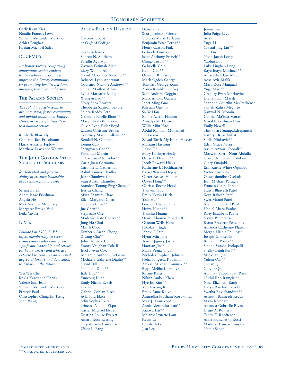Carly Ryan Kies Natalie Frances Lewis William Alexander Martinez Athira Penghat Kaelan Michael Saley

#### DUCEMUS

*An honor society comprising anonymous senior student leaders whose mission is to improve the Emory community by promoting loyalty, wisdom, integrity, tradition, and vision.*

#### THE PALADIN SOCIETY

*The Paladin Society seeks to promote spirit, foster community, and uphold tradition at Emory University through dedication to a humble service.*

Kimberly Blair Ely Cameron Ben Frostbaum Harry Austryn Teplow Matthew Lawrence Whitwell

#### THE JOHN GORDON STIPE SOCIETY OF SCHOLARS

*for potential and proven ability in creative leadership at the undergraduate level*

Selena Burris Adam Isaac Friedman Angela He Max Andrew McCreary Margaret Emiko Vail Leila Yavari

## D.V.S.

*Founded in 1902, D.V.S. offers membership to seven rising seniors who have given significant leadership and service to the university and who are expected to continue an unusual degree of loyalty and dedication to Emory in the future.*

Wei Wei Chen Kayla Karrianne Harris Valerie Isha Jean William Alexander Martinez Prateek Paul Christopher Ching-En Tseng John Wang

## Alpha Epsilon Upsilon

*honorary society of Oxford College*

Geeta Acharya Sudeep N. Aditham Paridhi Agarwal Zaynah Fatimah Alam Lizzy Wumni Alli David Alexander Almonte\*\* Rebecca Lynn Anderson Courtney Nichole Andrews\*\* Suman Madhav Atluri Lydia Margaret Bailey Xiangyu Bao\*\* Holly Shea Beavers Theobesta Samson Bekure Shipra Reddy Bethi Gabrielle Noelle Blom\*\* Mary Elizabeth Bloomer Olivia Lynn Fuller Boyd Lauren Christine Brown Courtney Marie Callahan\*\* Kendall N. Campbell Kemin Cao Shengyuan Cao\*\* Fernando Martin Cardozo-Mongelos\*\* Carla Joan Carmona Caroline E. Catherman Rahul Kumar Chadha Jesse Chunhwa Chan Sean Austin Chandler Brandon Tsoong-Ping Chang\*\* Jessica Chang Myra Shamini Chao Ellen Margaret Chen Huaitao Chen\*\* Jue Chen\*\* Stephanie Chen Madeline Kate Cherry\*\* Jong-Ha Choi Min Ji Choi Kimberly Sarah Chong Diyang Chu<sup>\*</sup> John Hong-Ik Chung Emory Vaughan Cole II Jerol Nevin Cox Benjamin Anthony DeGama Michaela Gabrielle Digilio\*\* David Dill Nanmiao Ding\*\* Jiale Dou\*\* Yuncong Duan Emily Nicole Eckels Destine C. Ede Gabriel Conlan Eisen Ayla Sara Ekici Selin Sophia Ekici Princess Asuquo Ekpo Carter Michael Eldreth Kristina Louise Everett Amara Rose Evering Onyedikachi Laura Eze Chloe L. Fang

Daniela Farchi Sara Jacobsen Feinstein Victoria Marie Ferlauto Benjamin Peter Fertig\*\* Henry Carson Fink Gabriela Fonseca Isaac Anthony French\*\* Ching-Tzu Fu\*\* Gabrielle Gale Kexin Gao\*\* Quinton R. Gasper Mark Ogden George Tombari George-Komi Arden Kimble Godfrey Sean Andrew Goggin Marc Antoni Guasch Janet Ming Guo Kristian Gustilo So Ye Han Emma Averill Hanlon Annalys M. Hanson Willis Miin Hao Abdul Rahman Mohamed Hassan Zeyad Tarek Aly Ismail Hassan Mariam Hassoun Jingyi He Mary Kathryn Healy Oscar L. Heanue\*\* Jacob Edward Hicks Katherine J. Hochhausler Bassel Wassim Hojeij Carter Reeves Holder Qiwei Hong\*\* Clarissa Boone Hood Tianyun Hou Emily Kexin Hsieh Yadi Hu\*\* Gordon Huaijie Hua Huize Huang\*\* Tianshu Huang Daniel Thomas Plog Huff Gannon Wells Hunt Nicolas J. Ingle Jahnvi P. Jain Hyun Min Jang Tenzin Jigmey Jashar Haotian Jin\*\* Maya Veena Jindal Nicholas Raphael Johnson Neha Sangeeta Kadambi Aleksei Mikhail Kaminski\*\* Ruya Meliha Karakaya Karine Kasti Nikita Amber Khan Hye Jin Kim\*\* Yoo Kyeong Kim Emily Anne Koivu Anuradha Prashant Korukonda Max J. Krauskopf Annie Alexandra Kuo\*\* Xiaoyu Lai\*\* Melanie Lynette Lam Kevin Le Elizabeth Lee Jisu Lee

Jiwoo Lee Julia Paige Levy Ada Li Yuge Li Crystal Jing Liu\*\* Sidi Liu Noah Jacob Lorey Yaohui Lou Luke Linghan Lung Raya Inaya Machaca\*\* Amarachi Clare Madu Aqsa Aziz Malik Mary Rose Mangual Yuge Mao\*\* Gregory Evan Markovitz Diana Imani Marsh Shannon Courtlin McCracken\*\* Samah Zahra Meghjee Kanwal N. Momin Gabriel Ma'iola Moran Vaisakh Krishnan Nair Emily Newell Thitikorn Ngampakdeepanich Kathryn Rose Nilest Sofija Ninkovic\*\* Eden Grace Nitza Aasim Anwar Noorali\*\* Marwan Sherif Nour Abdalla Claire Urhuemu Ofotokun Glory Onajobi Erin Kaelie White Oquindo Victor Owiredu Oluwasinmibo Oyekola Jean Michael Paragas Frances Claire Parent Hursh Bhavesh Patel Keya Rakesh Patel Swet Manoj Patel Andrew Howard Paul Haniel Abera Paulos Riley Elizabeth Payne Kavya Penmethsa Riana Bressette Peskopos Amanda Catherine Pharo Megan Nicole Phillips\*\* Joseph G. Piccolo Benjamin Porter\*\* Sindhu Varsha Potlapalli Shelby Leigh Purl\*\* Minxuan Qiao Yuhua Qin\*\* Siyuan Qiu Xinyue Qiu Abhinav Vuppalapati Raju Nikhil Rao Ramgiri\*\* Nina Elizabeth Ranji Darya Raschid Farrokhi Swetha Ravichandran\*\* Ashruth Baimeedi Reddy Maya Reinhart Amanda Gabrielle Rivas Diego A. Romero Tancy Z. Rooffener Anna Francheska Rossi Madison Lauren Rousseau Namit Sanghi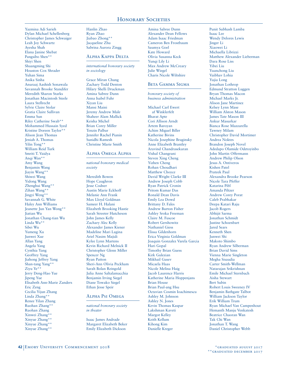Yazmina Adi Sarieh Dylan Michael Schellenberg Christopher James Schwaiger Leah Joy Schwartz Ayesha Shah Elana Janine Shebat Pangsibo Shen\*\* Shiyi Shen Shuangming Shi Houston Cox Shrader Yuhan Sima Anika Sinha Anuraaj Aashish Sonawala Savannah Brooke Standifer Meredith Sharon Starks Jonathan Macintosh Steele .<br>Laura Stellrecht Sylvie Claire Stolar Gratia Claire Sullivan Emma Sun Riley Catherine Swab\*\* Mohammed Hussain Syed Kristine Doreen Taylor\*\* Alison Jean Thomas Jeniah A. Thomas Yilin Tong\*\* William Reid Turk Smriti T. Vaidya Anqi Wan\*\* Amy Wang Benjamin Wang Jiayin Wang\*\* Shiwei Wang Yidong Wang Zhenghui Wang\*\* Zihan Wang\*\* Jingyi Weng\*\* Savannah G. White Haley Ann Williams Jeanette Jun Yan Wong\*\* Jiatian Wu Jonathan Chang-tian Wu Linda Wu\*\* Sibei Wu Yumeng Xu Junwei Xue Allan Yang Angela Yang Cynthia Yang Geoffrey Yang Jiahong Jeffrey Yang Shan-tang Yang\*\* Ziyu Ye\*\* Jerry Deng-Hao Yue Jipeng Yue Elisabeth Ann-Marie Zanders Eric Zeng Cecilia Yijun Zhang Linda Zhang\*\* Renee Yilan Zhang Ruohan Zhang\*\* Ruohan Zhang Xinwei Zhang\*\* Xinyue Zhang\*\* Xinyue Zhang\*\* Xinyue Zhang\*\*

Hanlin Zhao Ryan Zhao Jiabao Zhong\*\* Jacqueline Zhu Sabrina Aurora Zingg

#### Alpha Kappa Delta

*international honorary society in sociology*

Grace Miran Chung Zachary Todd Denton Hilary Shelli Druckman Amina Sabree Dunn Anna Isabel Fuhr Xiyan Liu Mansi Maini Jeremy Andrew Male Shaheer Alam Mallick Keisha Michel Brian Corey Miller Tenzin Palbar Jennifer Rachel Pianin Sunidhi Ramesh Christine Marie Smith

#### Alpha Omega Alpha

*national honorary medical society*

Meredith Bowen Hope Caughron Jesse Codner Austin Marie Eckhoff Melanie Ann Frank Max Lloyd Goldman Sameer H. Halani Elizabeth Brooking Hastie Sarah Streeter Hutcheson John James Kelly Zachary Alec Kelly Alexander James Kiener Madeline Mari Lagina Ariel Nasim Majidi Kylee Lynn Martens Kevin Richard Melnick II Christopher Glenn Miller Spencer Ng Ryan Patton Sheri-Ann Olivia Peckham Sarah Bolan Reingold Julia Anne Saltalamacchia Benjamin Irving Siegel Diane Towako Siegel Ethan Jesse Speir

## Alpha Psi Omega

*national honorary society in theater*

Isaac James Andrade Margaret Elizabeth Beker Emily Elizabeth Dickson

Amina Sabree Dunn Alexander Dean Fellows Adam Isaac Friedman Cameron Ben Frostbaum Saumya Goel Kate Howard Olivia Susanna Keck Yunqi Lily Li Max Andrew McCreary Julie Wiegel Charis Nicole Wiltshire

## Beta Gamma Sigma

*honorary society of business administration*

Michael Carl Ewert af Winklerfelt Bharat Apte Cori Allison Arndt Artem Baroyan Achim Miguel Biller Katherine Bivins Nicola Josephine Braginsky Anne Elizabeth Brantley Aravind Chandrasekaran Vishal Changrani Steven Xing Cheng Yizhen Cheng Rohan Choudhari Matthew Choyce David Wright Clarke III Andrew Joseph Cobb Ryan Patrick Cronin Pritom Kumar Das Ronald Dean Davis Emily Lea Dowd Brittany D. Fales Andrew Burton Fisher Ashley Sroka Freeman Claire M. Fuscoe Robert Gershowitz Nathaniel Giess Elissa Gildenhorn Erica Virginia Goldman Joaquin Gonzalez Varela Garcia Hari Gopal Timothy Brian Guess Kirk Gulezian Mikhail Gusev Micaela Haas Nicole Melina Haig Jacob Laurence Harris Katherine Maria Hoppenjans Brian House Brian Paul-ang Hsu Octavian Cosmin Ioachimescu Ashley M. Johnson Ashley N. Jones Kevin Thomas Kaspar Lakshman Kaveti Margot Kelley Keith Kellum Kihong Kim Danielle Kreger

Punit Subhash Lamba Isaac Lee Wendy Delores Lewis Jinger Li Xiaowei Li Michaella Librizzi Matthew Alexander Lieberman Dara Rose Liss Yibei Liu Yuanchong Liu Vaibhav Lohia Yujia Long Jonathan Lothrop Edmund Stratton Luggen Bryan Thomas Macon Michael Marks Jr. Alison Jane Martinez Kelsey Lynn Mase William Alston Mason James Tate Mason III Ankur Masurkar Bianca Rose Mazzarella Tawney Milam Christopher David Mortimer Andrea Noktes Brandon Joseph Novel Adedapo Olamide Odetoyinbo John Martin Offermann Andrew Philip Olson Jesus A. Ontiveros Kishen Patel Prateek Paul Alexandra Brooke Pearson Nicole Tara Pfeffer Katarina Pibl Amanda Piltzer Andrew Corey Porat Caleb Prabhakar Deepa Katari Raju Jacob Rogers Abhijit Sarma Jonathan Schmidt Justine Schoenbart Jared Sears Kenneth Shen Junwei Shi Makoto Shimbo Ryan Andrew Silberman Brian David Sims Vienna Marie Singleton Megha Sisaudia Carter Smith-Wellman Natarajan Srikrishnan Emile Michael Sternbach Aisha Stewart Bert Subin Robert Louis Sweeney IV Benjamin Bathgate Talbot William Jackson Taylor Erik William Trum Ryan Michael Van Campenhout Hemanth Manju Venkatesh Beatrice Chaoran Wan Tak Chi Wan Jonathan T. Wang Daniel Christopher Webb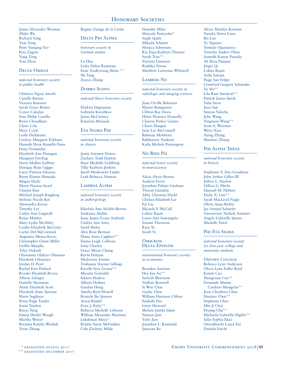James Alexander Wesman Zhifei Wu Richard Yang Yuxi Yang Peter Yunqing Yao Kira Zagorc Yong Zeng Yusi Zhou

#### Delta Omega

*national honorary society in public health*

Chimora Ngozi Amobi Camille Barton Victoria Bonisese Sarah Grace Brister Conor Cahalan Sean Philip Castillo Rewa Choudhary Claire Cole Mary Coyle Leslie Dickmann Lindsay Margaret Eckhaus Hannah Drew Kinsella Eisen Daisy Fernandez Elizabeth Ann Flanagan Margaret Forshag Sierra Mullen Gaffney Danique Rose Gigger Lacey Patricia Gleason Reem Elamin Hamoda Megan Hicks Maria Nassios Israel Chaejin Kim Michael Joseph Kingberg Stefanie Nicole Kot Alessandra Kovac Timothy Lee Cailyn Ann Lingwall Raina Mathur Mary Lydia McAliley Caitlin Elizabeth McCarty Carter Del McCormick Augistina Mensa-Kwao Christopher Glenn Miller Griffin Murphy Talya Nakash Olawunmi Olaleye Obisesan Elizabeth Odunaiya Jordan D. Peart Rachel Erin Pittluck Brooke Elizabeth Rivera Allison Salinger Daniells Sheinman Annie Elizabeth Scott Elizabeth Anne Sprouse Marie Sugihara Ilyssa Paige Tamler Sonia Tandon Ruoyi Tang Emma Hoehn Waugh Martha Wetzel Breanna Katelin Wodnik Yiran Zhang

# Regina Zuniga de la Cerda

## Delta Phi Alpha

*honorary society in German studies*

Lu Han Lydia Helen Rautman Irene YouKyoung Shinn \*\* Mi Tang Zuoyu Zhang

#### Dobro Slovo

#### *national Slavic honorary society*

Eliakim Deguzman Gabriela Korobkov Jason McCartney Katarina Miranda

#### Eta Sigma Phi

*national honorary society in classics*

Jamie Autumn Dawes Zachary Todd Denton Ilana Michelle Goldberg Tillie Kathryn Jenkins Jacob Moskowitz Lepler Leah Rebecca Neiman

#### LAMBDA ALPHA

*national honorary society in anthropology* 

Kikelola Ann Afolabi-Brown Soukaina Akdim Isaac James Evans Andrade Caitlyn Ann Arno Sarah Bailey Alex Rose Berman Diana Anna Cagliero\*\* Emma Leigh Calhoun Sofia Charlot Grace Miran Chung Kevin Delijani Mialovena Exume Trishanne Daynia Gillings Kavelle Syra Gosine\*\* Micaela Grimaldi Selaem Hadera Allison Holmes Gordon Hong Amelia Reid Howell Kenechi Ike Ijemere Arooj Khalid Evan J. Kiely\*\* Rebecca Michelle Lebeaux William Alexander Martinez Lakshman Maya\* Kristin Anese McFadden Cole Zachary Milde

Deandre Miles Mutyala Pratyusha\* Saqib Qadir Mikaila Schmitt Monica Schweizer Kia Daja-Kathryn Thomas Sarah Tran\*\* Victoria Umutoni Rashika Verma Matthew Lawrence Whitwell

## LAMBDA NU

*national honorary society in radiologic and imaging sciences*

Jesse Orville Bolemon Mason Bumgarner Clifton Ray Davis Helen Florence Donnelly Clayton Parker Gunter Charis Haugen Jami Lee McConnell Bahman Mokhtari Bakhtawar Nadeem Kaila Michele Pennington

## Nu Rho Psi

*national honor society in neuroscience* 

Alicia Alexis Brown Andrew Favre Jonathan Palmer Giuliano **Thoran Gundala** Abby Christine Hackl Chelsea Elisabeth Lee Pai Liu Micaela V. McCall Lokita Rajan Laura Ann Santangelo Sonum Tharwani Kara Ye Sarah Ye

#### **OMICRON** Delta Epsilon

*international honorary society in economics*

Brandon Amirian Hea Jun An\*\* Safiyah Bharwani Nathan Braswell Si Woo Chae Gaoke Chen William Harrison Clifton Enakshi Das Greer Howard Shefain Jamila Islam Naman Jain Yufei Iian Jonathan L. Kaminski Junyuan Ke

Alexis Marilyn Korman Natalia Neiva Lima Bei Luo Vy Nguyen Tomisin Ogunsanya Timothy Anders Olsen Sumedh Kumar Patodia Ali Reza Punjani Jingyi Qi Lokita Rajan Arthi Sairam Paige San Felipe Crawford Gregory Schneider Yu Shi\*\* Lila Ram Siwakoti\*\* Patrick James Speck Talia Stern Jiaxi Sun Simran Valecha John Wang Yingxuan Wang\*\* Scott A. Weitzner Weiyi Xiao Aijing Zhang Shuohao Zhang

#### PHI ALPHA THETA

*national honorary society in history*

Stephanie A. Day-Goodman John Arthur Gillen III Jeffrey L. Haylon Gillian G. Hecht Hannah M. Helmey Emily X. Lim\*\* Sarah MacLeod Nagle Olivia Anna Rubin Jay Samuel Schaefer Gweneviere Nichole Sommer Angela Gabrielle Spears Michelle Tawil

#### Phi Eta Sigma

*national honorary society for first-year college and university students* 

OXFORD COLLEGE Rebecca Lynn Anderson Olivia Lynn Fuller Boyd Kemin Cao Shengyuan Cao\*\* Fernando Martin Cardozo-Mongelos\*\* Jesse Chunhwa Chan Huaitao Chen\*\* Stephanie Chen Min Ii Choi Diyang Chu\*\* Michaela Gabrielle Digilio\*\* Selin Sophia Ekici Onyedikachi Laura Eze Daniela Farchi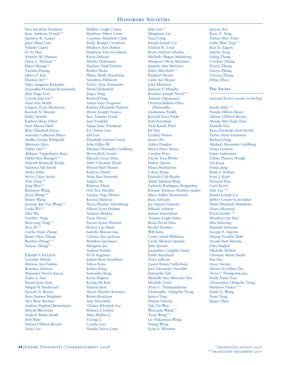Sara Jacobsen Feinstein Isaac Anthony French\*\* Quinton R. Gasper Janet Ming Guo Vidushi Gupta So Ye Han Annalys M. Hanson Oscar L. Heanue\*\* Huize Huang\*\* Tianshu Huang Jahnvi P. Jain Haotian Jin\*\* Neha Sangeeta Kadambi Anuradha Prashant Korukonda Julia Paige Levy Crystal Jing Liu\*\* Aqsa Aziz Malik Gregory Evan Markovitz Kanwal N. Momin Emily Newell Kathryn Rose Nilest Swet Manoj Patel Riley Elizabeth Payne Amanda Catherine Pharo Sindhu Varsha Potlapalli Minxuan Qiao Yuhua Qin\*\* Abhinav Vuppalapati Raju Nikhil Rao Ramgiri\*\* Ashruth Baimeedi Reddy Yazmina Adi Sarieh Anika Sinha Sylvie Claire Stolar Yilin Tong\*\* Anqi Wan\*\* Benjamin Wang Jiayin Wang\*\* Shiwei Wang Jeanette Jun Yan Wong\*\* Linda Wu\*\* Sibei Wu Geoffrey Yang Shan-tang Yang\*\* Ziyu Ye\*\* Cecilia Yijun Zhang Renee Yilan Zhang Ruohan Zhang\*\* Xinyue Zhang\*\* EMORY COLLEGE

Caroline Abbott Marissa Ann Adams Brandon Amirian Alejandra Nayeli Anaya Zuhra J. Aziz Daniel Jean Azizi Abigail R. Bacharach Sariyah N. Benoit Ilana Simone Berghash Alex Rose Berman Andrew Raphael Berneshawi Safiyah Bharwani Andrew Bixler-Smith Jolie Blair Adrian Clifford Brooks Yulei Cao

Mallory Leigh Carnes Matthew Albert Carter Courtney Elizabeth Clark Emily Bridget Crawford Madison Ann Dalton Stephanie Day-Goodman Kevin Delijani Marika Deliyianni Zachary Todd Denton Robert Dicks Hilary Shelli Druckman Annabess Ehrhardt Taylor Alyse Eisenstein Daniel Elchediak Jingya Feng Richard Feng Adam Gray Ferguson Katelyn Elizabeth Flaherty Divine Joseph Francis Sara Temime Frank Jack Franklin Adam Isaac Friedman Eve Yiwen Gao Jeff Gao Elizabeth Garrett-Currie John Gillen III Michael Alexander Goldberg Devon Kyle Gould Micaela Lacey Haas Abby Christine Hackl Morad Ihab Hassan Kathryn Hatch Alida Rae Haworth Angela He Rebecca Head Orli Tess Hendler Lindsay Page Hexter Keenan Hickton Alexa Heather Hirschberg Allison Lynn Holmes Andrew Holsten Tsion Horra\* Faraaz Ayaaz Hossain Sharon Lee Hsieh Isabella Maram Issa Chelsea Ann Jackson Matthew Jacobson Mengtian Jin Andrew Kaldas Eli D. Kaganov Jasleen Kaur Kandhari Felicia Kane Joohee Kang Samantha Keng Kevin Kilgour Kyung Mi Kim Yedarm Kim Alexis Marilyn Korman Briana Krackow Amy Krivoshik Chelsea Elisabeth Lee Monica J. Lefton Alina Binbin Li Yicong Li Camila Liao Natalia Neiva Lima

Julie Lin\*\* Minghuan Liu Yujia Long Daniel Joseph Lor Victoria K. Lord Bryan Andrew Mackie Michelle Megan Malmberg Margaret Olivia Martinez Jennifer Ann McGuire Sahar Merchant\* Raphael Moatti Carly Sue Moore Julia Munslow Jamison F. Murphy Brandon Joseph Novel\*\* Tomisin Ogunsanya Onyinyechukwu Olive Ohamadike Anshuman Parikh Kendall Erica Parks Josh Patashnik Neal Kartik Patel Eli Patt Lindsay Patton Jessica Pei Athira Penghat Sheyla Perez Nazco Carolyn Perry Nicole Tara Pfeffer Halsey Quinn Eliana Rabinovitz Lokita Rajan Danielle Cali Rieder Adam Michael Ring Gabriela Rodriguez Bengochea Kwame Amancio Romero-sackey Mara Ashley Rosenstock Reza Sabooni Jay Samuel Schaefer Mikaila Schmitt Justine Schoenbart Arianna Leigh Sidoti Brian David Sims Rachel Sirotkin Will Siuta Carter Smith-Wellman Cecily Michael Spindel Julie Spinner Jacqueline Laughlin Steele Emile Sternbach Nora Sullivan Laurel Emmy Sutherland Jack Alexander Swerdlin Samantha Tall Michelle Ann Mercado Tan \* Michelle Tawil Alvin C. Thampalakattu Christopher Ching-En Tseng Jessica Urgo Simran Valecha Tak Chi Wan Wenxuan Wang\*\* Yiran Wang\*\* Liv Nakamura Wang Yujing Wang Scott A. Weitzner

Junyan Xia Ryan Z. Yang Tristan Skye Yates Libby Wan Ying\*\* Kira B. Zagorc Junchu Zeng Aijing Zhang Caroline Zhang Xiaoyi Zhang Zuoyu Zhang Youyun Zheng Ethan Zhou

#### PHI SIGMA

*national honor society in biology*

Jonah Alder \*\* Natalie Helene Bauer Adrian Clifford Brooks Mandy Mei-Ying Chan Enakshi Das Kora Elizabeth-Zeeb Dreffs Taylor Alyse Eisenstein Richard Feng Michael Alexander Goldberg Zaina Gowani Jaime Guberman Lillian Theresa Hough Lin Jiang Yunju Jung Ruth A. Kahsay Evan J. Kiely Dooyeol Kim Carli Kovel Julie Lin \*\* Daniel Joseph Lor Jeffrey Conner Lowenthal Haley Elisabeth Matthews Alona Mostowy Priyal Parikh \*\* Shambavi Jay Rao Mia Schoeing Hannah Schwartz George E. Segovia Nilang Nandlal Shah Ayushi Dutt Sharma Esha Singhal Michelle Skelton Christine Marie Smith Fan Sun Grace Swaim Zhixin (Cyrillus) Tan Alvin C Thampalakattu Emily Diem Tran Christopher Ching-En Tseng Matthew Tucker \*\* Emily G. Wang Xuan Yang Jingru Zhao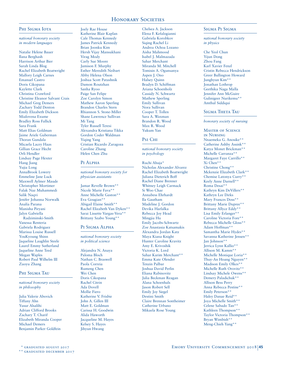#### Phi Sigma Iota

*national honorary society in modern languages*

Natalie Helene Bauer Ilana Berghash Harrison Arthur Bier Sarah Linda Blog Rachel Elizabeth Boatwright Mallory Leigh Carnes Emanuel Castro Doris Cikopana Kaylette Clark Christina Crawford Christine Eleanor Salvant Crais Michael Greg Demers Zachary Todd Denton Emily Elizabeth Dickson Mialovena Exume Bradley Ross Fallick Sara Frank Matt Elias Goldman Jaime Ariele Guberman Thoran Gundala Micaela Lacey Haas Gillian Grace Hecht Orli Hendler Lindsay Page Hexter Hang Jiang Yujia Long AnnaBrook Lowery Emmeline Jane Luck Maxwell Aylmer Maude Christopher Mortimer Falak Naz Muhammedi Salik Naqvi Jenifer Johanna Norwalk Analía Parana Manisha Piryani Jalyn Gabriella Radziminski-Smith Vanessa Renteria Gabriela Rodriguez Marissa Louise Russell YouKyoung Shinn Jaqueline Laughlin Steele Laurel Emmy Sutherland Jaqueline Anne Teed Megan Waples Robert Paul Wilhelm III

#### Phi Sigma Tau

Zuoyu Zhang

*national honorary society in philosophy*

Julia Valerie Abovich Tiffany Ahn Yusur Alsalihi Adrian Clifford Brooks Zachary T. Charif Elizabeth Miranda Cooper Michael Demers Benjamin Parker Goldfein

# Joely Rae House

Katherine Blair Kaplan Cale Thomas Kennedy James Patrick Kennedy Brian Joonku Kim Hersh Vijay Mansukhani Virag Mody Carly Sue Moore Jamison F. Murphy Esther Meredith Neibart Abby Helena Olson Joshua Scott Patashnik Damon Routzhan Sanha Ryoo Paige San Felipe Zoe Carolyn Simon Mathew Aaron Sperling Brandon Charles Stern Rhiannon S. Stone-Miller Shane Lawrence Sullivan Mi Tang Tyler Russell Teresi Alexandra Kristiana Tikka Gordon Coder Waldman Yiqing Yang Cristian Ricardo Zaragoza Caroline Zhang Helen Chen Zhu

#### PI ALPHA

*national honorary society for physician assistants*

Jamar Revelle Brown\*\* Nicole Marie Fava\*\* Anne Michelle Gaston\*\* Eva Gougian\*\* Abigail Elaine Smith\*\* Rachel Elizabeth Van Dyken\*\* Sarai Lissette Vargas-Vera\*\* Brittany Szabo Young\*\*

#### PI SIGMA ALPHA

*national honorary society in political science*

Alejandra N. Anaya Paloma Bloch Nathan C. Braswell Paola Correia Rumeng Chen Wei Chen Doris Cikopana Rachel Citrin Ada Dovell Mollie Fiero Katherine V. Frisbie John A. Gillen III Matt E. Goldman Carissa H. Goodwin Alida Haworth Jacqueline M. Hayes Kelsey S. Hayes Jihyun Hwang

Chelsea A. Jackson Elena F. Kefalogianni Gabriela Korobkov Siqing Rachel Li Andrea Ochoa Lozano Aisha Mahmood Isabel J. Malmazada Sahar Merchant Miranda M. Mitchell Tomisin A. Ogunsanya Aspen J. Ono Halsey Quinn Bradyn D. Schiffman Ariana Schoenholz Cassidy N. Schwartz Mathew Sperling Emily Sullivan Nora Sullivan Cooper T. Tollen Sara A. Waxman Brandon R. Wood Max R. Wood Yukum Yan

# Psi Chi

*national honorary society in psychology*

Ruchi Ahuja\* Nicholas Alexander Alvarez Rachel Elizabeth Boatwright Juliana Dieterich Boff Rachel Diane Brenner Whitney Leigh Carmack Si Woo Chae Annabess Ehrhardt Ila Gautham Madeline J. Gordon Devika Harlalka Rebecca Joy Head Mingjia Hu Emily Jacobs-Schwartz Zoe Anastasia Katsamakis Alexandra Jordan Katz Maya Kiana Knight Hunter Caroline Kravitz Amy E. Krivoshik Victoria K. Lord Sahar Karim Merchant\*\* Emma Kate Olender Tenzin Palbar Joshua David Perlin Eliana Rabinovitz Julia Beckman Reagan Alana Schoenhals Jason Robert Sell Emily Joy Siegel Destini Smith Claire Brennan Sontheimer Catherine Urbano Mikaela Rose Young

#### Sigma Pi Sigma

*national honorary society in physics*

Che Yeol Chun Yijun Dong Zhou Fang Karl Xavier Fenzl Cristin Rebecca Hendrickson Greer Bullington Howard Junghyun Kim\*\* Jonathan Lothrop Geethika Naga Malla Jennifer Ann McGuire Gulinigeer Nurikemu\*\* Amthul Siddiqui

## SIGMA THETA TAU

#### *honorary society of nursing*

Master of Science in Nursing Nnaemeka G. Anosike\*\* Catherine Ashby Assink\*\* Katya Monet Brickman\*\* Michelle Carranza\*\* Margaret Faye Carrillo\*\* Xi Chen\*\* Christine Chong\*\* Mckenzie Elizabeth Clark\*\* Chemise Latonya Curry\*\* Keely Anne Darnell\*\* Roma Desai\*\* Kathryn Kim DeVillers\*\* Kathryn Lee Dirks Mary Frances Doss\*\* Brittany Marie Dupree\*\* Brittany Allyce Eddy\*\* Lisa Emily Erlanger\*\* Caroline Victoria Fore\*\* Rebecca Michelle Gloss\*\* Adam Hoffman\*\* Samantha Marie Hydes\*\* Savanna Katherine Jensen\*\* Jan Johnson\*\* Jerrica Lynn Kallio\*\* Allison M. Kamm\*\* Michelle Monique Loria\*\* Thuy-An Hoang Nguyen\*\* Madison Emily Olkes\*\* Michelle Ruth Orovitz\*\* Lindsay Michele Owens\*\* Demery Paladichuk\*\* Allison Bess Perry Anna Rebecca Pestine\*\* Emily Peterson\*\* Haley Danae Reid\*\* Joya Michelle Smith\*\* Celene Sabado Tan\*\* Kathleen Thompson\*\* Taylor Victoria Thompson\*\* Bryan Wimbish\*\* Meng-Chieh Yang\*\*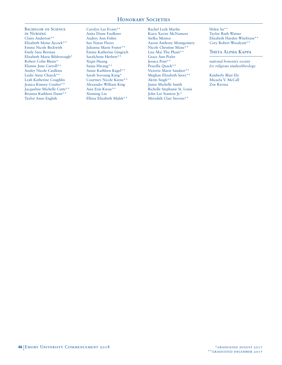BACHELOR OF SCIENCE in Nursing Claire Anderton\*\* Elizabeth Moise Aycock\*\* Emma Nicole Beckwith Emily Sara Berman Elizabeth Marie Bilsborough\* Robert Colin Blenis\* Elianne June Carroll\*\* Ansley Nicole Caulkins Leslie Anne Church\*\* Leah Katherine Coughlin Jessica Kimsey Coulter\*\* Jacqueline Michelle Cutts\*\* Brianna Kathleen Dunn\*\* Taylor Anne English

Carolyn Lee Evans\*\* Anita Diane Faulkner Audrey Ann Fisher Isai Natan Flores Julianna Marie Foster\*\* Emma Katherine Gingrich SarahAnne Herbert\*\* Xiqin Huang Sunju Hwang\*\* Annie Kathleen Kagel\*\* Sarah Soyoung Kang\* Courtney Nicole Keene\*\* Alexander William King Asia Erin Kwan\*\* Xinming Liu Ellena Elizabeth Malek\*\*

Rachel Leah Marlin Kiara Xavier McNamara Stefka Mentor Aaron Anthony Montgomery Nicole Christine Munz\*\* Lisa Mai Thu Pham\*\* Grace Ann Pixler Jessica Pont\*\* Priscilla Quach\*\* Victoria Marie Sandsor\*\* Meghan Elizabeth Seery\*\* Akriti Singh\*\* Jamie Michelle Smith Richelle Stephanie St. Louis John Lee Stanton Jr.\* Meredith Clair Stevens\*\*

Helen Su\*\* Taylor Ruth Wainer Elizabeth Harden Wisebram\*\* Cory Robert Woodyatt\*\*

Theta Alpha Kappa

*national honorary society for religious studies/theology*

Kimberly Blair Ely Micaela V. McCall Zoe Ravina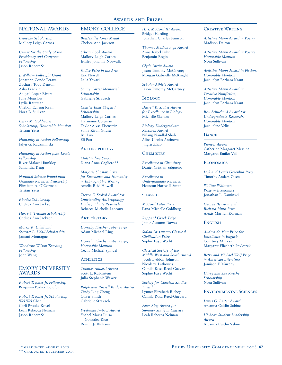## NATIONAL AWARDS

*Beinecke Scholarship* Mallory Leigh Carnes

*Center for the Study of the Presidency and Congress Fellowship*  Jason Robert Sell

*J. William Fulbright Grant* Jonathan Conde-Peraza Zachary Todd Denton Asha Fradkin Abigail Lopez Rivera Julia Munslow Lydia Rautman Chebon Echeng Ryan Nora B. Sullivan

*Barry M. Goldwater Scholarship, Honorable Mention* Tristan Yates

*Humanity in Action Fellowship* Jalyn G. Radziminski

*Humanity in Action John Lewis Fellowship* River Malachi Bunkley Samantha Keng

*National Science Foundation Graduate Research Fellowship* Elizabeth A. O'Gorman Tristan Yates

*Rhodes Scholarship* Chelsea Ann Jackson

*Harry S. Truman Scholarship* Chelsea Ann Jackson

*Morris K. Udall and Stewart L. Udall Scholarship* Jamani Montague

*Woodrow Wilson Teaching Fellowship* John Wang

## EMORY UNIVERSITY AWARDS

*Robert T. Jones Jr. Fellowship* Benjamin Parker Goldfein

*Robert T. Jones Jr. Scholarship* Wei Wei Chen Carli Brooke Kovel Leah Rebecca Neiman Jason Robert Sell

# EMORY COLLEGE

*Boisfeuillet Jones Medal* Chelsea Ann Jackson

*Schear Book Award* Mallory Leigh Carnes Jenifer Johanna Norwalk

*Sudler Prize in the Arts* Eric Newell Leila Yavari

*Sonny Carter Memorial Scholarship* Gabrielle Stravach

*Charles Elias Shepard Scholarship* Mallory Leigh Carnes Harmonie Coleman Taylor Alyse Eisenstein Sonia Kiran Ghura Bei Luo Eli Patt

## **ANTHROPOLOGY**

*Outstanding Senior* Diana Anna Cagliero\*\*

*Marjorie Shostak Prize for Excellence and Humanity in Ethnographic Writing* Amelia Reid Howell

*Trevor E. Stokol Award for Outstanding Anthropology Undergraduate Research* Rebecca Michelle Lebeaux

## **ART HISTORY**

*Dorothy Fletcher Paper Prize* Adam Michael Ring

*Dorothy Fletcher Paper Prize, Honorable Mention*  Cecily Michael Spindel

#### **ATHLETICS**

*Thomas Aliberti Award* Scott L. Rubinstein Julia Stephanie Wawer

*Ralph and Russell Bridges Award* Cindy Ling Cheng Oliver Smith Gabrielle Stravach

*Freshman Impact Award* Ysabel Maria Luisa Gonzalez-Rico Romin Je Williams

*H. Y. McCord III Award* Bridget Harding Jonathan Charles Jemison

*Thomas McDonough Award* Anna Isabel Fuhr Benjamin Rogin

*Clyde Partin Award* Jason Timothy McCartney Morgan Gabrielle McKnight

*Scholar-Athlete Award* Jason Timothy McCartney

#### Biology

*Darrell R. Stokes Award for Excellence in Biology* Michelle Skelton

*Biology Undergraduate Research Award* Nilang Nandlal Shah Alina Ulezko-Antinova Jingru Zhao

## **CHEMISTRY**

*Excellence in Chemistry* Daniel Cristian Salgueiro

*Excellence in Undergraduate Research* Houston Hartwell Smith

## **CLASSICS**

*McCord Latin Prize* Ilana Michelle Goldberg

*Reppard Greek Prize* Jamie Autumn Dawes

*Sufian-Passamano Classical Civilization Prize* Sophie Faye Wecht

*Classical Society of the Middle West and South Award* Jacob Lyddon Johnson Nicolette Lathouris Camila Rosa Reed-Guevara Sophie Faye Wecht

*Society for Classical Studies Award* Lynnet Elizabeth Richey Camila Rosa Reed-Guevara

*Peter Bing Award for Summer Study in Classics* Leah Rebecca Neiman

# Creative Writing

*Artistine Mann Award in Poetry* Madison Dalton

*Artistine Mann Award in Poetry, Honorable Mention* Nora Sullivan

*Artistine Mann Award in Fiction, Honorable Mention* Jacquelyn Barbara Kraut

*Artistine Mann Award in Creative Nonfiction, Honorable Mention* Jacquelyn Barbara Kraut

*Ron Schuchard Award for Undergraduate Research, Honorable Mention* Jacqueline Veliz

#### **DANCE**

*Pioneer Award*  Catherine Margaret Messina Margaret Emiko Vail

#### **ECONOMICS**

*Jack and Lewis Greenhut Prize* Timothy Anders Olsen

*W. Tate Whitman Prize in Economics* Jonathan L. Kaminski

*George Benston and Richard Muth Prize* Alexis Marilyn Korman

#### **ENGLISH**

*Andrea de Man Prize for Excellence in English* Courtney Murray Margaret Elizabeth Pavleszek

*Betty and Michael Wolf Prize in American Literature* Jamison F. Murphy

*Harry and Sue Rusche Scholarship* Nora Sullivan

#### Environmental Sciences

*James G. Lester Award* Areanna Caitlin Sabine

*Hickcox Student Leadership Award* Areanna Caitlin Sabine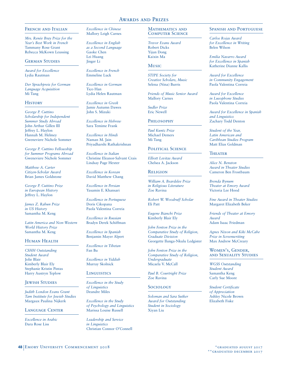#### FRENCH AND ITALIAN

*Mrs. Renée Bray Prize for the Year's Best Work in French* Tammany Rose Grant Rebecca McKown Leussing

## German Studies

*Award for Excellence* Lydia Rautman

*Der Sprachpreis for German Language Acquisition* Mi Tang

#### **HISTORY**

*George P. Cuttino Scholarship for Independent Summer Study Abroad* John Arthur Gillen III Jeffrey L. Haylon Hannah M. Helmey Gweneviere Nichole Sommer

*George P. Cuttino Fellowship for Summer Programs Abroad* Gweneviere Nichole Sommer

*Matthew A. Carter Citizen-Scholar Award* Brian James Goldstone

*George P. Cuttino Prize in European History* Jeffrey L. Haylon

*James Z. Rabun Prize in US History* Samantha M. Keng

*Latin America and Non-Western World History Prize* Samantha M. Keng

#### HUMAN HEALTH

*CSHH Outstanding Student Award* Jolie Blair Kimberly Blair Ely Stephanie Kristin Pintas Harry Austryn Teplow

#### **JEWISH STUDIES**

*Judith London Evans Grant Tam Institute for Jewish Studies* Margaux Paulina Nijkerk

#### Language Center

*Excellence in Arabic* Dara Rose Liss

*Excellence in Chinese* Mallory Leigh Carnes

*Excellence in English as a Second Language* Gaoke Chen Lei Huang Jinger Li

*Excellence in French* Emmeline Luck

*Excellence in German* Tico Han Lydia Helen Rautman

*Excellence in Greek* Jamie Autumn Dawes John S. Mizuki

*Excellence in Hebrew* Sara Temime Frank

*Excellence in Hindi* Naman M. Jain Priyadharshi Rathakrishnan

*Excellence in Italian* Christine Eleanor-Salvant Crais Lindsay Page Hexter

*Excellence in Korean* David Matthew Chang

*Excellence in Persian* Yasamin E. Khansari

*Excellence in Portuguese* Doris Cikopana Paola Valentina Correia

*Excellence in Russian* Bradyn Derek Schiffman

*Excellence in Spanish* Benjamin Mayer Alpert

*Excellence in Tibetan* Fan Bu

*Excellence in Yiddish* Murray Skolnick

#### **LINGUISTICS**

*Excellence in the Study of Linguistics* Deandre Miles

*Excellence in the Study of Psychology and Linguistics* Marissa Louise Russell

*Leadership and Service in Linguistics* Christian Connor O'Connell

## MATHEMATICS AND Computer Science

*Trevor Evans Award* Robert Dicks Yijun Dong Kaixin Ma

## **Music**

*STIPE Society for Creative Scholars, Music* Selena (Nina) Burris

*Friends of Music Senior Award*  Mallory Carnes

*Sudler Prize* Eric Newell

# **PHILOSOPHY**

*Paul Kuntz Prize* Michael Demers Mi Tang

## POLITICAL SCIENCE

*Elliott Levitas Award* Chelsea A. Jackson

#### **RELIGION**

*William A. Beardslee Prize in Religious Literature* Zoe Ravina

*Robert W. Woodruff Scholar* Eli Patt

*Eugene Bianchi Prize* Kimberly Blair Ely

*John Fenton Prize in the Comparative Study of Religion, Graduate Division* Georgette Ilunga-Nkulu Ledgister

*John Fenton Prize in the Comparative Study of Religion, Undergraduate* Micaela V. McCall

*Paul B. Courtright Prize* Zoe Ravina

## **SOCIOLOGY**

*Soloman and Sara Sutker Award for Outstanding Student in Sociology* Xiyan Liu

## Spanish and Portuguese

*Carlos Rojas Award for Excellence in Writing* Belen Wilson

*Emilia Navarro Award for Excellence in Spanish* Katherine Dianne Kallis

*Award for Excellence in Community Engagement* Paola Valentina Correia

*Award for Excellence in Lusophone Studies* Paola Valentina Correia

*Award for Excellence in Spanish and Linguistics* Zachary Todd Denton

*Student of the Year, Latin American and Caribbean Studies Program* Matt Elias Goldman

#### **THEATER**

*Alice N. Benston Award in Theater Studies* Cameron Ben Frostbaum

*Brenda Bynum Theater at Emory Award* Victoria Lee Hood

*Fine Award in Theater Studies* Margaret Elizabeth Beker

*Friends of Theater at Emory Award* Adam Isaac Friedman

*Agnes Nixon and Kiki McCabe Prize in Screenwriting* Max Andrew McCreary

Women's, Gender, and Sexuality Studies

*WGSS Outstanding Student Award* Samantha Keng Carly Sue Moore

*Student Certificate of Appreciation* Ashley Nicole Brown Elizabeth Fiske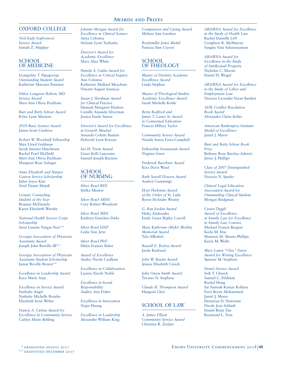# OXFORD COLLEGE

*Viril Eady Sophomore Service Award* Samah Z. Meghjee

## SCHOOL OF MEDICINE

*Evangeline T. Papageorge Outstanding Student Award* Katherine Marantz Penziner

*Eldon Langston Bolton, MD Service Award* Sheri-Ann Olivia Peckham

*Burt and Betty Schear Award* Kylee Lynn Martens

*2018 Basic Science Award* James Scott Cordova

*Robert W. Woodruff Fellowship* Max Lloyd Goldman Sarah Streeter Hutcheson Rachel Pearl McDiehl Sheri-Ann Olivia Peckham Margaret Rose Salinger

*Anne Elizabeth and Harper Gaston Service Scholarship* Juhee Joyce Kim Ariel Nasim Majidi

*Genetic Counseling Student of the Year* Brianna McDaniels Karen Elizabeth Wernke

*National Health Service Corps Scholarship* Sarai Lissette Vargas-Vera\*\*

*Georgia Association of Physician Assistants Award* Joseph John Borrillo III\*\*

*Georgia Association of Physician Assistants Student Scholarship* Jamar Revelle Brown\*\*

*Excellence in Leadership Award* Kara Marie Arps

*Excellence in Service Award* Nathalie Angel Nathalie Michelle Rosales Elizabeth Irene Weber

*Francis A. Curtiss Award for Excellence in Community Service* Caitlyn Marie Behling

*Johnnie Morgan Award for Excellence in Clinical Science* Anna Colonna Stefanie Lynn Tschoeke

*Director's Award for Academic Excellence* Mary Alice White

*Pamela A. Catlin Award for Excellence in Critical Inquiry* Ann Colonna Katherine Mallard Meacham Vincent August Santucci

*Susan J. Herdman Award for Clinical Practice* Hannah Margaret Hudson Camille Amanda Silverman Jessica Emily Simon

*Director's Award for Excellence in Growth Mindset* Amanda Colette Bastien Deborah Lynn Korzun

*Ian H. Tovin Award* Grace Kelli Lancaster Samuel Joseph Recinos

## SCHOOL OF NURSING

*Silver Bowl BSN* Stefka Mentor

*Silver Bowl ABSN* Cory Robert Woodyatt

*Silver Bowl MSN* Kathryn Gretchen Dirks

*Silver Bowl DNP* Leslie Ann Jeter

*Silver Bowl PhD* Helen Frances Baker

*Award of Excellence* Ansley Nicole Caulkins

*Excellence in Collaboration* Lauren Nicole Noble

*Excellence in Social Responsibility* Audrey Ann Fisher

*Excellence in Innovation* Xiqin Huang

*Excellence in Leadership*  Alexander William King

*Compassion and Caring Award*  Melissa Ann Gardner

*Boisfeuillet Jones Medal* Patricia Ann Craven

# SCHOOL OF THEOLOGY

*Master of Divinity Academic Excellence Award* Linda Stephan

*Master of Theological Studies Academic Excellence Award* Sarah Michelle Kothe

*Berta Radford and James T. Laney Sr. Award in Contextual Education* Frances Hillary Taylor

*Community Service Award* Natalie Sousa Faria-Campbell

*Fellowship Seminarian Award* Virginia Greer

*Frederick Buechner Award* Kiya Davis Ward

*Ruth Sewell Flowers Award* Andreá Cummings

*Hoyt Hickman Award of the Order of St. Luke* Byron DeAndre Wratee

*G. Ray Jordan Award* Haley Andreades Emily Grace Ripley Carroll

*Mary Katherine (Myki) Mobley Memorial Award* Tala AlRaheb

*Russell E. Richey Award* Jayde Rasband

*John W. Rustin Award* Jessica Elisabeth Cusick

*John Owen Smith Award* Tavares N. Stephens

*Claude H. Thompson Award* Hangoul Choi

# SCHOOL OF LAW

*A. James Elliott Community Service Award* Christina R. Zeidan

*ABA/BNA Award for Excellence in the Study of Health Law* Rachel Danielle Leff Creighton R. McMurray Sangita Vani Sahasranaman

*ABA/BNA Award for Excellence in the Study of Intellectual Property* Nicholas C. Marais Daniel H. Weigel

*ABA/BNA Award for Excellence in the Study of Labor and Employment Law* Victoria Lavender Veran Bartlett

*ADR Conflict Resolution Book Award* Alexandra Claire Keller

*American Bankruptcy Institute Medal of Excellence* Janiel J. Myers

*Burt and Betty Schear Book Prize* Bethany Rose Barclay-Adeniyi Jerico J. Phillips

*Class of 2007 Distinguished Service Award* Victoria N. Sparks

*Clinical Legal Education Association Award for Outstanding Clinical Student* Morgan Bridgman

*Custer-Tuggle Award of Excellence in Family Law for Excellence in Family Law Courses* Michael Francis Burgess Karla M. Doe Shannon M. Shontz-Phillips Kayla M. Wolfe

*Mary Laura "Chee" Davis Award for Writing Excellence* Spencer M. Stephens

*Dean's Service Award* Seth T. Church Samuel C. Feldman Rachel Hong Sai Santosh Kumar Kolluru Faris Bryan Mohammed Janiel J. Myers Demarius D. Newsome Nicole Jean Schladt Daniel Brian Tan Raymond L. Tran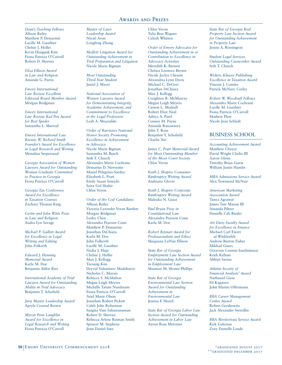*Dean's Teaching Fellows* Allison Bailey Matthew P. Demartini Lucille M. Gauthier Chelsie J. Holler Kevin Hongsuk Kim Fiona Patricia O'Carroll Robert D. Sherrier

*Eliza Ellison Award in Law and Religion* Amanda G. Parris

*Emory International Law Review Excellent Editorial Board Member Award* Morgan Bridgman

*Emory International Law Review Red Pen Award for Best Spader* Samantha L. Sherrod

*Emory International Law Review W. Richard Smith Founder's Award for Excellence in Legal Research and Writing* Monaliza Seepersaud

*Georgia Association of Women Lawyers Award for Outstanding Woman Graduate Committed to Practice in Georgia* Fiona Patricia O'Carroll

*Georgia Tax Conference Award for Excellence in Taxation Courses* Zachary Thomas King

*Gertie and John Witte Prize in Law and Religion* Audra Lyn Savage

*Michael P. Gullett Award for Excellence in Legal Writing and Editing* John Folkerth

*Edward J. Henning Memorial Award* Karla M. Doe Benjamin Alden Ries

*International Academy of Trial Lawyers Award for Outstanding Ability in Trial Advocacy* Benjamin T. Schofield

*Juris Master Leadership Award* Apryle Cearnal Brown

*Myron Penn Laughlin Award for Excellence in Legal Research and Writing* Fiona Patricia O'Carroll

*Master of Laws Leadership Award* Niyati Arun Longfeng Zhong

*Moffett Litigation Award for Outstanding Achievement in Trial Preparation and Litigation* Nicole Marie Bigman

*Most Outstanding Third-Year Student* Janiel J. Myers

*National Association of Women Lawyers Award for Demonstrating Integrity, Academic Achievement, and Commitment to Excellence in the Legal Profession* Leah A. Moczulski

*Order of Barristers National Honor Society Promoting Excellence in Achievement in Advocacy* Nicole Marie Bigman Samantha M. Busch Seth T. Church Alexandra Marie Cochrane Demarius D. Newsome Masiel Pelegrino-Sarduy Elizabeth L. Pratt Emily Susan Sawicki Saira Gul Shakir Chloe Veron

*Order of the Coif Candidates* Allison Bailey Victoria Lavender Veran Bartlett Morgan Bridgman Lesley Chen Alexandra Pearson Conn Matthew P. Demartini Jonathan DiChiara Karla M. Doe John Folkerth Lucille M. Gauthier Nadia J. Hajji Chelsie J. Holler Max J. Kellogg Taesung Kim Deyvid Valentinov Madzharov Nicholas C. Marais Rebecca S. McMahon Megan Leigh Meyers Michelle Tatum Nussbaum Fiona Patricia O'Carroll Ariel Marie Olson Jonathan Robert Pickett Caleb John Robertson Sangita Vani Sahasranaman Robert D. Sherrier Rebecca Arlene Reiman Smith Spencer M. Stephens Jesse Daniel Sutz

Chloe Veron Talia Bess Wagner Caleah Whitten

*Order of Emory Advocates for Outstanding Achievement in or Contribution to Excellence in Advocacy Activities* Meredith K. Barnett Chelsea Leonora Brown Nicole Jaclyn Chessin Alixandria Lynn Davis Michael C. DeGori Jonathan DiChiara Max J. Kellogg Creighton R. McMurray Megan Leigh Meyers Carson L. Modrall Robert Eliot Neal Aditya A. Patel Connor M. Payne Amanda Ranaweera John T. Rose Benjamin T. Schofield Charlie Xie

*James C. Pratt Memorial Award for Most Outstanding Member of the Moot Court Society* Chloe Veron

*Keith J. Shapiro Consumer Bankruptcy Writing Award* Andriana Glover

*Keith J. Shapiro Corporate Bankruptcy Writing Award* Maleaka N. Guice

*Paul Bryan Prize in Constitutional Law* Alexandra Pearson Conn Karla M. Doe

*Robert Beynart Award for Professionalism and Ethics* Shaquana LaNise Ellison

*State Bar of Georgia Employment Law Section Award for Outstanding Achievement in Employment Law* Shannon M. Shontz-Phillips

*State Bar of Georgia Environmental Law Section Award for Outstanding Achievement in Environmental Law* Jeanna F. Heard

*State Bar of Georgia Labor Law Section Award for Outstanding Achievement in Labor Law* Aaron Ross Metviner

*State Bar of Georgia Real Property Law Section Award for Outstanding Achievement in Property Law* Jenine A. Rossington

*Student Legal Services Outstanding Caseworker Award* Seth T. Church

*Wolters Kluwer Publishing Excellence in Taxation Award* Vincent J. Comito Patrick McNary Corley

*Robert W. Woodruff Fellows* Alexandra Marie Cochrane Lucille M. Gauthier Fiona Patricia O'Carroll Mathew Plott Nicole Jean Schladt

# BUSINESS SCHOOL

*Accounting Achievement Award* Matthew Choyce David Wright Clarke III Aaron Glenn Timothy Brian Guess William Justin Hamlet

*MBA Admissions Service Award* Alex Townsend McNair

*American Marketing Association Award* Tanya Agrawal James Tate Mason III Amanda Piltzer Danielle Cali Rieder

*Art Dietz Faculty Award for Excellence in Finance* Michael Carl Ewert af Winklerfelt Andrew Burton Fisher Mikhail Gusev Octavian Cosmin Ioachimescu Keith Kellum Abhijit Sarma

*Atlanta Society of Financial Analysts' Award* Nathaniel Giess Eli Kaganov John Martin Offermann

*BBA Career Management Center Award* Robert Gershowitz Jack Alexander Swerdlin

*BBA Meritorious Service Award* Kirk Gulezian Zoey Danielle Lande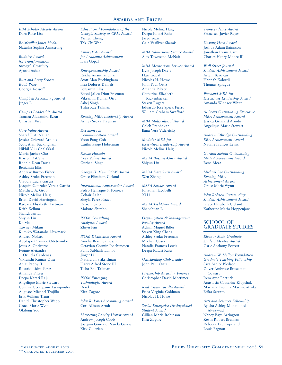*BBA Scholar Athlete Award* Dara Rose Liss

*Boisfeuillet Jones Medal* Natasha Sophia Armstrong

*Budnick Award for Transformation through Creativity* Ayushi Ashar

*Burt and Betty Schear Book Prize* Georgia Kossoff

*Campbell Accounting Award* Jinger Li

*Campus Leadership Award* Tamara Alexandra Ezzat Christian Virgil

*Core Value Award*

Sharef T. Al Najjar Jessica Grizzard Arnidis Scott Alan Buckingham Nikhil Viju Chalakkal Maria Jaehee Cho Kristen DaCanal Ronald Dean Davis Benjamin Ellis Andrew Burton Fisher Ashley Sroka Freeman Claudia Lucia Garcia Joaquin Gonzalez Varela Garcia Matthew A. Grob Nicole Melina Haig Brian David Harrington Barbara Elisabeth Hartman Keith Kellum Shanchuan Li Shiyun Liu Ke Ma Tawney Milam Kumiko Watanabe Newmark Andrea Noktes Adedapo Olamide Odetoyinbo Jesus A. Ontiveros Ivonne Alejandra Orjuela Cardenas Vikranthi Kumar Otra Adlai Pappy II Rosario Isidra Perez Amanda Piltzer Deepa Katari Raju Angelique Marie Stewart Cynthia Georgeann Tassopoulos Augusto Michael Trujillo Erik William Trum Daniel Christopher Webb Grace Marie Wynn Okdong Yoo

*Educational Foundation of the Georgia Society of CPAs Award* Yizhen Cheng Tak Chi Wan

*EmoryMAC Award for Academic Achievement* Hari Gopal

*Entrepreneurship Award* Rekha Ananthanpillai Scott Alan Buckingham Inez Dolores Daniels Benjamin Ellis Eboni JaLea Dion Freeman Vikranthi Kumar Otra Sahej Singh Tisha Rae Tallman

*Evening MBA Leadership Award* Ashley Sroka Freeman

*Excellence in Communication Award* Voon Pang Goh Caitlin Paige Hoberman

*Faraaz Hossain Core Values Award* Gurbani Singh

*George H. Mew O&M Award* Grace Elizabeth Cleland

*International Ambassador Award* Pedro Henrique S. Fonseca Zohair Lalani Sheyla Perez Nazco Ryoichi Sato Makoto Shimbo

*ISOM Consulting Analytics Award* Zhiyu Pan

*ISOM Distinction Award* Amelia Brantley Beach Octavian Cosmin Ioachimescu Punit Subhash Lamba Jinger Li Natarajan Srikrishnan Harry Alfred Stone III Tisha Rae Tallman

*ISOM Emerging Technologist Award* Derek Liu Kira Zagorc

*John R. Jones Accounting Award* Cori Allison Arndt

*Marketing Faculty Honor Award* Andrew Joseph Cobb Joaquin Gonzalez Varela Garcia Kirk Gulezian

Nicole Melina Haig Deepa Katari Raju Jared Sears Gaia Vasiliver-Shamis

*MBA Admissions Service Award* Alex Townsend McNair

*MBA Meritorious Service Award* Kyle Joseph Davis Hari Gopal Nicolas H. Howe John Paul Ortiz Amanda Piltzer Catherine Elizabeth Rickenbacker Steven Rogers Eduardo Jose Speck Fierro William Graham Swafford

*MBA Multicultural Award* Caleb Prabhakar Ilana Vera Videlefsky

*Modular MBA for Executives Leadership Award* Nicole Melina Haig

*MSBA BusinessGuru Award* Shiyun Liu

*MSBA DataGuru Award* Wen Zhang

*MSBA Service Award* Jonathan Iacobelli Xi Li

*MSBA TechGuru Award* Shanchuan Li

*Organization & Management Faculty Award* Achim Miguel Biller Steven Xing Cheng Ashley Sroka Freeman Mikhail Gusev Natalie Frances Lewis Deepa Katari Raju

*Outstanding Club Leader* John Paul Ortiz

*Partnership Award in Finance* Christopher David Mortimer

*Real Estate Faculty Award* Erica Virginia Goldman Nicolas H. Howe

*Social Enterprise Distinguished Student Award* Gillian Marie Robinson Kira Zagorc

*Transcendence Award* Francisco Javier Reyes

*Unsung Hero Award* Joshua Adam Bainnson Jonathan Evans Carr Charles Henry Moore III

*Wall Street Journal Student Achievement Award* Artem Baroyan Hannah Kalozdi Thomas Sprague

*Weekend MBA for Executives Leadership Award* Amanda Windsor White

*Al Bows Outstanding Executive MBA Achievement Award* Jessica Grizzard Arnidis Angelique Marie Stewart

*Andrew Ethridge Outstanding BBA Achievement Award* Natalie Frances Lewis

*Gordon Siefkin Outstanding MBA Achievement Award* Rene Meza

*Michael Lee Outstanding Evening MBA Achievement Award* Grace Marie Wynn

*John Robson Outstanding Student Achievement Award* Grace Elizabeth Cleland Katherine Maria Hoppenjans

# SCHOOL OF GRADUATE STUDIES

*Eleanor Main Graduate Student Mentor Award* Osric Anthony Forrest

*Andrew W. Mellon Foundation Graduate Teaching Fellowship* Sara Ashlee Bledsoe Oliver Ambrose Braselman Cowart Irem Ayse Ebeturk Anastasia Catherine Klupchak Marisela Enedina Martinez-Cola Erika Serrato

*Arts and Sciences Fellowship* Ayisha Ashley Mohammed Al-Sayyad Nancy Bays Arrington Kevin Robert Brennan Rebecca Lee Copeland Louis Fagnan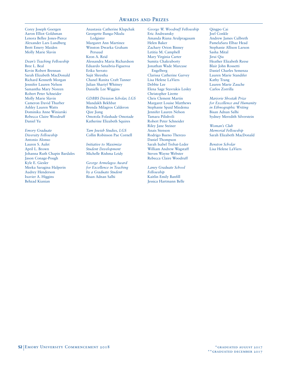Corey Joseph Goergen Aaron Elliot Goldsman Lenora Bellee Jones-Pierce Alexander Lars Lundberg Brett Emery Maiden Molly Marie Slavin

*Dean's Teaching Fellowship* Bree L. Beal Kevin Robert Brennan Sarah Elizabeth MacDonald Richard Kenneth Morgan Jennifer Lauren Nelson Samantha Mary Noreen Robert Peter Schneider Molly Marie Slavin Cameron David Thurber Ashley Lauren Watts Dominika Anne Winiarski Rebecca Claire Woodruff Daniel Yu

*Emory Graduate Diversity Fellowship* Antonio Alonso Lauren S. Aulet April L. Brown Johanna Ruth Chapin Bardales Jason Conage-Pough Kyle E. Giesler Meeka Saragina Halperin Audrey Henderson Ixavier A. Higgins Behzad Kianian

Anastasia Catherine Klupchak Georgette Ilunga-Nkulu Ledgister Margaret Ann Martinez Winston Dwarka Graham Persaud Keon A. Reid Alessandra Maria Richardson Eduardo Sanabria-Figueroa Erika Serrato Sujit Shrestha Chanel Ranita Craft Tanner Julian Shariyf Whitney Danielle Lee Wiggins

*GDBBS Division Scholar, LGS* Mandakh Bekhbat Brenda Milagros Calderon Qize Jiang Omotola Folashade Omotade Katherine Elizabeth Squires

*Tam Jewish Studies, LGS* Collin Robinson Pae Cornell

*Initiative to Maximize Student Development* Michelle Rishma Leidy

*George Armelagos Award for Excellence in Teaching by a Graduate Student* Bisan Adnan Salhi

*George W. Woodruff Fellowship* Eric Andreansky Amanda Riana Arulpragasam Helen Baker Zachary Orion Binney Letitia M. Campbell Mary Virginia Carter Sumita Chakraborty Jonathan Wade Marcuse Engelberg Clarissa Catherine Garvey Lisa Helene LaViers Debbie Lee Elena Sage Stavrakis Lesley Christopher Lirette Chris Clement Martin Margaret Louise Matthews Stephanie Spaid Miedema Jennifer Lauren Nelson Tamara Pilishvili Robert Peter Schneider Riley Jane Steiner Anais Stenson Rodrigo Bueno Therezo Daniel Thompson Sarah Isabel Trebat-Leder William Andrew Wagstaff Steven Wayne Webster Rebecca Claire Woodruff

*Laney Graduate School Fellowship* Kaitlin Emily Banfill Jessica Hartmann Belle

Qingpo Cai Joel Conkle Andrew James Culbreth PamelaSara Elbaz Head Stephanie Allison Larson Sasha Mital Jirui Qiu Heather Elizabeth Reese Blair John Rossetti Daniel Charles Semenza Lauren Marie Standifer Kathy Trang Lauren Marie Zauche Carlos Zorrilla

*Marjorie Shostak Prize for Excellence and Humanity in Ethnographic Writing* Bisan Adnan Salhi Sydney Meredith Silverstein

*Woman's Club Memorial Fellowship* Sarah Elizabeth MacDonald

*Benston Scholar* Lisa Helene LaViers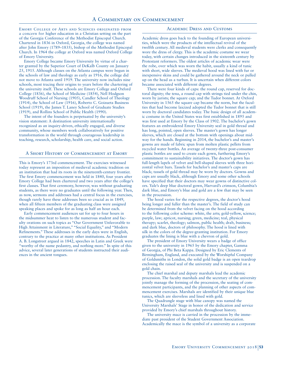Emory College of Arts and Sciences originated from a concern for higher education in a Christian setting on the part of the Georgia Conference of the Methodist Episcopal Church. Chartered in 1836 in Oxford, Georgia, the college was named after John Emory (1789–1835), bishop of the Methodist Episcopal Church. In 1964 the college at Oxford was named Oxford College of Emory University.

Emory College became Emory University by virtue of a charter granted by the Superior Court of DeKalb County on January 25, 1915. Although classes on the Atlanta campus were begun in the schools of law and theology as early as 1916, the college did not move to Atlanta until 1919. The university now includes nine schools, most tracing their origins to years before the chartering of the university itself. These schools are Emory College and Oxford College (1836), the School of Medicine (1854), Nell Hodgson Woodruff School of Nursing (1905), Candler School of Theology (1914), the School of Law (1916), Roberto C. Goizueta Business School (1919), the James T. Laney School of Graduate Studies (1919), and Rollins School of Public Health (1990).

The intent of the founders is perpetuated by the university's vision statement: A destination university internationally recognized as an inquiry-driven, ethically engaged, and diverse community, whose members work collaboratively for positive transformation in the world through courageous leadership in teaching, research, scholarship, health care, and social action.

#### A Short History of Commencement at Emory

This is Emory's 173rd commencement. The exercises witnessed today represent an imposition of medieval academic tradition on an institution that had its roots in the nineteenth-century frontier. The first Emory commencement was held in 1840, four years after Emory College had been chartered and two years after the college's first classes. That first ceremony, however, was without graduating students, as there were no graduates until the following year. Then, as now, sermons and addresses had a central focus in the exercises, though rarely have these addresses been so crucial as in 1849, when all fifteen members of the graduating class were assigned speaking places and spoke for as long as half an hour each.

Early commencement audiences sat for up to four hours in the midsummer heat to listen to the numerous student and faculty orations on such topics as "Our Government Unfavorable to High Attainment in Literature," "Social Equality," and "Modern Refinements." These addresses in the early days were in English, contrary to the practice at many other institutions. As President A. B. Longstreet argued in 1842, speeches in Latin and Greek were "worthy of the name pedantry, and nothing more." In spite of this advice, several later generations of students instructed their audiences in the ancient tongues.

#### Academic Dress and Customs

Academic dress goes back to the founding of European universities, which were the products of the intellectual revival of the twelfth century. All medieval students were clerks and consequently wore the dress of clergy. This is the academic costume we wear today, with certain changes introduced in the sixteenth century by Protestant reformers. The oldest articles of academic wear were the robe, over which was worn the habit, usually a kind of tunic with short, wide sleeves. The medieval hood was lined with fur or inexpensive skins and could be gathered around the neck or pulled up on the head as a turban. It is uncertain when different colors became associated with different degrees.

There were four kinds of caps: the round cap, reserved for doctoral dignity; the tena, a round cap with strings tied under the chin, worn by jurists; the square cap; and the Tudor bonnet. At Oxford University in 1565 the square cap became the norm, but the faculties that had become laicized adopted the Tudor bonnet that is still worn by doctoral candidates today. The basic design of all academic costume in the United States was first established in 1895 and was first used at Emory by the Class of 1902. The bachelor's gown features an embroidered Emory University seal in gold thread and has long, pointed, open sleeves. The master's gown has longer sleeves, which are closed at the bottom with openings about midway for the hands. Beginning in 2014, the bachelor's and master's gowns are made of fabric spun from molten plastic pellets from recycled water bottles. An average of twenty-three post-consumer plastic bottles are used to create each gown, furthering Emory's commitment to sustainability initiatives. The doctor's gown has full-length lapels of velvet and bell-shaped sleeves with three horizontal velvet bars. Tassels for bachelor's and master's caps are black; tassels of gold thread may be worn by doctors. Gowns and caps are usually black, although Emory and some other schools have specified that their doctors may wear gowns of distinctive colors. Yale's deep blue doctoral gown, Harvard's crimson, Columbia's dark blue, and Emory's blue and gold are a few that may be seen in the procession.

The hood varies for the respective degrees, the doctor's hood being longer and fuller than the master's. The field of study can be determined from the velvet facing on the hood according to the following color scheme: white, the arts; gold-yellow, science; purple, law; apricot, nursing; green, medicine; teal, physical therapy; scarlet, theology; salmon, public health; drab, business; and dark blue, doctors of philosophy. The hood is lined with silk in the colors of the degree-granting institution. For Emory graduates the lining is blue with a chevron of gold.

The president of Emory University wears a badge of office given to the university in 1965 by the Emory chapter, Gamma of Georgia, of Phi Beta Kappa. Designed by Eric Clements of Birmingham, England, and executed by the Worshipful Company of Goldsmiths in London, the solid gold badge is an open teardrop enclosing the raised seal of the university and is suspended on a gold chain.

The chief marshal and deputy marshals lead the academic procession. The faculty marshals and the secretary of the university jointly manage the forming of the procession, the seating of commencement participants, and the planning of other aspects of commencement exercises. Marshals are identified by their unique blue tunics, which are sleeveless and lined with gold.

The Quadrangle stage with blue canopy was named the University Marshals' Stage in honor of the dedication and service provided by Emory's chief marshals throughout history.

The university mace is carried in the procession by the immediate past president of the Student Government Association. Academically the mace is the symbol of a university as a corporate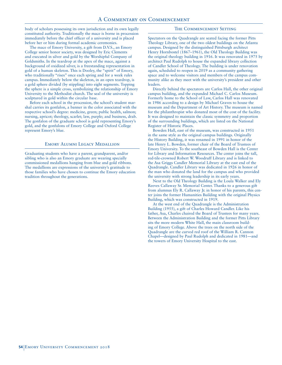body of scholars possessing its own jurisdiction and its own legally constituted authority. Traditionally the mace is borne in procession immediately before the chief officer of a university and is placed before her or him during formal academic ceremonies.

The mace of Emory University, a gift from D.V.S., an Emory College senior honor society, was designed by Eric Clements and executed in silver and gold by the Worshipful Company of Goldsmiths. In the teardrop at the apex of the mace, against a background of oxidized silver, is a freestanding representation in gold of a human skeleton. This is Dooley, the "spirit" of Emory, who traditionally "rises" once each spring and for a week rules campus. Immediately below the skeleton, in an open teardrop, is a gold sphere divided (by stippling) into eight segments. Topping the sphere is a simple cross, symbolizing the relationship of Emory University to the Methodist church. The seal of the university is sculptured in gold within the circular base.

Before each school in the procession, the school's student marshal carries its gonfalon, a banner in the color associated with the respective school's degree: medicine, green; public health, salmon; nursing, apricot; theology, scarlet; law, purple; and business, drab. The gonfalon of the graduate school is gold representing Emory's gold, and the gonfalons of Emory College and Oxford College represent Emory's blue.

#### Emory Alumni Legacy Medallion

Graduating students who have a parent, grandparent, and/or sibling who is also an Emory graduate are wearing specially commissioned medallions hanging from blue and gold ribbons. The medallions are expressions of the university's gratitude to those families who have chosen to continue the Emory education tradition throughout the generations.

#### The Commencement Setting

Spectators on the Quadrangle are seated facing the former Pitts Theology Library, one of the two oldest buildings on the Atlanta campus. Designed by the distinguished Pittsburgh architect Henry Hornbostel (1867–1961), the Old Theology Building was the original theology building in 1916. It was renovated in 1975 by architect Paul Rudolph to house the expanded library collection of Candler School of Theology. The building is under renovation again, scheduled to reopen in 2019 as a community gathering space and to welcome visitors and members of the campus community alike as they meet with the university's president and other leaders.

Directly behind the spectators are Carlos Hall, the other original campus building, and the expanded Michael C. Carlos Museum. Formerly home to the School of Law, Carlos Hall was renovated in 1986 according to a design by Michael Graves to house the museum and the Department of Art History. The museum is named for the philanthropist who donated most of the cost of the facility. It was designed to maintain the classic symmetry and proportion of the surrounding buildings, which are listed on the National Register of Historic Places.

Bowden Hall, east of the museum, was constructed in 1951 in the same style as the original campus buildings. Originally the History Building, it was renamed in 1991 in honor of the late Henry L. Bowden, former chair of the Board of Trustees of Emory University. To the southeast of Bowden Hall is the Center for Library and Information Resources. The center joins the tall, red-tile-crowned Robert W. Woodruff Library and is linked to the Asa Griggs Candler Memorial Library at the east end of the Quadrangle. Candler Library was dedicated in 1926 in honor of the man who donated the land for the campus and who provided the university with strong leadership in its early years.

Next to the Old Theology Building is the Loula Walker and Ely Reeves Callaway Sr. Memorial Center. Thanks to a generous gift from alumnus Ely R. Callaway Jr. in honor of his parents, this center joins the former Humanities Building with the original Physics Building, which was constructed in 1919.

At the west end of the Quadrangle is the Administration Building (1955), a gift of Charles Howard Candler. Like his father, Asa, Charles chaired the Board of Trustees for many years. Between the Administration Building and the former Pitts Library sits the more modern White Hall, the main classroom building of Emory College. Above the trees on the north side of the Quadrangle are the curved red roof of the William R. Cannon Chapel—designed by Paul Rudolph and dedicated in 1981—and the towers of Emory University Hospital to the east.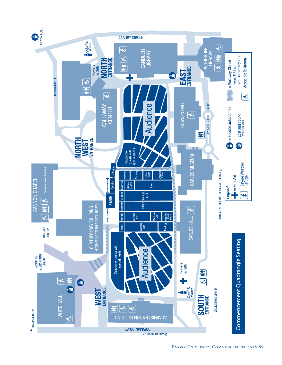